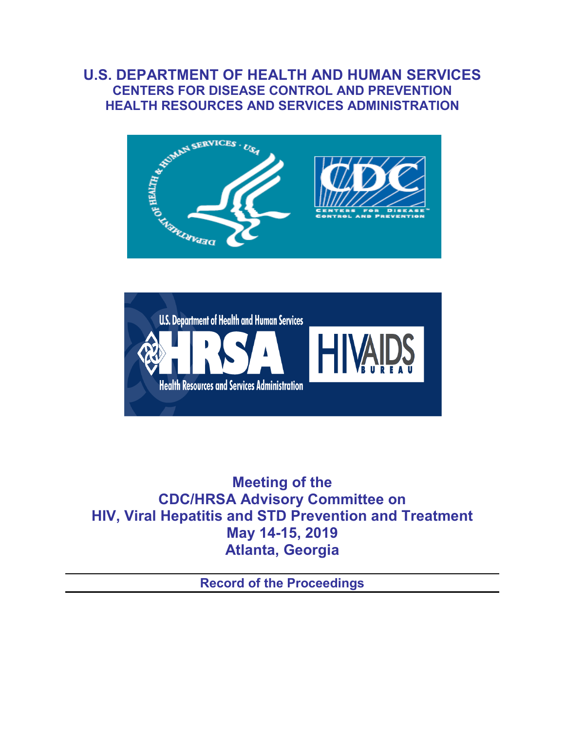# **U.S. DEPARTMENT OF HEALTH AND HUMAN SERVICES CENTERS FOR DISEASE CONTROL AND PREVENTION HEALTH RESOURCES AND SERVICES ADMINISTRATION**





**Meeting of the CDC/HRSA Advisory Committee on HIV, Viral Hepatitis and STD Prevention and Treatment May 14-15, 2019 Atlanta, Georgia**

**Record of the Proceedings**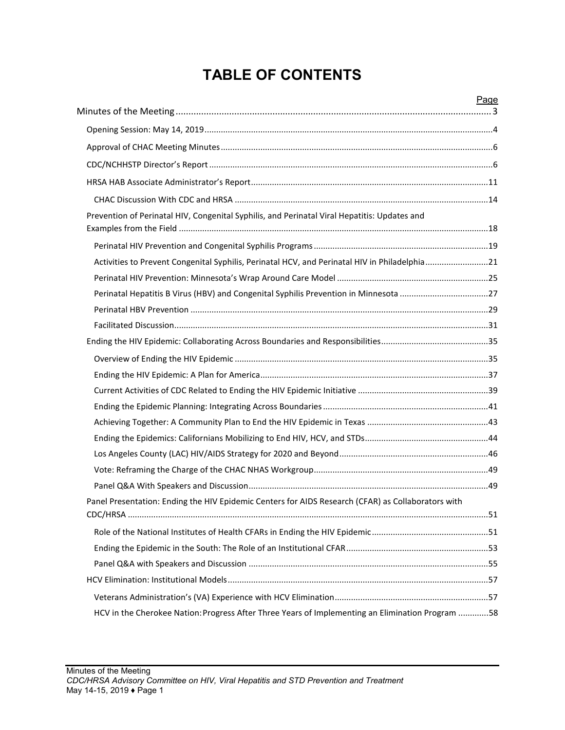# **TABLE OF CONTENTS**

|                                                                                                    | Page |
|----------------------------------------------------------------------------------------------------|------|
|                                                                                                    |      |
|                                                                                                    |      |
|                                                                                                    |      |
|                                                                                                    |      |
|                                                                                                    |      |
| Prevention of Perinatal HIV, Congenital Syphilis, and Perinatal Viral Hepatitis: Updates and       |      |
|                                                                                                    |      |
| Activities to Prevent Congenital Syphilis, Perinatal HCV, and Perinatal HIV in Philadelphia21      |      |
|                                                                                                    |      |
| Perinatal Hepatitis B Virus (HBV) and Congenital Syphilis Prevention in Minnesota 27               |      |
|                                                                                                    |      |
|                                                                                                    |      |
|                                                                                                    |      |
|                                                                                                    |      |
|                                                                                                    |      |
|                                                                                                    |      |
|                                                                                                    |      |
|                                                                                                    |      |
|                                                                                                    |      |
|                                                                                                    |      |
|                                                                                                    |      |
|                                                                                                    |      |
| Panel Presentation: Ending the HIV Epidemic Centers for AIDS Research (CFAR) as Collaborators with |      |
|                                                                                                    |      |
|                                                                                                    |      |
|                                                                                                    |      |
|                                                                                                    |      |
|                                                                                                    |      |
| HCV in the Cherokee Nation: Progress After Three Years of Implementing an Elimination Program 58   |      |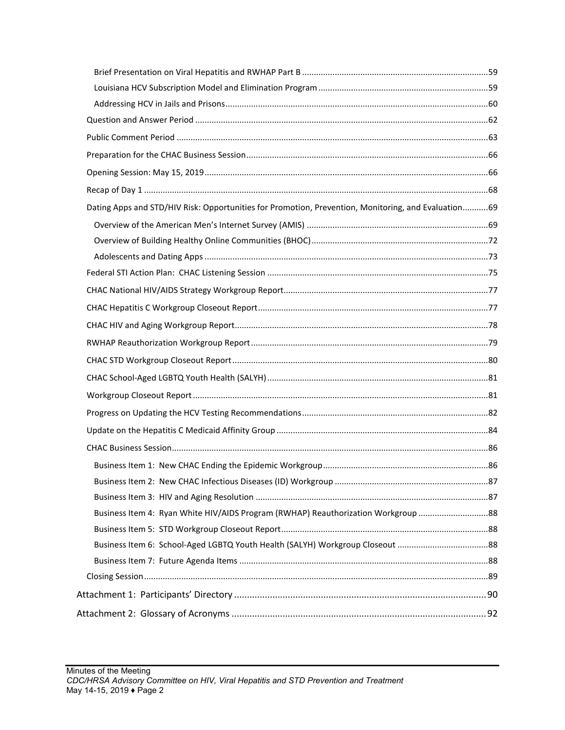| Dating Apps and STD/HIV Risk: Opportunities for Promotion, Prevention, Monitoring, and Evaluation69 |  |
|-----------------------------------------------------------------------------------------------------|--|
|                                                                                                     |  |
|                                                                                                     |  |
|                                                                                                     |  |
|                                                                                                     |  |
|                                                                                                     |  |
|                                                                                                     |  |
|                                                                                                     |  |
|                                                                                                     |  |
|                                                                                                     |  |
|                                                                                                     |  |
|                                                                                                     |  |
|                                                                                                     |  |
|                                                                                                     |  |
|                                                                                                     |  |
|                                                                                                     |  |
|                                                                                                     |  |
|                                                                                                     |  |
| Business Item 4: Ryan White HIV/AIDS Program (RWHAP) Reauthorization Workgroup 88                   |  |
|                                                                                                     |  |
|                                                                                                     |  |
|                                                                                                     |  |
|                                                                                                     |  |
|                                                                                                     |  |
|                                                                                                     |  |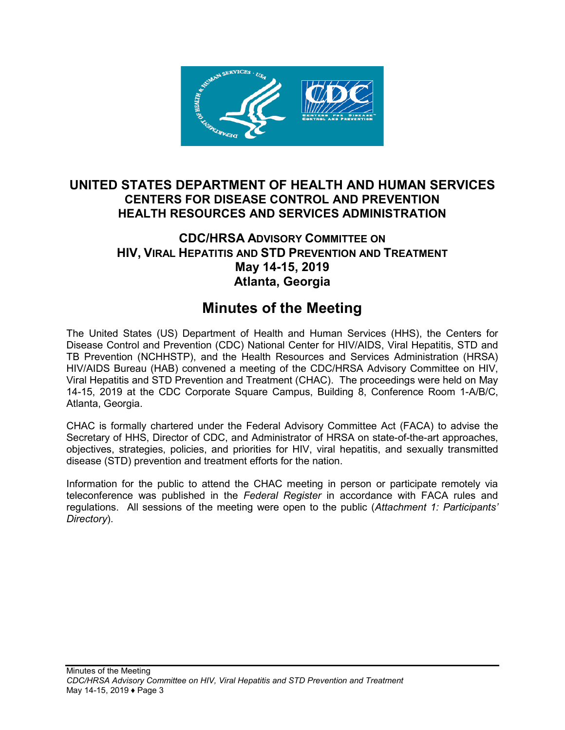

# **UNITED STATES DEPARTMENT OF HEALTH AND HUMAN SERVICES CENTERS FOR DISEASE CONTROL AND PREVENTION HEALTH RESOURCES AND SERVICES ADMINISTRATION**

# **CDC/HRSA ADVISORY COMMITTEE ON HIV, VIRAL HEPATITIS AND STD PREVENTION AND TREATMENT May 14-15, 2019 Atlanta, Georgia**

# **Minutes of the Meeting**

<span id="page-3-0"></span>The United States (US) Department of Health and Human Services (HHS), the Centers for Disease Control and Prevention (CDC) National Center for HIV/AIDS, Viral Hepatitis, STD and TB Prevention (NCHHSTP), and the Health Resources and Services Administration (HRSA) HIV/AIDS Bureau (HAB) convened a meeting of the CDC/HRSA Advisory Committee on HIV, Viral Hepatitis and STD Prevention and Treatment (CHAC). The proceedings were held on May 14-15, 2019 at the CDC Corporate Square Campus, Building 8, Conference Room 1-A/B/C, Atlanta, Georgia.

CHAC is formally chartered under the Federal Advisory Committee Act (FACA) to advise the Secretary of HHS, Director of CDC, and Administrator of HRSA on state-of-the-art approaches, objectives, strategies, policies, and priorities for HIV, viral hepatitis, and sexually transmitted disease (STD) prevention and treatment efforts for the nation.

Information for the public to attend the CHAC meeting in person or participate remotely via teleconference was published in the *Federal Register* in accordance with FACA rules and regulations. All sessions of the meeting were open to the public (*Attachment 1: Participants' Directory*).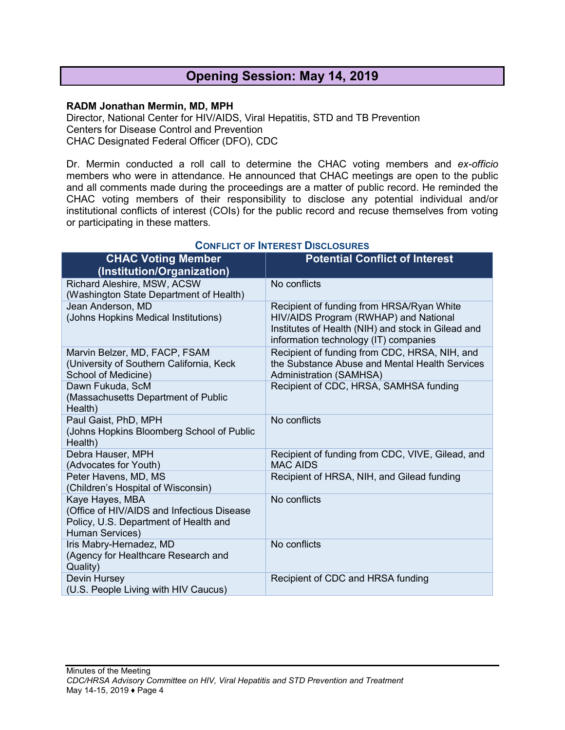# **Opening Session: May 14, 2019**

#### <span id="page-4-0"></span>**RADM Jonathan Mermin, MD, MPH**

Director, National Center for HIV/AIDS, Viral Hepatitis, STD and TB Prevention Centers for Disease Control and Prevention CHAC Designated Federal Officer (DFO), CDC

Dr. Mermin conducted a roll call to determine the CHAC voting members and *ex-officio* members who were in attendance. He announced that CHAC meetings are open to the public and all comments made during the proceedings are a matter of public record. He reminded the CHAC voting members of their responsibility to disclose any potential individual and/or institutional conflicts of interest (COIs) for the public record and recuse themselves from voting or participating in these matters.

| <b>CHAC Voting Member</b><br>(Institution/Organization)                                                                   | <b>Potential Conflict of Interest</b>                                                                                                                                             |
|---------------------------------------------------------------------------------------------------------------------------|-----------------------------------------------------------------------------------------------------------------------------------------------------------------------------------|
| Richard Aleshire, MSW, ACSW<br>(Washington State Department of Health)                                                    | No conflicts                                                                                                                                                                      |
| Jean Anderson, MD<br>(Johns Hopkins Medical Institutions)                                                                 | Recipient of funding from HRSA/Ryan White<br>HIV/AIDS Program (RWHAP) and National<br>Institutes of Health (NIH) and stock in Gilead and<br>information technology (IT) companies |
| Marvin Belzer, MD, FACP, FSAM<br>(University of Southern California, Keck<br>School of Medicine)                          | Recipient of funding from CDC, HRSA, NIH, and<br>the Substance Abuse and Mental Health Services<br><b>Administration (SAMHSA)</b>                                                 |
| Dawn Fukuda, ScM<br>(Massachusetts Department of Public<br>Health)                                                        | Recipient of CDC, HRSA, SAMHSA funding                                                                                                                                            |
| Paul Gaist, PhD, MPH<br>(Johns Hopkins Bloomberg School of Public<br>Health)                                              | No conflicts                                                                                                                                                                      |
| Debra Hauser, MPH<br>(Advocates for Youth)                                                                                | Recipient of funding from CDC, VIVE, Gilead, and<br><b>MAC AIDS</b>                                                                                                               |
| Peter Havens, MD, MS<br>(Children's Hospital of Wisconsin)                                                                | Recipient of HRSA, NIH, and Gilead funding                                                                                                                                        |
| Kaye Hayes, MBA<br>(Office of HIV/AIDS and Infectious Disease<br>Policy, U.S. Department of Health and<br>Human Services) | No conflicts                                                                                                                                                                      |
| Iris Mabry-Hernadez, MD<br>(Agency for Healthcare Research and<br>Quality)                                                | No conflicts                                                                                                                                                                      |
| Devin Hursey<br>(U.S. People Living with HIV Caucus)                                                                      | Recipient of CDC and HRSA funding                                                                                                                                                 |

#### **CONFLICT OF INTEREST DISCLOSURES**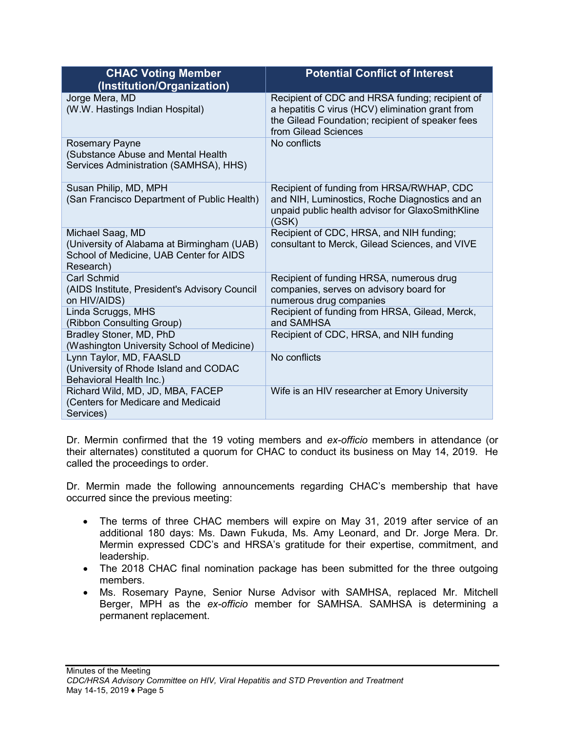| <b>CHAC Voting Member</b><br>(Institution/Organization)                                                                | <b>Potential Conflict of Interest</b>                                                                                                                                           |
|------------------------------------------------------------------------------------------------------------------------|---------------------------------------------------------------------------------------------------------------------------------------------------------------------------------|
| Jorge Mera, MD<br>(W.W. Hastings Indian Hospital)                                                                      | Recipient of CDC and HRSA funding; recipient of<br>a hepatitis C virus (HCV) elimination grant from<br>the Gilead Foundation; recipient of speaker fees<br>from Gilead Sciences |
| <b>Rosemary Payne</b><br>(Substance Abuse and Mental Health<br>Services Administration (SAMHSA), HHS)                  | No conflicts                                                                                                                                                                    |
| Susan Philip, MD, MPH<br>(San Francisco Department of Public Health)                                                   | Recipient of funding from HRSA/RWHAP, CDC<br>and NIH, Luminostics, Roche Diagnostics and an<br>unpaid public health advisor for GlaxoSmithKline<br>(GSK)                        |
| Michael Saag, MD<br>(University of Alabama at Birmingham (UAB)<br>School of Medicine, UAB Center for AIDS<br>Research) | Recipient of CDC, HRSA, and NIH funding;<br>consultant to Merck, Gilead Sciences, and VIVE                                                                                      |
| <b>Carl Schmid</b><br>(AIDS Institute, President's Advisory Council<br>on HIV/AIDS)                                    | Recipient of funding HRSA, numerous drug<br>companies, serves on advisory board for<br>numerous drug companies                                                                  |
| Linda Scruggs, MHS<br>(Ribbon Consulting Group)                                                                        | Recipient of funding from HRSA, Gilead, Merck,<br>and SAMHSA                                                                                                                    |
| Bradley Stoner, MD, PhD<br>(Washington University School of Medicine)                                                  | Recipient of CDC, HRSA, and NIH funding                                                                                                                                         |
| Lynn Taylor, MD, FAASLD<br>(University of Rhode Island and CODAC<br>Behavioral Health Inc.)                            | No conflicts                                                                                                                                                                    |
| Richard Wild, MD, JD, MBA, FACEP<br>(Centers for Medicare and Medicaid<br>Services)                                    | Wife is an HIV researcher at Emory University                                                                                                                                   |

Dr. Mermin confirmed that the 19 voting members and *ex-officio* members in attendance (or their alternates) constituted a quorum for CHAC to conduct its business on May 14, 2019. He called the proceedings to order.

Dr. Mermin made the following announcements regarding CHAC's membership that have occurred since the previous meeting:

- The terms of three CHAC members will expire on May 31, 2019 after service of an additional 180 days: Ms. Dawn Fukuda, Ms. Amy Leonard, and Dr. Jorge Mera. Dr. Mermin expressed CDC's and HRSA's gratitude for their expertise, commitment, and leadership.
- The 2018 CHAC final nomination package has been submitted for the three outgoing members.
- Ms. Rosemary Payne, Senior Nurse Advisor with SAMHSA, replaced Mr. Mitchell Berger, MPH as the *ex-officio* member for SAMHSA. SAMHSA is determining a permanent replacement.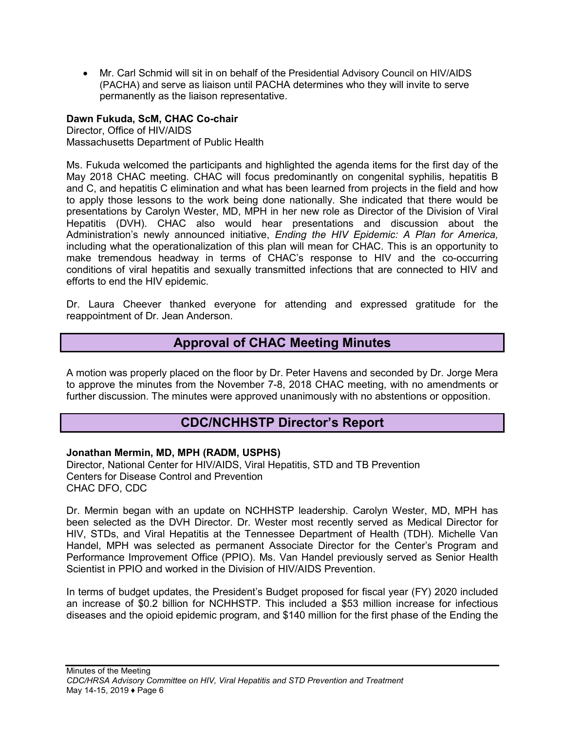• Mr. Carl Schmid will sit in on behalf of the Presidential Advisory Council on HIV/AIDS (PACHA) and serve as liaison until PACHA determines who they will invite to serve permanently as the liaison representative.

**Dawn Fukuda, ScM, CHAC Co-chair** Director, Office of HIV/AIDS Massachusetts Department of Public Health

Ms. Fukuda welcomed the participants and highlighted the agenda items for the first day of the May 2018 CHAC meeting. CHAC will focus predominantly on congenital syphilis, hepatitis B and C, and hepatitis C elimination and what has been learned from projects in the field and how to apply those lessons to the work being done nationally. She indicated that there would be presentations by Carolyn Wester, MD, MPH in her new role as Director of the Division of Viral Hepatitis (DVH). CHAC also would hear presentations and discussion about the Administration's newly announced initiative, *Ending the HIV Epidemic: A Plan for America,* including what the operationalization of this plan will mean for CHAC. This is an opportunity to make tremendous headway in terms of CHAC's response to HIV and the co-occurring conditions of viral hepatitis and sexually transmitted infections that are connected to HIV and efforts to end the HIV epidemic.

Dr. Laura Cheever thanked everyone for attending and expressed gratitude for the reappointment of Dr. Jean Anderson.

# **Approval of CHAC Meeting Minutes**

<span id="page-6-0"></span>A motion was properly placed on the floor by Dr. Peter Havens and seconded by Dr. Jorge Mera to approve the minutes from the November 7-8, 2018 CHAC meeting, with no amendments or further discussion. The minutes were approved unanimously with no abstentions or opposition.

# **CDC/NCHHSTP Director's Report**

#### <span id="page-6-1"></span>**Jonathan Mermin, MD, MPH (RADM, USPHS)**

Director, National Center for HIV/AIDS, Viral Hepatitis, STD and TB Prevention Centers for Disease Control and Prevention CHAC DFO, CDC

Dr. Mermin began with an update on NCHHSTP leadership. Carolyn Wester, MD, MPH has been selected as the DVH Director. Dr. Wester most recently served as Medical Director for HIV, STDs, and Viral Hepatitis at the Tennessee Department of Health (TDH). Michelle Van Handel, MPH was selected as permanent Associate Director for the Center's Program and Performance Improvement Office (PPIO). Ms. Van Handel previously served as Senior Health Scientist in PPIO and worked in the Division of HIV/AIDS Prevention.

In terms of budget updates, the President's Budget proposed for fiscal year (FY) 2020 included an increase of \$0.2 billion for NCHHSTP. This included a \$53 million increase for infectious diseases and the opioid epidemic program, and \$140 million for the first phase of the Ending the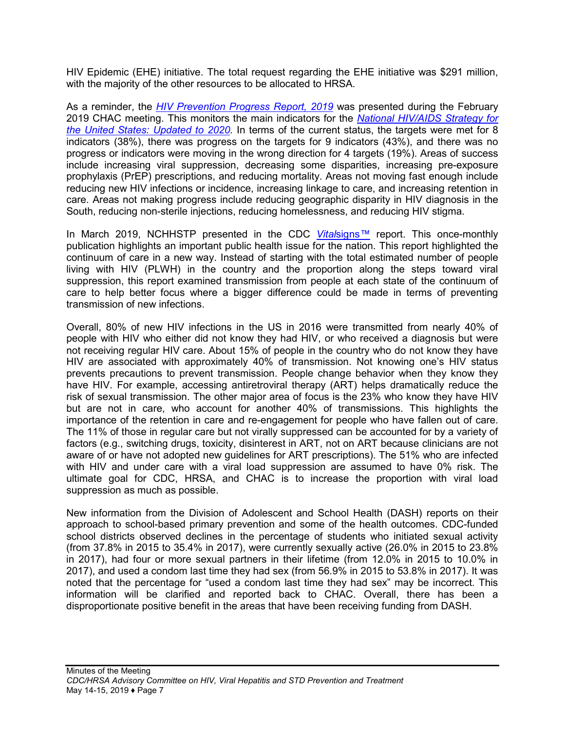HIV Epidemic (EHE) initiative. The total request regarding the EHE initiative was \$291 million, with the majority of the other resources to be allocated to HRSA.

As a reminder, the *[HIV Prevention Progress Report, 2019](https://npin.cdc.gov/publication/hiv-prevention-progress-report-2019)* was presented during the February 2019 CHAC meeting. This monitors the main indicators for the *[National HIV/AIDS Strategy for](https://www.hiv.gov/federal-response/national-hiv-aids-strategy/nhas-update)  [the United States: Updated to 2020.](https://www.hiv.gov/federal-response/national-hiv-aids-strategy/nhas-update)* In terms of the current status, the targets were met for 8 indicators (38%), there was progress on the targets for 9 indicators (43%), and there was no progress or indicators were moving in the wrong direction for 4 targets (19%). Areas of success include increasing viral suppression, decreasing some disparities, increasing pre-exposure prophylaxis (PrEP) prescriptions, and reducing mortality. Areas not moving fast enough include reducing new HIV infections or incidence, increasing linkage to care, and increasing retention in care. Areas not making progress include reducing geographic disparity in HIV diagnosis in the South, reducing non-sterile injections, reducing homelessness, and reducing HIV stigma.

In March 2019, NCHHSTP presented in the CDC *Vital*[signs](https://www.cdc.gov/vitalsigns/end-hiv/index.html)*™* report. This once-monthly publication highlights an important public health issue for the nation. This report highlighted the continuum of care in a new way. Instead of starting with the total estimated number of people living with HIV (PLWH) in the country and the proportion along the steps toward viral suppression, this report examined transmission from people at each state of the continuum of care to help better focus where a bigger difference could be made in terms of preventing transmission of new infections.

Overall, 80% of new HIV infections in the US in 2016 were transmitted from nearly 40% of people with HIV who either did not know they had HIV, or who received a diagnosis but were not receiving regular HIV care. About 15% of people in the country who do not know they have HIV are associated with approximately 40% of transmission. Not knowing one's HIV status prevents precautions to prevent transmission. People change behavior when they know they have HIV. For example, accessing antiretroviral therapy (ART) helps dramatically reduce the risk of sexual transmission. The other major area of focus is the 23% who know they have HIV but are not in care, who account for another 40% of transmissions. This highlights the importance of the retention in care and re-engagement for people who have fallen out of care. The 11% of those in regular care but not virally suppressed can be accounted for by a variety of factors (e.g., switching drugs, toxicity, disinterest in ART, not on ART because clinicians are not aware of or have not adopted new guidelines for ART prescriptions). The 51% who are infected with HIV and under care with a viral load suppression are assumed to have 0% risk. The ultimate goal for CDC, HRSA, and CHAC is to increase the proportion with viral load suppression as much as possible.

New information from the Division of Adolescent and School Health (DASH) reports on their approach to school-based primary prevention and some of the health outcomes. CDC-funded school districts observed declines in the percentage of students who initiated sexual activity (from 37.8% in 2015 to 35.4% in 2017), were currently sexually active (26.0% in 2015 to 23.8% in 2017), had four or more sexual partners in their lifetime (from 12.0% in 2015 to 10.0% in 2017), and used a condom last time they had sex (from 56.9% in 2015 to 53.8% in 2017). It was noted that the percentage for "used a condom last time they had sex" may be incorrect. This information will be clarified and reported back to CHAC. Overall, there has been a disproportionate positive benefit in the areas that have been receiving funding from DASH.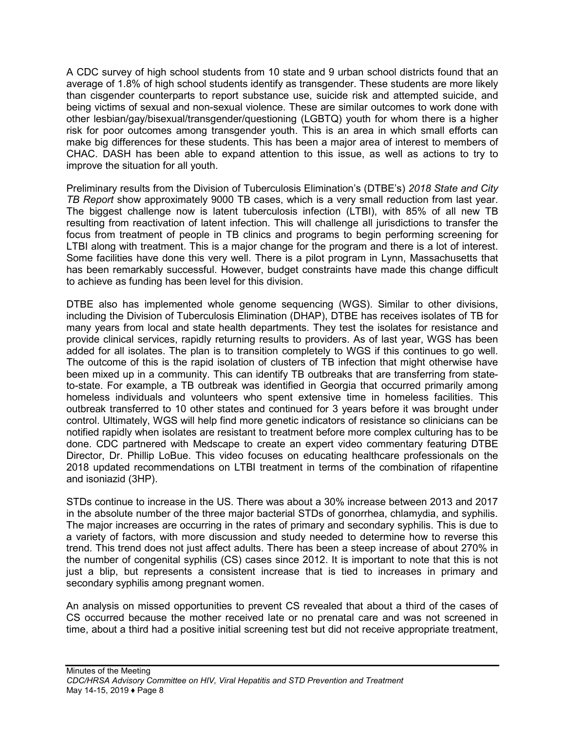A CDC survey of high school students from 10 state and 9 urban school districts found that an average of 1.8% of high school students identify as transgender. These students are more likely than cisgender counterparts to report substance use, suicide risk and attempted suicide, and being victims of sexual and non-sexual violence. These are similar outcomes to work done with other lesbian/gay/bisexual/transgender/questioning (LGBTQ) youth for whom there is a higher risk for poor outcomes among transgender youth. This is an area in which small efforts can make big differences for these students. This has been a major area of interest to members of CHAC. DASH has been able to expand attention to this issue, as well as actions to try to improve the situation for all youth.

Preliminary results from the Division of Tuberculosis Elimination's (DTBE's) *2018 State and City TB Report* show approximately 9000 TB cases, which is a very small reduction from last year. The biggest challenge now is latent tuberculosis infection (LTBI), with 85% of all new TB resulting from reactivation of latent infection. This will challenge all jurisdictions to transfer the focus from treatment of people in TB clinics and programs to begin performing screening for LTBI along with treatment. This is a major change for the program and there is a lot of interest. Some facilities have done this very well. There is a pilot program in Lynn, Massachusetts that has been remarkably successful. However, budget constraints have made this change difficult to achieve as funding has been level for this division.

DTBE also has implemented whole genome sequencing (WGS). Similar to other divisions, including the Division of Tuberculosis Elimination (DHAP), DTBE has receives isolates of TB for many years from local and state health departments. They test the isolates for resistance and provide clinical services, rapidly returning results to providers. As of last year, WGS has been added for all isolates. The plan is to transition completely to WGS if this continues to go well. The outcome of this is the rapid isolation of clusters of TB infection that might otherwise have been mixed up in a community. This can identify TB outbreaks that are transferring from stateto-state. For example, a TB outbreak was identified in Georgia that occurred primarily among homeless individuals and volunteers who spent extensive time in homeless facilities. This outbreak transferred to 10 other states and continued for 3 years before it was brought under control. Ultimately, WGS will help find more genetic indicators of resistance so clinicians can be notified rapidly when isolates are resistant to treatment before more complex culturing has to be done. CDC partnered with Medscape to create an expert video commentary featuring DTBE Director, Dr. Phillip LoBue. This video focuses on educating healthcare professionals on the 2018 updated recommendations on LTBI treatment in terms of the combination of rifapentine and isoniazid (3HP).

STDs continue to increase in the US. There was about a 30% increase between 2013 and 2017 in the absolute number of the three major bacterial STDs of gonorrhea, chlamydia, and syphilis. The major increases are occurring in the rates of primary and secondary syphilis. This is due to a variety of factors, with more discussion and study needed to determine how to reverse this trend. This trend does not just affect adults. There has been a steep increase of about 270% in the number of congenital syphilis (CS) cases since 2012. It is important to note that this is not just a blip, but represents a consistent increase that is tied to increases in primary and secondary syphilis among pregnant women.

An analysis on missed opportunities to prevent CS revealed that about a third of the cases of CS occurred because the mother received late or no prenatal care and was not screened in time, about a third had a positive initial screening test but did not receive appropriate treatment,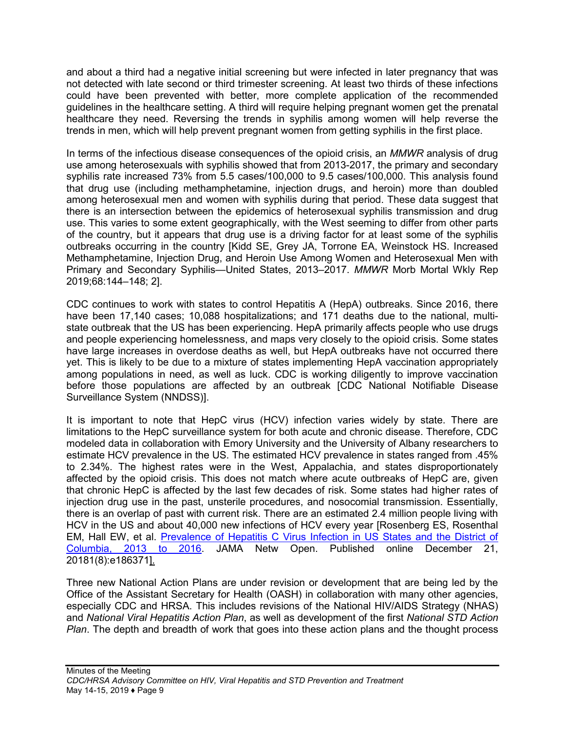and about a third had a negative initial screening but were infected in later pregnancy that was not detected with late second or third trimester screening. At least two thirds of these infections could have been prevented with better, more complete application of the recommended guidelines in the healthcare setting. A third will require helping pregnant women get the prenatal healthcare they need. Reversing the trends in syphilis among women will help reverse the trends in men, which will help prevent pregnant women from getting syphilis in the first place.

In terms of the infectious disease consequences of the opioid crisis, an *MMWR* analysis of drug use among heterosexuals with syphilis showed that from 2013-2017, the primary and secondary syphilis rate increased 73% from 5.5 cases/100,000 to 9.5 cases/100,000. This analysis found that drug use (including methamphetamine, injection drugs, and heroin) more than doubled among heterosexual men and women with syphilis during that period. These data suggest that there is an intersection between the epidemics of heterosexual syphilis transmission and drug use. This varies to some extent geographically, with the West seeming to differ from other parts of the country, but it appears that drug use is a driving factor for at least some of the syphilis outbreaks occurring in the country [Kidd SE, Grey JA, Torrone EA, Weinstock HS. Increased Methamphetamine, Injection Drug, and Heroin Use Among Women and Heterosexual Men with Primary and Secondary Syphilis—United States, 2013–2017. *MMWR* Morb Mortal Wkly Rep 2019;68:144–148; 2].

CDC continues to work with states to control Hepatitis A (HepA) outbreaks. Since 2016, there have been 17,140 cases; 10,088 hospitalizations; and 171 deaths due to the national, multistate outbreak that the US has been experiencing. HepA primarily affects people who use drugs and people experiencing homelessness, and maps very closely to the opioid crisis. Some states have large increases in overdose deaths as well, but HepA outbreaks have not occurred there yet. This is likely to be due to a mixture of states implementing HepA vaccination appropriately among populations in need, as well as luck. CDC is working diligently to improve vaccination before those populations are affected by an outbreak [CDC National Notifiable Disease Surveillance System (NNDSS)].

It is important to note that HepC virus (HCV) infection varies widely by state. There are limitations to the HepC surveillance system for both acute and chronic disease. Therefore, CDC modeled data in collaboration with Emory University and the University of Albany researchers to estimate HCV prevalence in the US. The estimated HCV prevalence in states ranged from .45% to 2.34%. The highest rates were in the West, Appalachia, and states disproportionately affected by the opioid crisis. This does not match where acute outbreaks of HepC are, given that chronic HepC is affected by the last few decades of risk. Some states had higher rates of injection drug use in the past, unsterile procedures, and nosocomial transmission. Essentially, there is an overlap of past with current risk. There are an estimated 2.4 million people living with HCV in the US and about 40,000 new infections of HCV every year [Rosenberg ES, Rosenthal EM, Hall EW, et al. [Prevalence of Hepatitis C Virus Infection in US States and the District of](https://jamanetwork.com/journals/jamanetworkopen/fullarticle/2719137)  [Columbia, 2013 to 2016](https://jamanetwork.com/journals/jamanetworkopen/fullarticle/2719137). JAMA Netw Open. Published online December 21, 20181(8):e186371].

Three new National Action Plans are under revision or development that are being led by the Office of the Assistant Secretary for Health (OASH) in collaboration with many other agencies, especially CDC and HRSA. This includes revisions of the National HIV/AIDS Strategy (NHAS) and *National Viral Hepatitis Action Plan*, as well as development of the first *National STD Action Plan*. The depth and breadth of work that goes into these action plans and the thought process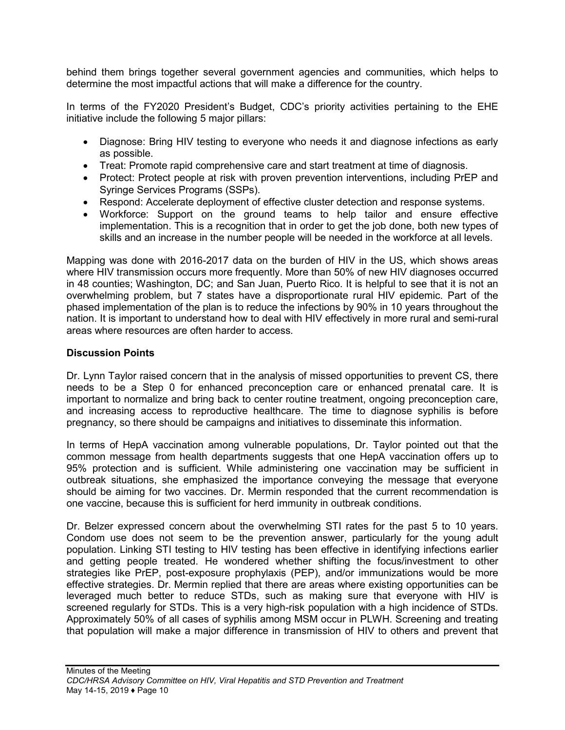behind them brings together several government agencies and communities, which helps to determine the most impactful actions that will make a difference for the country.

In terms of the FY2020 President's Budget, CDC's priority activities pertaining to the EHE initiative include the following 5 major pillars:

- Diagnose: Bring HIV testing to everyone who needs it and diagnose infections as early as possible.
- Treat: Promote rapid comprehensive care and start treatment at time of diagnosis.
- Protect: Protect people at risk with proven prevention interventions, including PrEP and Syringe Services Programs (SSPs).
- Respond: Accelerate deployment of effective cluster detection and response systems.
- Workforce: Support on the ground teams to help tailor and ensure effective implementation. This is a recognition that in order to get the job done, both new types of skills and an increase in the number people will be needed in the workforce at all levels.

Mapping was done with 2016-2017 data on the burden of HIV in the US, which shows areas where HIV transmission occurs more frequently. More than 50% of new HIV diagnoses occurred in 48 counties; Washington, DC; and San Juan, Puerto Rico. It is helpful to see that it is not an overwhelming problem, but 7 states have a disproportionate rural HIV epidemic. Part of the phased implementation of the plan is to reduce the infections by 90% in 10 years throughout the nation. It is important to understand how to deal with HIV effectively in more rural and semi-rural areas where resources are often harder to access.

#### **Discussion Points**

Dr. Lynn Taylor raised concern that in the analysis of missed opportunities to prevent CS, there needs to be a Step 0 for enhanced preconception care or enhanced prenatal care. It is important to normalize and bring back to center routine treatment, ongoing preconception care, and increasing access to reproductive healthcare. The time to diagnose syphilis is before pregnancy, so there should be campaigns and initiatives to disseminate this information.

In terms of HepA vaccination among vulnerable populations, Dr. Taylor pointed out that the common message from health departments suggests that one HepA vaccination offers up to 95% protection and is sufficient. While administering one vaccination may be sufficient in outbreak situations, she emphasized the importance conveying the message that everyone should be aiming for two vaccines. Dr. Mermin responded that the current recommendation is one vaccine, because this is sufficient for herd immunity in outbreak conditions.

Dr. Belzer expressed concern about the overwhelming STI rates for the past 5 to 10 years. Condom use does not seem to be the prevention answer, particularly for the young adult population. Linking STI testing to HIV testing has been effective in identifying infections earlier and getting people treated. He wondered whether shifting the focus/investment to other strategies like PrEP, post-exposure prophylaxis (PEP), and/or immunizations would be more effective strategies. Dr. Mermin replied that there are areas where existing opportunities can be leveraged much better to reduce STDs, such as making sure that everyone with HIV is screened regularly for STDs. This is a very high-risk population with a high incidence of STDs. Approximately 50% of all cases of syphilis among MSM occur in PLWH. Screening and treating that population will make a major difference in transmission of HIV to others and prevent that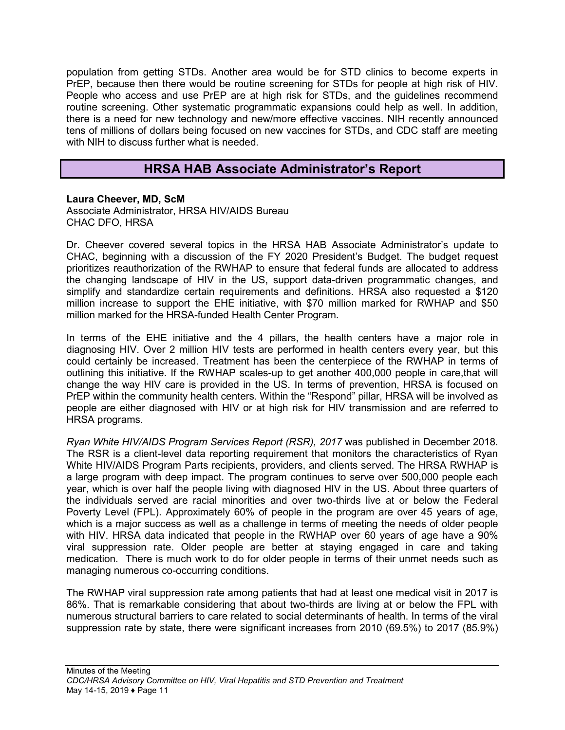population from getting STDs. Another area would be for STD clinics to become experts in PrEP, because then there would be routine screening for STDs for people at high risk of HIV. People who access and use PrEP are at high risk for STDs, and the guidelines recommend routine screening. Other systematic programmatic expansions could help as well. In addition, there is a need for new technology and new/more effective vaccines. NIH recently announced tens of millions of dollars being focused on new vaccines for STDs, and CDC staff are meeting with NIH to discuss further what is needed.

# **HRSA HAB Associate Administrator's Report**

#### <span id="page-11-0"></span>**Laura Cheever, MD, ScM**

Associate Administrator, HRSA HIV/AIDS Bureau CHAC DFO, HRSA

Dr. Cheever covered several topics in the HRSA HAB Associate Administrator's update to CHAC, beginning with a discussion of the FY 2020 President's Budget. The budget request prioritizes reauthorization of the RWHAP to ensure that federal funds are allocated to address the changing landscape of HIV in the US, support data-driven programmatic changes, and simplify and standardize certain requirements and definitions. HRSA also requested a \$120 million increase to support the EHE initiative, with \$70 million marked for RWHAP and \$50 million marked for the HRSA-funded Health Center Program.

In terms of the EHE initiative and the 4 pillars, the health centers have a major role in diagnosing HIV. Over 2 million HIV tests are performed in health centers every year, but this could certainly be increased. Treatment has been the centerpiece of the RWHAP in terms of outlining this initiative. If the RWHAP scales-up to get another 400,000 people in care,that will change the way HIV care is provided in the US. In terms of prevention, HRSA is focused on PrEP within the community health centers. Within the "Respond" pillar, HRSA will be involved as people are either diagnosed with HIV or at high risk for HIV transmission and are referred to HRSA programs.

*Ryan White HIV/AIDS Program Services Report (RSR), 2017* was published in December 2018. The RSR is a client-level data reporting requirement that monitors the characteristics of Ryan White HIV/AIDS Program Parts recipients, providers, and clients served. The HRSA RWHAP is a large program with deep impact. The program continues to serve over 500,000 people each year, which is over half the people living with diagnosed HIV in the US. About three quarters of the individuals served are racial minorities and over two-thirds live at or below the Federal Poverty Level (FPL). Approximately 60% of people in the program are over 45 years of age, which is a major success as well as a challenge in terms of meeting the needs of older people with HIV. HRSA data indicated that people in the RWHAP over 60 years of age have a 90% viral suppression rate. Older people are better at staying engaged in care and taking medication. There is much work to do for older people in terms of their unmet needs such as managing numerous co-occurring conditions.

The RWHAP viral suppression rate among patients that had at least one medical visit in 2017 is 86%. That is remarkable considering that about two-thirds are living at or below the FPL with numerous structural barriers to care related to social determinants of health. In terms of the viral suppression rate by state, there were significant increases from 2010 (69.5%) to 2017 (85.9%)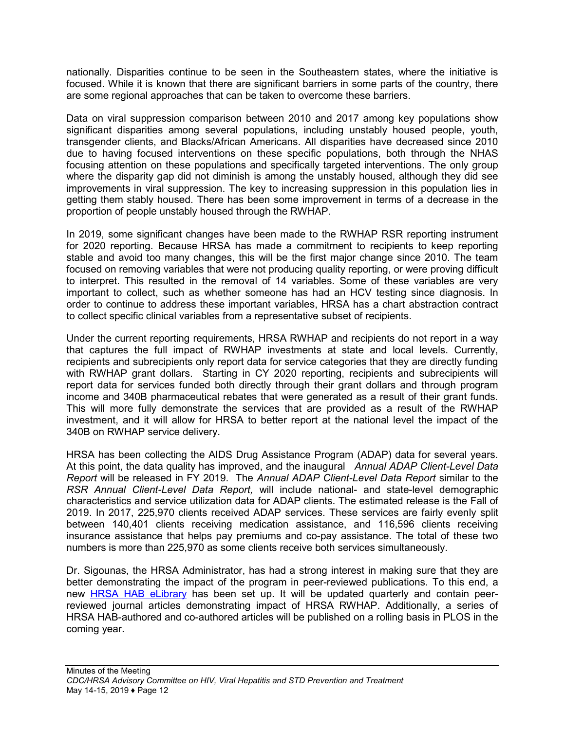nationally. Disparities continue to be seen in the Southeastern states, where the initiative is focused. While it is known that there are significant barriers in some parts of the country, there are some regional approaches that can be taken to overcome these barriers.

Data on viral suppression comparison between 2010 and 2017 among key populations show significant disparities among several populations, including unstably housed people, youth, transgender clients, and Blacks/African Americans. All disparities have decreased since 2010 due to having focused interventions on these specific populations, both through the NHAS focusing attention on these populations and specifically targeted interventions. The only group where the disparity gap did not diminish is among the unstably housed, although they did see improvements in viral suppression. The key to increasing suppression in this population lies in getting them stably housed. There has been some improvement in terms of a decrease in the proportion of people unstably housed through the RWHAP.

In 2019, some significant changes have been made to the RWHAP RSR reporting instrument for 2020 reporting. Because HRSA has made a commitment to recipients to keep reporting stable and avoid too many changes, this will be the first major change since 2010. The team focused on removing variables that were not producing quality reporting, or were proving difficult to interpret. This resulted in the removal of 14 variables. Some of these variables are very important to collect, such as whether someone has had an HCV testing since diagnosis. In order to continue to address these important variables, HRSA has a chart abstraction contract to collect specific clinical variables from a representative subset of recipients.

Under the current reporting requirements, HRSA RWHAP and recipients do not report in a way that captures the full impact of RWHAP investments at state and local levels. Currently, recipients and subrecipients only report data for service categories that they are directly funding with RWHAP grant dollars. Starting in CY 2020 reporting, recipients and subrecipients will report data for services funded both directly through their grant dollars and through program income and 340B pharmaceutical rebates that were generated as a result of their grant funds. This will more fully demonstrate the services that are provided as a result of the RWHAP investment, and it will allow for HRSA to better report at the national level the impact of the 340B on RWHAP service delivery.

HRSA has been collecting the AIDS Drug Assistance Program (ADAP) data for several years. At this point, the data quality has improved, and the inaugural *Annual ADAP Client-Level Data Report* will be released in FY 2019. The *Annual ADAP Client-Level Data Report* similar to the *RSR Annual Client-Level Data Report,* will include national- and state-level demographic characteristics and service utilization data for ADAP clients. The estimated release is the Fall of 2019. In 2017, 225,970 clients received ADAP services. These services are fairly evenly split between 140,401 clients receiving medication assistance, and 116,596 clients receiving insurance assistance that helps pay premiums and co-pay assistance. The total of these two numbers is more than 225,970 as some clients receive both services simultaneously.

Dr. Sigounas, the HRSA Administrator, has had a strong interest in making sure that they are better demonstrating the impact of the program in peer-reviewed publications. To this end, a new [HRSA HAB eLi](https://hab.hrsa.gov/publications/library)brary has been set up. It will be updated quarterly and contain peerreviewed journal articles demonstrating impact of HRSA RWHAP. Additionally, a series of HRSA HAB-authored and co-authored articles will be published on a rolling basis in PLOS in the coming year.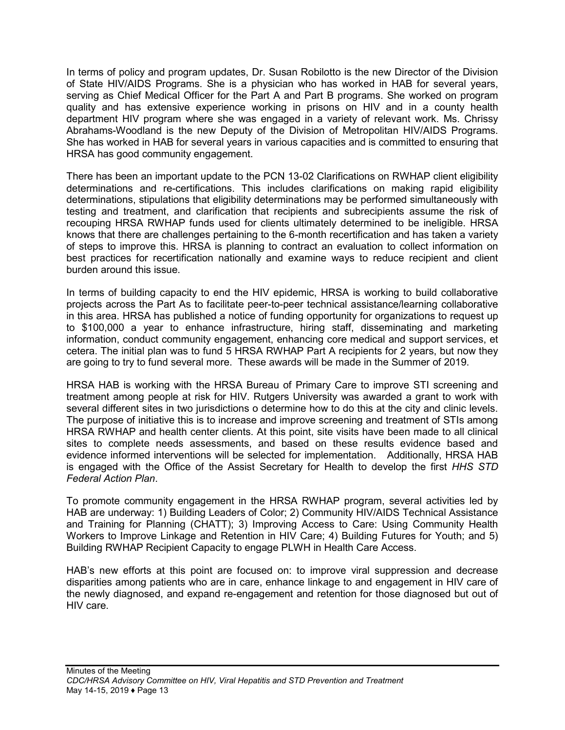In terms of policy and program updates, Dr. Susan Robilotto is the new Director of the Division of State HIV/AIDS Programs. She is a physician who has worked in HAB for several years, serving as Chief Medical Officer for the Part A and Part B programs. She worked on program quality and has extensive experience working in prisons on HIV and in a county health department HIV program where she was engaged in a variety of relevant work. Ms. Chrissy Abrahams-Woodland is the new Deputy of the Division of Metropolitan HIV/AIDS Programs. She has worked in HAB for several years in various capacities and is committed to ensuring that HRSA has good community engagement.

There has been an important update to the PCN 13-02 Clarifications on RWHAP client eligibility determinations and re-certifications. This includes clarifications on making rapid eligibility determinations, stipulations that eligibility determinations may be performed simultaneously with testing and treatment, and clarification that recipients and subrecipients assume the risk of recouping HRSA RWHAP funds used for clients ultimately determined to be ineligible. HRSA knows that there are challenges pertaining to the 6-month recertification and has taken a variety of steps to improve this. HRSA is planning to contract an evaluation to collect information on best practices for recertification nationally and examine ways to reduce recipient and client burden around this issue.

In terms of building capacity to end the HIV epidemic, HRSA is working to build collaborative projects across the Part As to facilitate peer-to-peer technical assistance/learning collaborative in this area. HRSA has published a notice of funding opportunity for organizations to request up to \$100,000 a year to enhance infrastructure, hiring staff, disseminating and marketing information, conduct community engagement, enhancing core medical and support services, et cetera. The initial plan was to fund 5 HRSA RWHAP Part A recipients for 2 years, but now they are going to try to fund several more. These awards will be made in the Summer of 2019.

HRSA HAB is working with the HRSA Bureau of Primary Care to improve STI screening and treatment among people at risk for HIV. Rutgers University was awarded a grant to work with several different sites in two jurisdictions o determine how to do this at the city and clinic levels. The purpose of initiative this is to increase and improve screening and treatment of STIs among HRSA RWHAP and health center clients. At this point, site visits have been made to all clinical sites to complete needs assessments, and based on these results evidence based and evidence informed interventions will be selected for implementation. Additionally, HRSA HAB is engaged with the Office of the Assist Secretary for Health to develop the first *HHS STD Federal Action Plan*.

To promote community engagement in the HRSA RWHAP program, several activities led by HAB are underway: 1) Building Leaders of Color; 2) Community HIV/AIDS Technical Assistance and Training for Planning (CHATT); 3) Improving Access to Care: Using Community Health Workers to Improve Linkage and Retention in HIV Care; 4) Building Futures for Youth; and 5) Building RWHAP Recipient Capacity to engage PLWH in Health Care Access.

HAB's new efforts at this point are focused on: to improve viral suppression and decrease disparities among patients who are in care, enhance linkage to and engagement in HIV care of the newly diagnosed, and expand re-engagement and retention for those diagnosed but out of HIV care.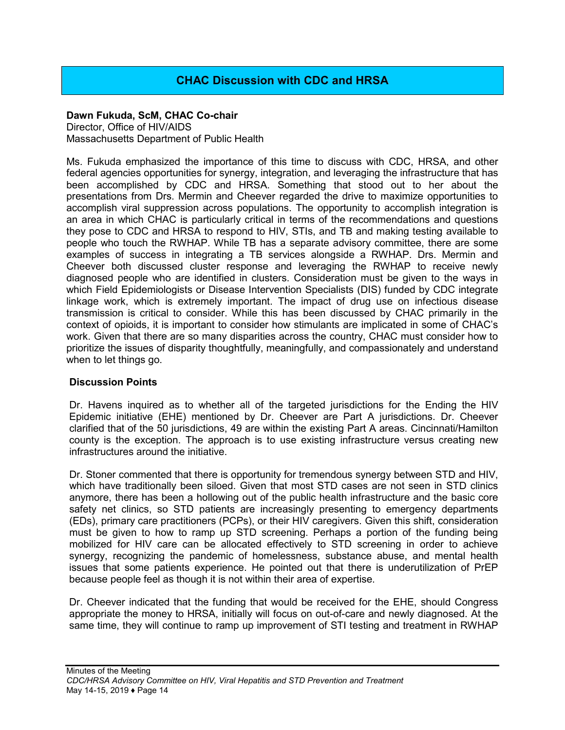# **CHAC Discussion with CDC and HRSA**

#### <span id="page-14-0"></span>**Dawn Fukuda, ScM, CHAC Co-chair**

Director, Office of HIV/AIDS Massachusetts Department of Public Health

Ms. Fukuda emphasized the importance of this time to discuss with CDC, HRSA, and other federal agencies opportunities for synergy, integration, and leveraging the infrastructure that has been accomplished by CDC and HRSA. Something that stood out to her about the presentations from Drs. Mermin and Cheever regarded the drive to maximize opportunities to accomplish viral suppression across populations. The opportunity to accomplish integration is an area in which CHAC is particularly critical in terms of the recommendations and questions they pose to CDC and HRSA to respond to HIV, STIs, and TB and making testing available to people who touch the RWHAP. While TB has a separate advisory committee, there are some examples of success in integrating a TB services alongside a RWHAP. Drs. Mermin and Cheever both discussed cluster response and leveraging the RWHAP to receive newly diagnosed people who are identified in clusters. Consideration must be given to the ways in which Field Epidemiologists or Disease Intervention Specialists (DIS) funded by CDC integrate linkage work, which is extremely important. The impact of drug use on infectious disease transmission is critical to consider. While this has been discussed by CHAC primarily in the context of opioids, it is important to consider how stimulants are implicated in some of CHAC's work. Given that there are so many disparities across the country, CHAC must consider how to prioritize the issues of disparity thoughtfully, meaningfully, and compassionately and understand when to let things go.

#### **Discussion Points**

Dr. Havens inquired as to whether all of the targeted jurisdictions for the Ending the HIV Epidemic initiative (EHE) mentioned by Dr. Cheever are Part A jurisdictions. Dr. Cheever clarified that of the 50 jurisdictions, 49 are within the existing Part A areas. Cincinnati/Hamilton county is the exception. The approach is to use existing infrastructure versus creating new infrastructures around the initiative.

Dr. Stoner commented that there is opportunity for tremendous synergy between STD and HIV, which have traditionally been siloed. Given that most STD cases are not seen in STD clinics anymore, there has been a hollowing out of the public health infrastructure and the basic core safety net clinics, so STD patients are increasingly presenting to emergency departments (EDs), primary care practitioners (PCPs), or their HIV caregivers. Given this shift, consideration must be given to how to ramp up STD screening. Perhaps a portion of the funding being mobilized for HIV care can be allocated effectively to STD screening in order to achieve synergy, recognizing the pandemic of homelessness, substance abuse, and mental health issues that some patients experience. He pointed out that there is underutilization of PrEP because people feel as though it is not within their area of expertise.

Dr. Cheever indicated that the funding that would be received for the EHE, should Congress appropriate the money to HRSA, initially will focus on out-of-care and newly diagnosed. At the same time, they will continue to ramp up improvement of STI testing and treatment in RWHAP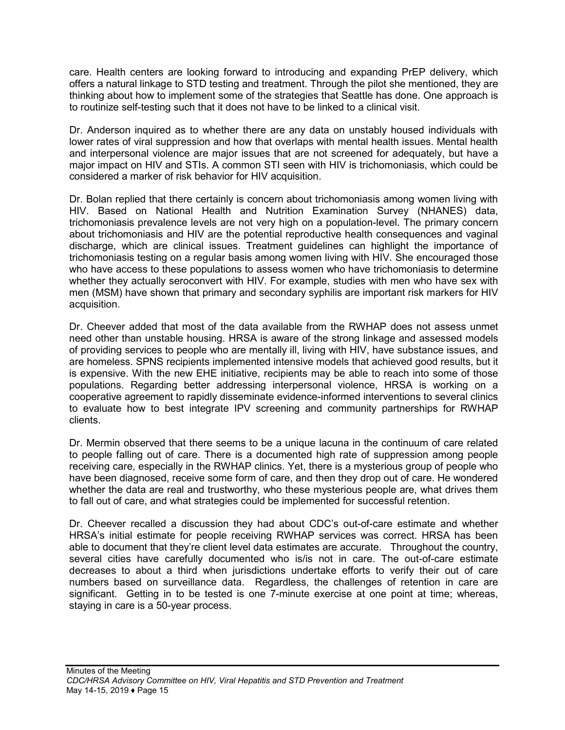care. Health centers are looking forward to introducing and expanding PrEP delivery, which offers a natural linkage to STD testing and treatment. Through the pilot she mentioned, they are thinking about how to implement some of the strategies that Seattle has done. One approach is to routinize self-testing such that it does not have to be linked to a clinical visit.

Dr. Anderson inquired as to whether there are any data on unstably housed individuals with lower rates of viral suppression and how that overlaps with mental health issues. Mental health and interpersonal violence are major issues that are not screened for adequately, but have a major impact on HIV and STIs. A common STI seen with HIV is trichomoniasis, which could be considered a marker of risk behavior for HIV acquisition.

Dr. Bolan replied that there certainly is concern about trichomoniasis among women living with HIV. Based on National Health and Nutrition Examination Survey (NHANES) data, trichomoniasis prevalence levels are not very high on a population-level. The primary concern about trichomoniasis and HIV are the potential reproductive health consequences and vaginal discharge, which are clinical issues. Treatment guidelines can highlight the importance of trichomoniasis testing on a regular basis among women living with HIV. She encouraged those who have access to these populations to assess women who have trichomoniasis to determine whether they actually seroconvert with HIV. For example, studies with men who have sex with men (MSM) have shown that primary and secondary syphilis are important risk markers for HIV acquisition.

Dr. Cheever added that most of the data available from the RWHAP does not assess unmet need other than unstable housing. HRSA is aware of the strong linkage and assessed models of providing services to people who are mentally ill, living with HIV, have substance issues, and are homeless. SPNS recipients implemented intensive models that achieved good results, but it is expensive. With the new EHE initiative, recipients may be able to reach into some of those populations. Regarding better addressing interpersonal violence, HRSA is working on a cooperative agreement to rapidly disseminate evidence-informed interventions to several clinics to evaluate how to best integrate IPV screening and community partnerships for RWHAP clients.

Dr. Mermin observed that there seems to be a unique lacuna in the continuum of care related to people falling out of care. There is a documented high rate of suppression among people receiving care, especially in the RWHAP clinics. Yet, there is a mysterious group of people who have been diagnosed, receive some form of care, and then they drop out of care. He wondered whether the data are real and trustworthy, who these mysterious people are, what drives them to fall out of care, and what strategies could be implemented for successful retention.

Dr. Cheever recalled a discussion they had about CDC's out-of-care estimate and whether HRSA's initial estimate for people receiving RWHAP services was correct. HRSA has been able to document that they're client level data estimates are accurate. Throughout the country, several cities have carefully documented who is/is not in care. The out-of-care estimate decreases to about a third when jurisdictions undertake efforts to verify their out of care numbers based on surveillance data. Regardless, the challenges of retention in care are significant. Getting in to be tested is one 7-minute exercise at one point at time; whereas, staying in care is a 50-year process.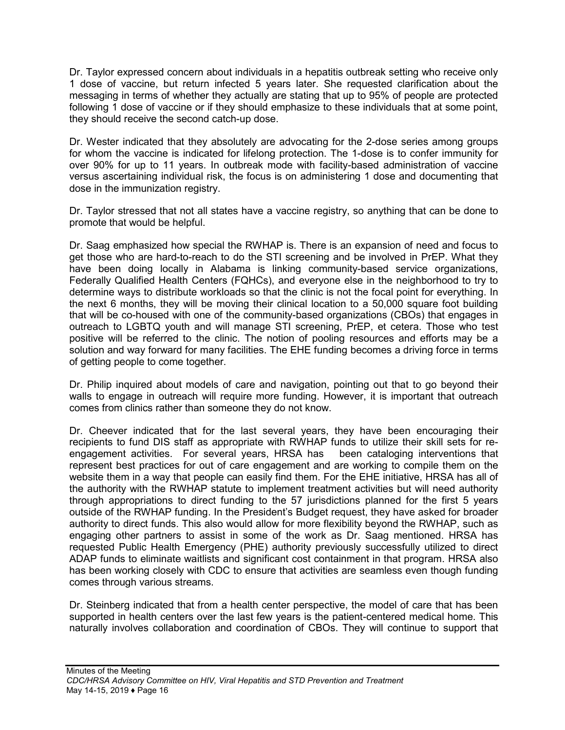Dr. Taylor expressed concern about individuals in a hepatitis outbreak setting who receive only 1 dose of vaccine, but return infected 5 years later. She requested clarification about the messaging in terms of whether they actually are stating that up to 95% of people are protected following 1 dose of vaccine or if they should emphasize to these individuals that at some point, they should receive the second catch-up dose.

Dr. Wester indicated that they absolutely are advocating for the 2-dose series among groups for whom the vaccine is indicated for lifelong protection. The 1-dose is to confer immunity for over 90% for up to 11 years. In outbreak mode with facility-based administration of vaccine versus ascertaining individual risk, the focus is on administering 1 dose and documenting that dose in the immunization registry.

Dr. Taylor stressed that not all states have a vaccine registry, so anything that can be done to promote that would be helpful.

Dr. Saag emphasized how special the RWHAP is. There is an expansion of need and focus to get those who are hard-to-reach to do the STI screening and be involved in PrEP. What they have been doing locally in Alabama is linking community-based service organizations, Federally Qualified Health Centers (FQHCs), and everyone else in the neighborhood to try to determine ways to distribute workloads so that the clinic is not the focal point for everything. In the next 6 months, they will be moving their clinical location to a 50,000 square foot building that will be co-housed with one of the community-based organizations (CBOs) that engages in outreach to LGBTQ youth and will manage STI screening, PrEP, et cetera. Those who test positive will be referred to the clinic. The notion of pooling resources and efforts may be a solution and way forward for many facilities. The EHE funding becomes a driving force in terms of getting people to come together.

Dr. Philip inquired about models of care and navigation, pointing out that to go beyond their walls to engage in outreach will require more funding. However, it is important that outreach comes from clinics rather than someone they do not know.

Dr. Cheever indicated that for the last several years, they have been encouraging their recipients to fund DIS staff as appropriate with RWHAP funds to utilize their skill sets for reengagement activities. For several years, HRSA has been cataloging interventions that represent best practices for out of care engagement and are working to compile them on the website them in a way that people can easily find them. For the EHE initiative, HRSA has all of the authority with the RWHAP statute to implement treatment activities but will need authority through appropriations to direct funding to the 57 jurisdictions planned for the first 5 years outside of the RWHAP funding. In the President's Budget request, they have asked for broader authority to direct funds. This also would allow for more flexibility beyond the RWHAP, such as engaging other partners to assist in some of the work as Dr. Saag mentioned. HRSA has requested Public Health Emergency (PHE) authority previously successfully utilized to direct ADAP funds to eliminate waitlists and significant cost containment in that program. HRSA also has been working closely with CDC to ensure that activities are seamless even though funding comes through various streams.

Dr. Steinberg indicated that from a health center perspective, the model of care that has been supported in health centers over the last few years is the patient-centered medical home. This naturally involves collaboration and coordination of CBOs. They will continue to support that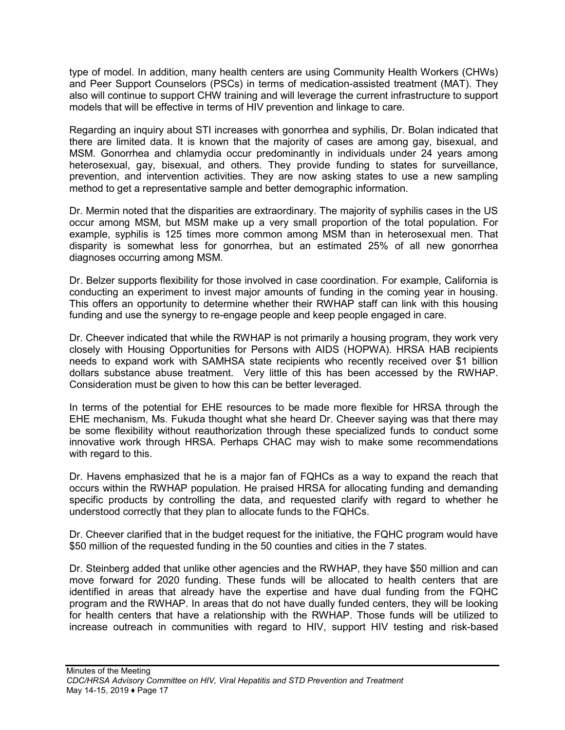type of model. In addition, many health centers are using Community Health Workers (CHWs) and Peer Support Counselors (PSCs) in terms of medication-assisted treatment (MAT). They also will continue to support CHW training and will leverage the current infrastructure to support models that will be effective in terms of HIV prevention and linkage to care.

Regarding an inquiry about STI increases with gonorrhea and syphilis, Dr. Bolan indicated that there are limited data. It is known that the majority of cases are among gay, bisexual, and MSM. Gonorrhea and chlamydia occur predominantly in individuals under 24 years among heterosexual, gay, bisexual, and others. They provide funding to states for surveillance, prevention, and intervention activities. They are now asking states to use a new sampling method to get a representative sample and better demographic information.

Dr. Mermin noted that the disparities are extraordinary. The majority of syphilis cases in the US occur among MSM, but MSM make up a very small proportion of the total population. For example, syphilis is 125 times more common among MSM than in heterosexual men. That disparity is somewhat less for gonorrhea, but an estimated 25% of all new gonorrhea diagnoses occurring among MSM.

Dr. Belzer supports flexibility for those involved in case coordination. For example, California is conducting an experiment to invest major amounts of funding in the coming year in housing. This offers an opportunity to determine whether their RWHAP staff can link with this housing funding and use the synergy to re-engage people and keep people engaged in care.

Dr. Cheever indicated that while the RWHAP is not primarily a housing program, they work very closely with Housing Opportunities for Persons with AIDS (HOPWA). HRSA HAB recipients needs to expand work with SAMHSA state recipients who recently received over \$1 billion dollars substance abuse treatment. Very little of this has been accessed by the RWHAP. Consideration must be given to how this can be better leveraged.

In terms of the potential for EHE resources to be made more flexible for HRSA through the EHE mechanism, Ms. Fukuda thought what she heard Dr. Cheever saying was that there may be some flexibility without reauthorization through these specialized funds to conduct some innovative work through HRSA. Perhaps CHAC may wish to make some recommendations with regard to this.

Dr. Havens emphasized that he is a major fan of FQHCs as a way to expand the reach that occurs within the RWHAP population. He praised HRSA for allocating funding and demanding specific products by controlling the data, and requested clarify with regard to whether he understood correctly that they plan to allocate funds to the FQHCs.

Dr. Cheever clarified that in the budget request for the initiative, the FQHC program would have \$50 million of the requested funding in the 50 counties and cities in the 7 states.

Dr. Steinberg added that unlike other agencies and the RWHAP, they have \$50 million and can move forward for 2020 funding. These funds will be allocated to health centers that are identified in areas that already have the expertise and have dual funding from the FQHC program and the RWHAP. In areas that do not have dually funded centers, they will be looking for health centers that have a relationship with the RWHAP. Those funds will be utilized to increase outreach in communities with regard to HIV, support HIV testing and risk-based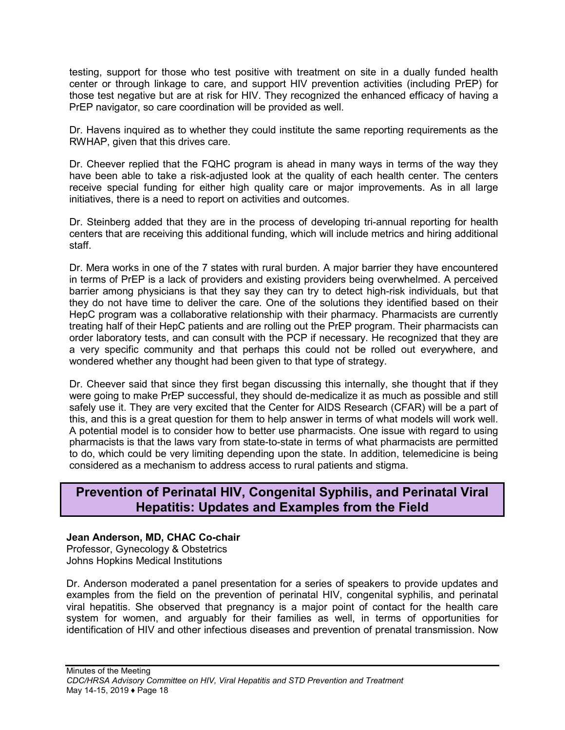testing, support for those who test positive with treatment on site in a dually funded health center or through linkage to care, and support HIV prevention activities (including PrEP) for those test negative but are at risk for HIV. They recognized the enhanced efficacy of having a PrEP navigator, so care coordination will be provided as well.

Dr. Havens inquired as to whether they could institute the same reporting requirements as the RWHAP, given that this drives care.

Dr. Cheever replied that the FQHC program is ahead in many ways in terms of the way they have been able to take a risk-adjusted look at the quality of each health center. The centers receive special funding for either high quality care or major improvements. As in all large initiatives, there is a need to report on activities and outcomes.

Dr. Steinberg added that they are in the process of developing tri-annual reporting for health centers that are receiving this additional funding, which will include metrics and hiring additional staff.

Dr. Mera works in one of the 7 states with rural burden. A major barrier they have encountered in terms of PrEP is a lack of providers and existing providers being overwhelmed. A perceived barrier among physicians is that they say they can try to detect high-risk individuals, but that they do not have time to deliver the care. One of the solutions they identified based on their HepC program was a collaborative relationship with their pharmacy. Pharmacists are currently treating half of their HepC patients and are rolling out the PrEP program. Their pharmacists can order laboratory tests, and can consult with the PCP if necessary. He recognized that they are a very specific community and that perhaps this could not be rolled out everywhere, and wondered whether any thought had been given to that type of strategy.

Dr. Cheever said that since they first began discussing this internally, she thought that if they were going to make PrEP successful, they should de-medicalize it as much as possible and still safely use it. They are very excited that the Center for AIDS Research (CFAR) will be a part of this, and this is a great question for them to help answer in terms of what models will work well. A potential model is to consider how to better use pharmacists. One issue with regard to using pharmacists is that the laws vary from state-to-state in terms of what pharmacists are permitted to do, which could be very limiting depending upon the state. In addition, telemedicine is being considered as a mechanism to address access to rural patients and stigma.

# <span id="page-18-0"></span>**Prevention of Perinatal HIV, Congenital Syphilis, and Perinatal Viral Hepatitis: Updates and Examples from the Field**

#### **Jean Anderson, MD, CHAC Co-chair**

Professor, Gynecology & Obstetrics Johns Hopkins Medical Institutions

Dr. Anderson moderated a panel presentation for a series of speakers to provide updates and examples from the field on the prevention of perinatal HIV, congenital syphilis, and perinatal viral hepatitis. She observed that pregnancy is a major point of contact for the health care system for women, and arguably for their families as well, in terms of opportunities for identification of HIV and other infectious diseases and prevention of prenatal transmission. Now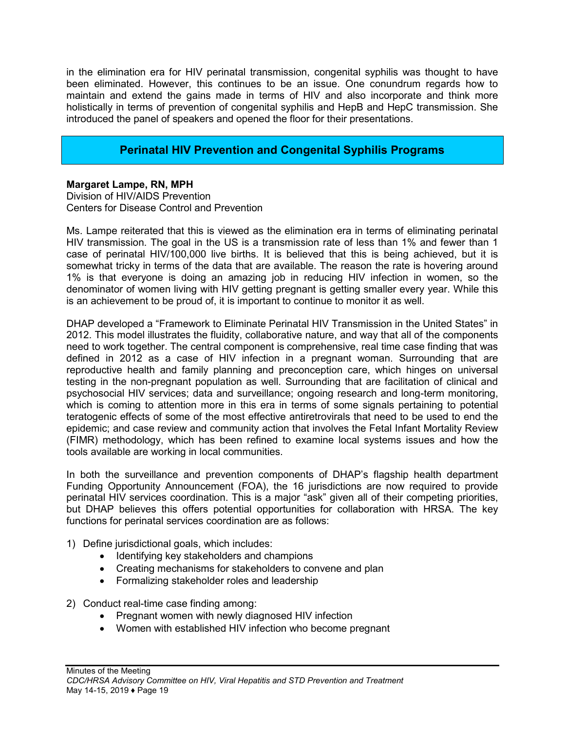in the elimination era for HIV perinatal transmission, congenital syphilis was thought to have been eliminated. However, this continues to be an issue. One conundrum regards how to maintain and extend the gains made in terms of HIV and also incorporate and think more holistically in terms of prevention of congenital syphilis and HepB and HepC transmission. She introduced the panel of speakers and opened the floor for their presentations.

### **Perinatal HIV Prevention and Congenital Syphilis Programs**

<span id="page-19-0"></span>**Margaret Lampe, RN, MPH** Division of HIV/AIDS Prevention Centers for Disease Control and Prevention

Ms. Lampe reiterated that this is viewed as the elimination era in terms of eliminating perinatal HIV transmission. The goal in the US is a transmission rate of less than 1% and fewer than 1 case of perinatal HIV/100,000 live births. It is believed that this is being achieved, but it is somewhat tricky in terms of the data that are available. The reason the rate is hovering around 1% is that everyone is doing an amazing job in reducing HIV infection in women, so the denominator of women living with HIV getting pregnant is getting smaller every year. While this is an achievement to be proud of, it is important to continue to monitor it as well.

DHAP developed a "Framework to Eliminate Perinatal HIV Transmission in the United States" in 2012. This model illustrates the fluidity, collaborative nature, and way that all of the components need to work together. The central component is comprehensive, real time case finding that was defined in 2012 as a case of HIV infection in a pregnant woman. Surrounding that are reproductive health and family planning and preconception care, which hinges on universal testing in the non-pregnant population as well. Surrounding that are facilitation of clinical and psychosocial HIV services; data and surveillance; ongoing research and long-term monitoring, which is coming to attention more in this era in terms of some signals pertaining to potential teratogenic effects of some of the most effective antiretrovirals that need to be used to end the epidemic; and case review and community action that involves the Fetal Infant Mortality Review (FIMR) methodology, which has been refined to examine local systems issues and how the tools available are working in local communities.

In both the surveillance and prevention components of DHAP's flagship health department Funding Opportunity Announcement (FOA), the 16 jurisdictions are now required to provide perinatal HIV services coordination. This is a major "ask" given all of their competing priorities, but DHAP believes this offers potential opportunities for collaboration with HRSA. The key functions for perinatal services coordination are as follows:

- 1) Define jurisdictional goals, which includes:
	- Identifying key stakeholders and champions
	- Creating mechanisms for stakeholders to convene and plan
	- Formalizing stakeholder roles and leadership

2) Conduct real-time case finding among:

- Pregnant women with newly diagnosed HIV infection
- Women with established HIV infection who become pregnant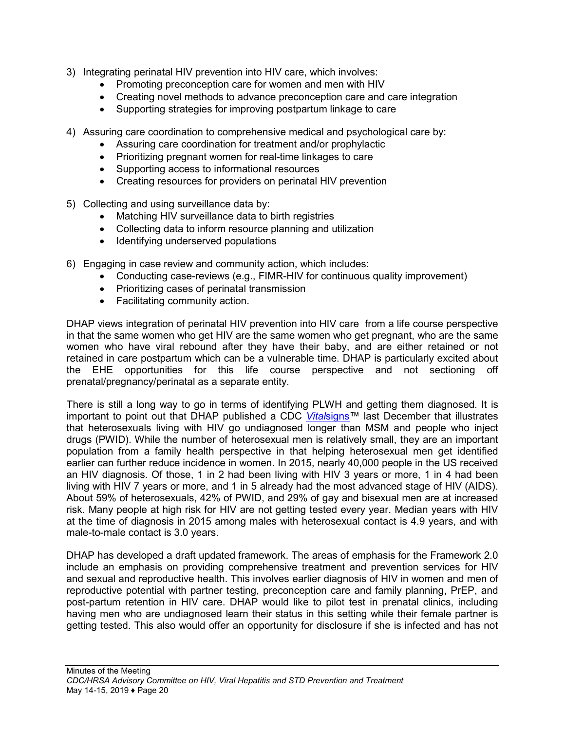- 3) Integrating perinatal HIV prevention into HIV care, which involves:
	- Promoting preconception care for women and men with HIV
	- Creating novel methods to advance preconception care and care integration
	- Supporting strategies for improving postpartum linkage to care
- 4) Assuring care coordination to comprehensive medical and psychological care by:
	- Assuring care coordination for treatment and/or prophylactic
	- Prioritizing pregnant women for real-time linkages to care
	- Supporting access to informational resources
	- Creating resources for providers on perinatal HIV prevention
- 5) Collecting and using surveillance data by:
	- Matching HIV surveillance data to birth registries
	- Collecting data to inform resource planning and utilization
	- Identifying underserved populations
- 6) Engaging in case review and community action, which includes:
	- Conducting case-reviews (e.g., FIMR-HIV for continuous quality improvement)
	- Prioritizing cases of perinatal transmission
	- Facilitating community action.

DHAP views integration of perinatal HIV prevention into HIV care from a life course perspective in that the same women who get HIV are the same women who get pregnant, who are the same women who have viral rebound after they have their baby, and are either retained or not retained in care postpartum which can be a vulnerable time. DHAP is particularly excited about the EHE opportunities for this life course perspective and not sectioning off prenatal/pregnancy/perinatal as a separate entity.

There is still a long way to go in terms of identifying PLWH and getting them diagnosed. It is important to point out that DHAP published a CDC *Vital*[signs™](https://www.aaip.org/sites/aaip/uploads/images/MMWR_ebook__VS_HIV_testing.pdf) last December that illustrates that heterosexuals living with HIV go undiagnosed longer than MSM and people who inject drugs (PWID). While the number of heterosexual men is relatively small, they are an important population from a family health perspective in that helping heterosexual men get identified earlier can further reduce incidence in women. In 2015, nearly 40,000 people in the US received an HIV diagnosis. Of those, 1 in 2 had been living with HIV 3 years or more, 1 in 4 had been living with HIV 7 years or more, and 1 in 5 already had the most advanced stage of HIV (AIDS). About 59% of heterosexuals, 42% of PWID, and 29% of gay and bisexual men are at increased risk. Many people at high risk for HIV are not getting tested every year. Median years with HIV at the time of diagnosis in 2015 among males with heterosexual contact is 4.9 years, and with male-to-male contact is 3.0 years.

DHAP has developed a draft updated framework. The areas of emphasis for the Framework 2.0 include an emphasis on providing comprehensive treatment and prevention services for HIV and sexual and reproductive health. This involves earlier diagnosis of HIV in women and men of reproductive potential with partner testing, preconception care and family planning, PrEP, and post-partum retention in HIV care. DHAP would like to pilot test in prenatal clinics, including having men who are undiagnosed learn their status in this setting while their female partner is getting tested. This also would offer an opportunity for disclosure if she is infected and has not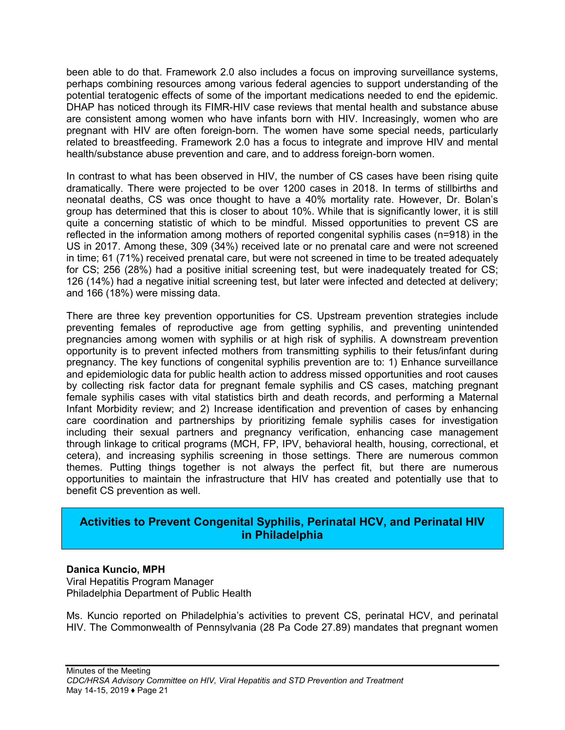been able to do that. Framework 2.0 also includes a focus on improving surveillance systems, perhaps combining resources among various federal agencies to support understanding of the potential teratogenic effects of some of the important medications needed to end the epidemic. DHAP has noticed through its FIMR-HIV case reviews that mental health and substance abuse are consistent among women who have infants born with HIV. Increasingly, women who are pregnant with HIV are often foreign-born. The women have some special needs, particularly related to breastfeeding. Framework 2.0 has a focus to integrate and improve HIV and mental health/substance abuse prevention and care, and to address foreign-born women.

In contrast to what has been observed in HIV, the number of CS cases have been rising quite dramatically. There were projected to be over 1200 cases in 2018. In terms of stillbirths and neonatal deaths, CS was once thought to have a 40% mortality rate. However, Dr. Bolan's group has determined that this is closer to about 10%. While that is significantly lower, it is still quite a concerning statistic of which to be mindful. Missed opportunities to prevent CS are reflected in the information among mothers of reported congenital syphilis cases (n=918) in the US in 2017. Among these, 309 (34%) received late or no prenatal care and were not screened in time; 61 (71%) received prenatal care, but were not screened in time to be treated adequately for CS; 256 (28%) had a positive initial screening test, but were inadequately treated for CS; 126 (14%) had a negative initial screening test, but later were infected and detected at delivery; and 166 (18%) were missing data.

There are three key prevention opportunities for CS. Upstream prevention strategies include preventing females of reproductive age from getting syphilis, and preventing unintended pregnancies among women with syphilis or at high risk of syphilis. A downstream prevention opportunity is to prevent infected mothers from transmitting syphilis to their fetus/infant during pregnancy. The key functions of congenital syphilis prevention are to: 1) Enhance surveillance and epidemiologic data for public health action to address missed opportunities and root causes by collecting risk factor data for pregnant female syphilis and CS cases, matching pregnant female syphilis cases with vital statistics birth and death records, and performing a Maternal Infant Morbidity review; and 2) Increase identification and prevention of cases by enhancing care coordination and partnerships by prioritizing female syphilis cases for investigation including their sexual partners and pregnancy verification, enhancing case management through linkage to critical programs (MCH, FP, IPV, behavioral health, housing, correctional, et cetera), and increasing syphilis screening in those settings. There are numerous common themes. Putting things together is not always the perfect fit, but there are numerous opportunities to maintain the infrastructure that HIV has created and potentially use that to benefit CS prevention as well.

### <span id="page-21-0"></span>**Activities to Prevent Congenital Syphilis, Perinatal HCV, and Perinatal HIV in Philadelphia**

#### **Danica Kuncio, MPH**

Viral Hepatitis Program Manager Philadelphia Department of Public Health

Ms. Kuncio reported on Philadelphia's activities to prevent CS, perinatal HCV, and perinatal HIV. The Commonwealth of Pennsylvania (28 Pa Code 27.89) mandates that pregnant women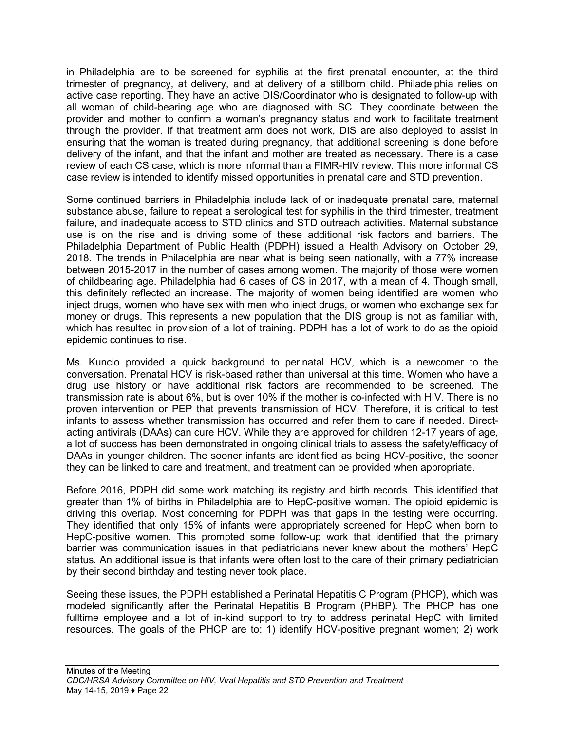in Philadelphia are to be screened for syphilis at the first prenatal encounter, at the third trimester of pregnancy, at delivery, and at delivery of a stillborn child. Philadelphia relies on active case reporting. They have an active DIS/Coordinator who is designated to follow-up with all woman of child-bearing age who are diagnosed with SC. They coordinate between the provider and mother to confirm a woman's pregnancy status and work to facilitate treatment through the provider. If that treatment arm does not work, DIS are also deployed to assist in ensuring that the woman is treated during pregnancy, that additional screening is done before delivery of the infant, and that the infant and mother are treated as necessary. There is a case review of each CS case, which is more informal than a FIMR-HIV review. This more informal CS case review is intended to identify missed opportunities in prenatal care and STD prevention.

Some continued barriers in Philadelphia include lack of or inadequate prenatal care, maternal substance abuse, failure to repeat a serological test for syphilis in the third trimester, treatment failure, and inadequate access to STD clinics and STD outreach activities. Maternal substance use is on the rise and is driving some of these additional risk factors and barriers. The Philadelphia Department of Public Health (PDPH) issued a Health Advisory on October 29, 2018. The trends in Philadelphia are near what is being seen nationally, with a 77% increase between 2015-2017 in the number of cases among women. The majority of those were women of childbearing age. Philadelphia had 6 cases of CS in 2017, with a mean of 4. Though small, this definitely reflected an increase. The majority of women being identified are women who inject drugs, women who have sex with men who inject drugs, or women who exchange sex for money or drugs. This represents a new population that the DIS group is not as familiar with, which has resulted in provision of a lot of training. PDPH has a lot of work to do as the opioid epidemic continues to rise.

Ms. Kuncio provided a quick background to perinatal HCV, which is a newcomer to the conversation. Prenatal HCV is risk-based rather than universal at this time. Women who have a drug use history or have additional risk factors are recommended to be screened. The transmission rate is about 6%, but is over 10% if the mother is co-infected with HIV. There is no proven intervention or PEP that prevents transmission of HCV. Therefore, it is critical to test infants to assess whether transmission has occurred and refer them to care if needed. Directacting antivirals (DAAs) can cure HCV. While they are approved for children 12-17 years of age, a lot of success has been demonstrated in ongoing clinical trials to assess the safety/efficacy of DAAs in younger children. The sooner infants are identified as being HCV-positive, the sooner they can be linked to care and treatment, and treatment can be provided when appropriate.

Before 2016, PDPH did some work matching its registry and birth records. This identified that greater than 1% of births in Philadelphia are to HepC-positive women. The opioid epidemic is driving this overlap. Most concerning for PDPH was that gaps in the testing were occurring. They identified that only 15% of infants were appropriately screened for HepC when born to HepC-positive women. This prompted some follow-up work that identified that the primary barrier was communication issues in that pediatricians never knew about the mothers' HepC status. An additional issue is that infants were often lost to the care of their primary pediatrician by their second birthday and testing never took place.

Seeing these issues, the PDPH established a Perinatal Hepatitis C Program (PHCP), which was modeled significantly after the Perinatal Hepatitis B Program (PHBP). The PHCP has one fulltime employee and a lot of in-kind support to try to address perinatal HepC with limited resources. The goals of the PHCP are to: 1) identify HCV-positive pregnant women; 2) work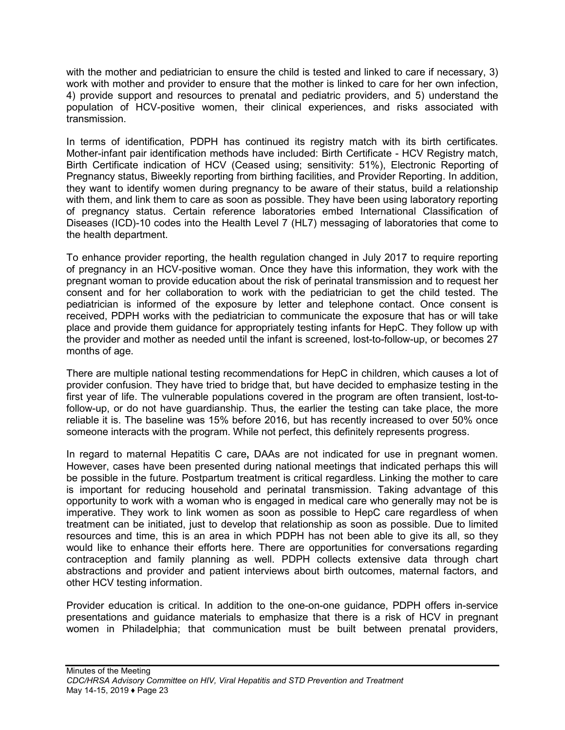with the mother and pediatrician to ensure the child is tested and linked to care if necessary, 3) work with mother and provider to ensure that the mother is linked to care for her own infection, 4) provide support and resources to prenatal and pediatric providers, and 5) understand the population of HCV-positive women, their clinical experiences, and risks associated with transmission.

In terms of identification, PDPH has continued its registry match with its birth certificates. Mother-infant pair identification methods have included: Birth Certificate - HCV Registry match, Birth Certificate indication of HCV (Ceased using; sensitivity: 51%), Electronic Reporting of Pregnancy status, Biweekly reporting from birthing facilities, and Provider Reporting. In addition, they want to identify women during pregnancy to be aware of their status, build a relationship with them, and link them to care as soon as possible. They have been using laboratory reporting of pregnancy status. Certain reference laboratories embed International Classification of Diseases (ICD)-10 codes into the Health Level 7 (HL7) messaging of laboratories that come to the health department.

To enhance provider reporting, the health regulation changed in July 2017 to require reporting of pregnancy in an HCV-positive woman. Once they have this information, they work with the pregnant woman to provide education about the risk of perinatal transmission and to request her consent and for her collaboration to work with the pediatrician to get the child tested. The pediatrician is informed of the exposure by letter and telephone contact. Once consent is received, PDPH works with the pediatrician to communicate the exposure that has or will take place and provide them guidance for appropriately testing infants for HepC. They follow up with the provider and mother as needed until the infant is screened, lost-to-follow-up, or becomes 27 months of age.

There are multiple national testing recommendations for HepC in children, which causes a lot of provider confusion. They have tried to bridge that, but have decided to emphasize testing in the first year of life. The vulnerable populations covered in the program are often transient, lost-tofollow-up, or do not have guardianship. Thus, the earlier the testing can take place, the more reliable it is. The baseline was 15% before 2016, but has recently increased to over 50% once someone interacts with the program. While not perfect, this definitely represents progress.

In regard to maternal Hepatitis C care**,** DAAs are not indicated for use in pregnant women. However, cases have been presented during national meetings that indicated perhaps this will be possible in the future. Postpartum treatment is critical regardless. Linking the mother to care is important for reducing household and perinatal transmission. Taking advantage of this opportunity to work with a woman who is engaged in medical care who generally may not be is imperative. They work to link women as soon as possible to HepC care regardless of when treatment can be initiated, just to develop that relationship as soon as possible. Due to limited resources and time, this is an area in which PDPH has not been able to give its all, so they would like to enhance their efforts here. There are opportunities for conversations regarding contraception and family planning as well. PDPH collects extensive data through chart abstractions and provider and patient interviews about birth outcomes, maternal factors, and other HCV testing information.

Provider education is critical. In addition to the one-on-one guidance, PDPH offers in-service presentations and guidance materials to emphasize that there is a risk of HCV in pregnant women in Philadelphia; that communication must be built between prenatal providers,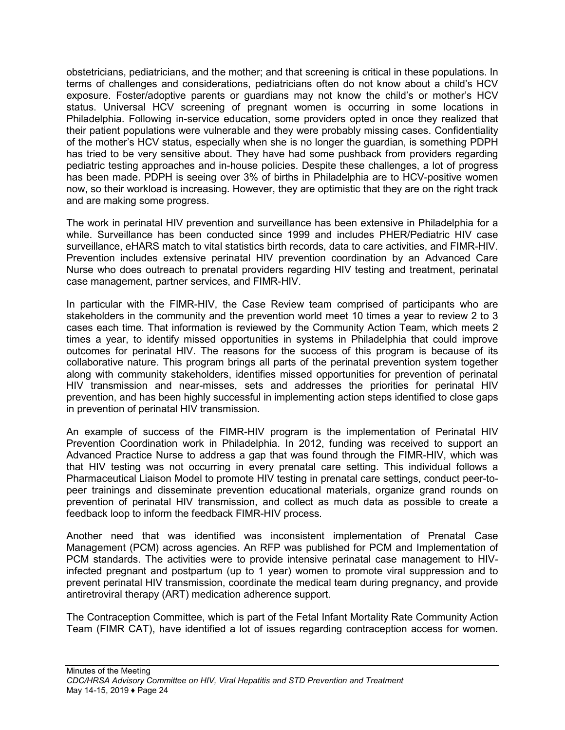obstetricians, pediatricians, and the mother; and that screening is critical in these populations. In terms of challenges and considerations, pediatricians often do not know about a child's HCV exposure. Foster/adoptive parents or guardians may not know the child's or mother's HCV status. Universal HCV screening of pregnant women is occurring in some locations in Philadelphia. Following in-service education, some providers opted in once they realized that their patient populations were vulnerable and they were probably missing cases. Confidentiality of the mother's HCV status, especially when she is no longer the guardian, is something PDPH has tried to be very sensitive about. They have had some pushback from providers regarding pediatric testing approaches and in-house policies. Despite these challenges, a lot of progress has been made. PDPH is seeing over 3% of births in Philadelphia are to HCV-positive women now, so their workload is increasing. However, they are optimistic that they are on the right track and are making some progress.

The work in perinatal HIV prevention and surveillance has been extensive in Philadelphia for a while. Surveillance has been conducted since 1999 and includes PHER/Pediatric HIV case surveillance, eHARS match to vital statistics birth records, data to care activities, and FIMR-HIV. Prevention includes extensive perinatal HIV prevention coordination by an Advanced Care Nurse who does outreach to prenatal providers regarding HIV testing and treatment, perinatal case management, partner services, and FIMR-HIV.

In particular with the FIMR-HIV, the Case Review team comprised of participants who are stakeholders in the community and the prevention world meet 10 times a year to review 2 to 3 cases each time. That information is reviewed by the Community Action Team, which meets 2 times a year, to identify missed opportunities in systems in Philadelphia that could improve outcomes for perinatal HIV. The reasons for the success of this program is because of its collaborative nature. This program brings all parts of the perinatal prevention system together along with community stakeholders, identifies missed opportunities for prevention of perinatal HIV transmission and near-misses, sets and addresses the priorities for perinatal HIV prevention, and has been highly successful in implementing action steps identified to close gaps in prevention of perinatal HIV transmission.

An example of success of the FIMR-HIV program is the implementation of Perinatal HIV Prevention Coordination work in Philadelphia. In 2012, funding was received to support an Advanced Practice Nurse to address a gap that was found through the FIMR-HIV, which was that HIV testing was not occurring in every prenatal care setting. This individual follows a Pharmaceutical Liaison Model to promote HIV testing in prenatal care settings, conduct peer-topeer trainings and disseminate prevention educational materials, organize grand rounds on prevention of perinatal HIV transmission, and collect as much data as possible to create a feedback loop to inform the feedback FIMR-HIV process.

Another need that was identified was inconsistent implementation of Prenatal Case Management (PCM) across agencies. An RFP was published for PCM and Implementation of PCM standards. The activities were to provide intensive perinatal case management to HIVinfected pregnant and postpartum (up to 1 year) women to promote viral suppression and to prevent perinatal HIV transmission, coordinate the medical team during pregnancy, and provide antiretroviral therapy (ART) medication adherence support.

The Contraception Committee, which is part of the Fetal Infant Mortality Rate Community Action Team (FIMR CAT), have identified a lot of issues regarding contraception access for women.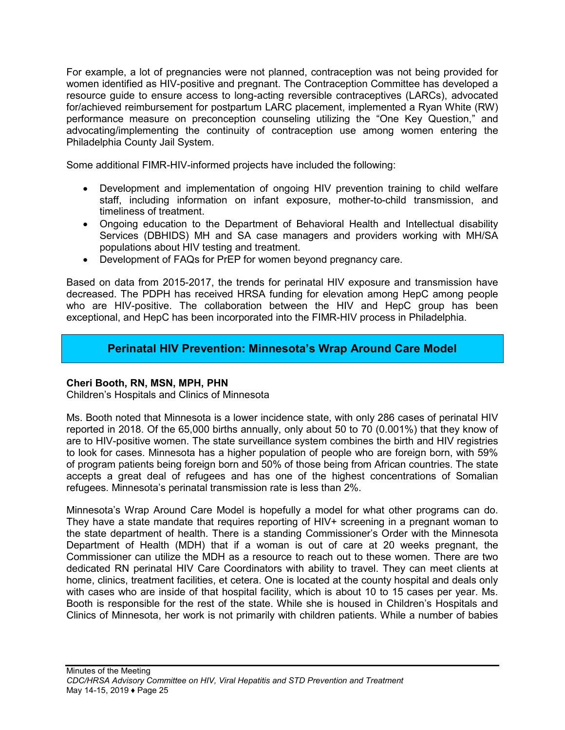For example, a lot of pregnancies were not planned, contraception was not being provided for women identified as HIV-positive and pregnant. The Contraception Committee has developed a resource guide to ensure access to long-acting reversible contraceptives (LARCs), advocated for/achieved reimbursement for postpartum LARC placement, implemented a Ryan White (RW) performance measure on preconception counseling utilizing the "One Key Question," and advocating/implementing the continuity of contraception use among women entering the Philadelphia County Jail System.

Some additional FIMR-HIV-informed projects have included the following:

- Development and implementation of ongoing HIV prevention training to child welfare staff, including information on infant exposure, mother-to-child transmission, and timeliness of treatment.
- Ongoing education to the Department of Behavioral Health and Intellectual disability Services (DBHIDS) MH and SA case managers and providers working with MH/SA populations about HIV testing and treatment.
- Development of FAQs for PrEP for women beyond pregnancy care.

Based on data from 2015-2017, the trends for perinatal HIV exposure and transmission have decreased. The PDPH has received HRSA funding for elevation among HepC among people who are HIV-positive. The collaboration between the HIV and HepC group has been exceptional, and HepC has been incorporated into the FIMR-HIV process in Philadelphia.

# **Perinatal HIV Prevention: Minnesota's Wrap Around Care Model**

#### <span id="page-25-0"></span>**Cheri Booth, RN, MSN, MPH, PHN**

Children's Hospitals and Clinics of Minnesota

Ms. Booth noted that Minnesota is a lower incidence state, with only 286 cases of perinatal HIV reported in 2018. Of the 65,000 births annually, only about 50 to 70 (0.001%) that they know of are to HIV-positive women. The state surveillance system combines the birth and HIV registries to look for cases. Minnesota has a higher population of people who are foreign born, with 59% of program patients being foreign born and 50% of those being from African countries. The state accepts a great deal of refugees and has one of the highest concentrations of Somalian refugees. Minnesota's perinatal transmission rate is less than 2%.

Minnesota's Wrap Around Care Model is hopefully a model for what other programs can do. They have a state mandate that requires reporting of HIV+ screening in a pregnant woman to the state department of health. There is a standing Commissioner's Order with the Minnesota Department of Health (MDH) that if a woman is out of care at 20 weeks pregnant, the Commissioner can utilize the MDH as a resource to reach out to these women. There are two dedicated RN perinatal HIV Care Coordinators with ability to travel. They can meet clients at home, clinics, treatment facilities, et cetera. One is located at the county hospital and deals only with cases who are inside of that hospital facility, which is about 10 to 15 cases per year. Ms. Booth is responsible for the rest of the state. While she is housed in Children's Hospitals and Clinics of Minnesota, her work is not primarily with children patients. While a number of babies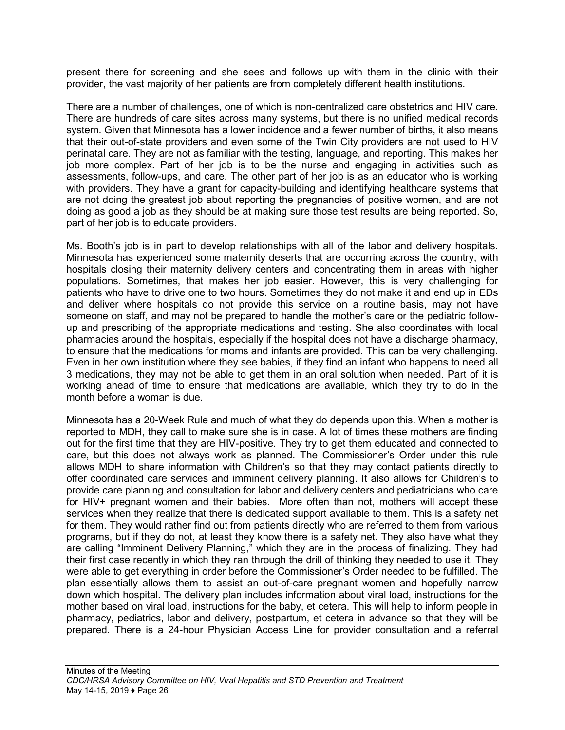present there for screening and she sees and follows up with them in the clinic with their provider, the vast majority of her patients are from completely different health institutions.

There are a number of challenges, one of which is non-centralized care obstetrics and HIV care. There are hundreds of care sites across many systems, but there is no unified medical records system. Given that Minnesota has a lower incidence and a fewer number of births, it also means that their out-of-state providers and even some of the Twin City providers are not used to HIV perinatal care. They are not as familiar with the testing, language, and reporting. This makes her job more complex. Part of her job is to be the nurse and engaging in activities such as assessments, follow-ups, and care. The other part of her job is as an educator who is working with providers. They have a grant for capacity-building and identifying healthcare systems that are not doing the greatest job about reporting the pregnancies of positive women, and are not doing as good a job as they should be at making sure those test results are being reported. So, part of her job is to educate providers.

Ms. Booth's job is in part to develop relationships with all of the labor and delivery hospitals. Minnesota has experienced some maternity deserts that are occurring across the country, with hospitals closing their maternity delivery centers and concentrating them in areas with higher populations. Sometimes, that makes her job easier. However, this is very challenging for patients who have to drive one to two hours. Sometimes they do not make it and end up in EDs and deliver where hospitals do not provide this service on a routine basis, may not have someone on staff, and may not be prepared to handle the mother's care or the pediatric followup and prescribing of the appropriate medications and testing. She also coordinates with local pharmacies around the hospitals, especially if the hospital does not have a discharge pharmacy, to ensure that the medications for moms and infants are provided. This can be very challenging. Even in her own institution where they see babies, if they find an infant who happens to need all 3 medications, they may not be able to get them in an oral solution when needed. Part of it is working ahead of time to ensure that medications are available, which they try to do in the month before a woman is due.

Minnesota has a 20-Week Rule and much of what they do depends upon this. When a mother is reported to MDH, they call to make sure she is in case. A lot of times these mothers are finding out for the first time that they are HIV-positive. They try to get them educated and connected to care, but this does not always work as planned. The Commissioner's Order under this rule allows MDH to share information with Children's so that they may contact patients directly to offer coordinated care services and imminent delivery planning. It also allows for Children's to provide care planning and consultation for labor and delivery centers and pediatricians who care for HIV+ pregnant women and their babies. More often than not, mothers will accept these services when they realize that there is dedicated support available to them. This is a safety net for them. They would rather find out from patients directly who are referred to them from various programs, but if they do not, at least they know there is a safety net. They also have what they are calling "Imminent Delivery Planning," which they are in the process of finalizing. They had their first case recently in which they ran through the drill of thinking they needed to use it. They were able to get everything in order before the Commissioner's Order needed to be fulfilled. The plan essentially allows them to assist an out-of-care pregnant women and hopefully narrow down which hospital. The delivery plan includes information about viral load, instructions for the mother based on viral load, instructions for the baby, et cetera. This will help to inform people in pharmacy, pediatrics, labor and delivery, postpartum, et cetera in advance so that they will be prepared. There is a 24-hour Physician Access Line for provider consultation and a referral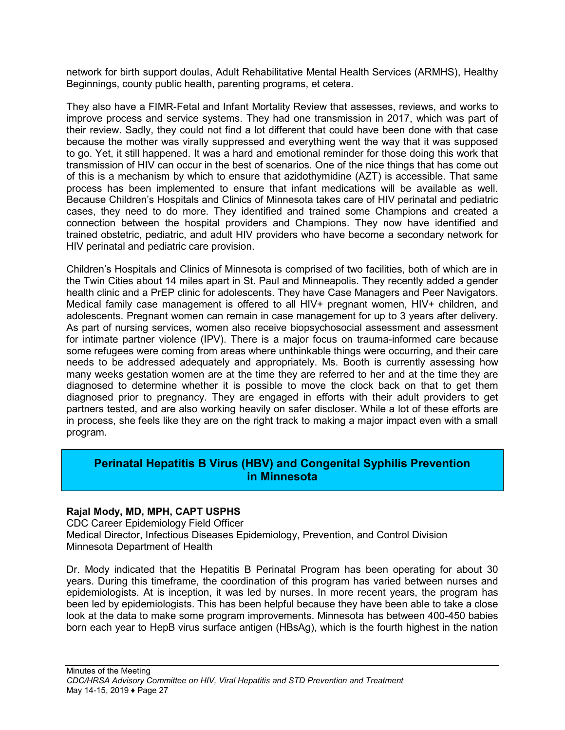network for birth support doulas, Adult Rehabilitative Mental Health Services (ARMHS), Healthy Beginnings, county public health, parenting programs, et cetera.

They also have a FIMR-Fetal and Infant Mortality Review that assesses, reviews, and works to improve process and service systems. They had one transmission in 2017, which was part of their review. Sadly, they could not find a lot different that could have been done with that case because the mother was virally suppressed and everything went the way that it was supposed to go. Yet, it still happened. It was a hard and emotional reminder for those doing this work that transmission of HIV can occur in the best of scenarios. One of the nice things that has come out of this is a mechanism by which to ensure that azidothymidine (AZT) is accessible. That same process has been implemented to ensure that infant medications will be available as well. Because Children's Hospitals and Clinics of Minnesota takes care of HIV perinatal and pediatric cases, they need to do more. They identified and trained some Champions and created a connection between the hospital providers and Champions. They now have identified and trained obstetric, pediatric, and adult HIV providers who have become a secondary network for HIV perinatal and pediatric care provision.

Children's Hospitals and Clinics of Minnesota is comprised of two facilities, both of which are in the Twin Cities about 14 miles apart in St. Paul and Minneapolis. They recently added a gender health clinic and a PrEP clinic for adolescents. They have Case Managers and Peer Navigators. Medical family case management is offered to all HIV+ pregnant women, HIV+ children, and adolescents. Pregnant women can remain in case management for up to 3 years after delivery. As part of nursing services, women also receive biopsychosocial assessment and assessment for intimate partner violence (IPV). There is a major focus on trauma-informed care because some refugees were coming from areas where unthinkable things were occurring, and their care needs to be addressed adequately and appropriately. Ms. Booth is currently assessing how many weeks gestation women are at the time they are referred to her and at the time they are diagnosed to determine whether it is possible to move the clock back on that to get them diagnosed prior to pregnancy. They are engaged in efforts with their adult providers to get partners tested, and are also working heavily on safer discloser. While a lot of these efforts are in process, she feels like they are on the right track to making a major impact even with a small program.

### <span id="page-27-0"></span>**Perinatal Hepatitis B Virus (HBV) and Congenital Syphilis Prevention in Minnesota**

#### **Rajal Mody, MD, MPH, CAPT USPHS**

CDC Career Epidemiology Field Officer Medical Director, Infectious Diseases Epidemiology, Prevention, and Control Division Minnesota Department of Health

Dr. Mody indicated that the Hepatitis B Perinatal Program has been operating for about 30 years. During this timeframe, the coordination of this program has varied between nurses and epidemiologists. At is inception, it was led by nurses. In more recent years, the program has been led by epidemiologists. This has been helpful because they have been able to take a close look at the data to make some program improvements. Minnesota has between 400-450 babies born each year to HepB virus surface antigen (HBsAg), which is the fourth highest in the nation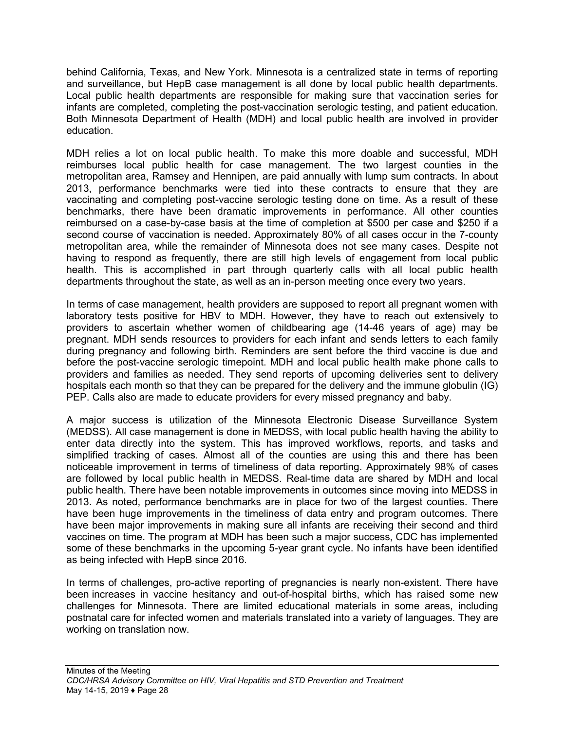behind California, Texas, and New York. Minnesota is a centralized state in terms of reporting and surveillance, but HepB case management is all done by local public health departments. Local public health departments are responsible for making sure that vaccination series for infants are completed, completing the post-vaccination serologic testing, and patient education. Both Minnesota Department of Health (MDH) and local public health are involved in provider education.

MDH relies a lot on local public health. To make this more doable and successful, MDH reimburses local public health for case management. The two largest counties in the metropolitan area, Ramsey and Hennipen, are paid annually with lump sum contracts. In about 2013, performance benchmarks were tied into these contracts to ensure that they are vaccinating and completing post-vaccine serologic testing done on time. As a result of these benchmarks, there have been dramatic improvements in performance. All other counties reimbursed on a case-by-case basis at the time of completion at \$500 per case and \$250 if a second course of vaccination is needed. Approximately 80% of all cases occur in the 7-county metropolitan area, while the remainder of Minnesota does not see many cases. Despite not having to respond as frequently, there are still high levels of engagement from local public health. This is accomplished in part through quarterly calls with all local public health departments throughout the state, as well as an in-person meeting once every two years.

In terms of case management, health providers are supposed to report all pregnant women with laboratory tests positive for HBV to MDH. However, they have to reach out extensively to providers to ascertain whether women of childbearing age (14-46 years of age) may be pregnant. MDH sends resources to providers for each infant and sends letters to each family during pregnancy and following birth. Reminders are sent before the third vaccine is due and before the post-vaccine serologic timepoint. MDH and local public health make phone calls to providers and families as needed. They send reports of upcoming deliveries sent to delivery hospitals each month so that they can be prepared for the delivery and the immune globulin (IG) PEP. Calls also are made to educate providers for every missed pregnancy and baby.

A major success is utilization of the Minnesota Electronic Disease Surveillance System (MEDSS). All case management is done in MEDSS, with local public health having the ability to enter data directly into the system. This has improved workflows, reports, and tasks and simplified tracking of cases. Almost all of the counties are using this and there has been noticeable improvement in terms of timeliness of data reporting. Approximately 98% of cases are followed by local public health in MEDSS. Real-time data are shared by MDH and local public health. There have been notable improvements in outcomes since moving into MEDSS in 2013. As noted, performance benchmarks are in place for two of the largest counties. There have been huge improvements in the timeliness of data entry and program outcomes. There have been major improvements in making sure all infants are receiving their second and third vaccines on time. The program at MDH has been such a major success, CDC has implemented some of these benchmarks in the upcoming 5-year grant cycle. No infants have been identified as being infected with HepB since 2016.

In terms of challenges, pro-active reporting of pregnancies is nearly non-existent. There have been increases in vaccine hesitancy and out-of-hospital births, which has raised some new challenges for Minnesota. There are limited educational materials in some areas, including postnatal care for infected women and materials translated into a variety of languages. They are working on translation now.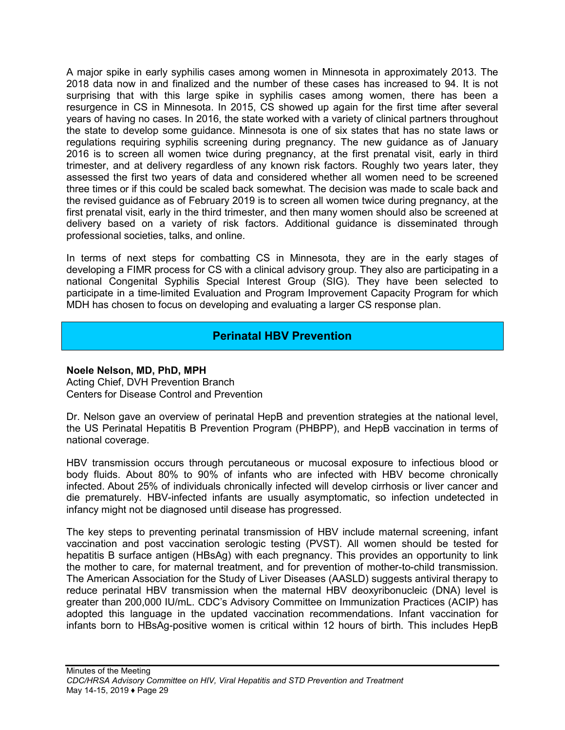A major spike in early syphilis cases among women in Minnesota in approximately 2013. The 2018 data now in and finalized and the number of these cases has increased to 94. It is not surprising that with this large spike in syphilis cases among women, there has been a resurgence in CS in Minnesota. In 2015, CS showed up again for the first time after several years of having no cases. In 2016, the state worked with a variety of clinical partners throughout the state to develop some guidance. Minnesota is one of six states that has no state laws or regulations requiring syphilis screening during pregnancy. The new guidance as of January 2016 is to screen all women twice during pregnancy, at the first prenatal visit, early in third trimester, and at delivery regardless of any known risk factors. Roughly two years later, they assessed the first two years of data and considered whether all women need to be screened three times or if this could be scaled back somewhat. The decision was made to scale back and the revised guidance as of February 2019 is to screen all women twice during pregnancy, at the first prenatal visit, early in the third trimester, and then many women should also be screened at delivery based on a variety of risk factors. Additional guidance is disseminated through professional societies, talks, and online.

In terms of next steps for combatting CS in Minnesota, they are in the early stages of developing a FIMR process for CS with a clinical advisory group. They also are participating in a national Congenital Syphilis Special Interest Group (SIG). They have been selected to participate in a time-limited Evaluation and Program Improvement Capacity Program for which MDH has chosen to focus on developing and evaluating a larger CS response plan.

# **Perinatal HBV Prevention**

#### <span id="page-29-0"></span>**Noele Nelson, MD, PhD, MPH**

Acting Chief, DVH Prevention Branch Centers for Disease Control and Prevention

Dr. Nelson gave an overview of perinatal HepB and prevention strategies at the national level, the US Perinatal Hepatitis B Prevention Program (PHBPP), and HepB vaccination in terms of national coverage.

HBV transmission occurs through percutaneous or mucosal exposure to infectious blood or body fluids. About 80% to 90% of infants who are infected with HBV become chronically infected. About 25% of individuals chronically infected will develop cirrhosis or liver cancer and die prematurely. HBV-infected infants are usually asymptomatic, so infection undetected in infancy might not be diagnosed until disease has progressed.

The key steps to preventing perinatal transmission of HBV include maternal screening, infant vaccination and post vaccination serologic testing (PVST). All women should be tested for hepatitis B surface antigen (HBsAg) with each pregnancy. This provides an opportunity to link the mother to care, for maternal treatment, and for prevention of mother-to-child transmission. The American Association for the Study of Liver Diseases (AASLD) suggests antiviral therapy to reduce perinatal HBV transmission when the maternal HBV deoxyribonucleic (DNA) level is greater than 200,000 IU/mL. CDC's Advisory Committee on Immunization Practices (ACIP) has adopted this language in the updated vaccination recommendations. Infant vaccination for infants born to HBsAg-positive women is critical within 12 hours of birth. This includes HepB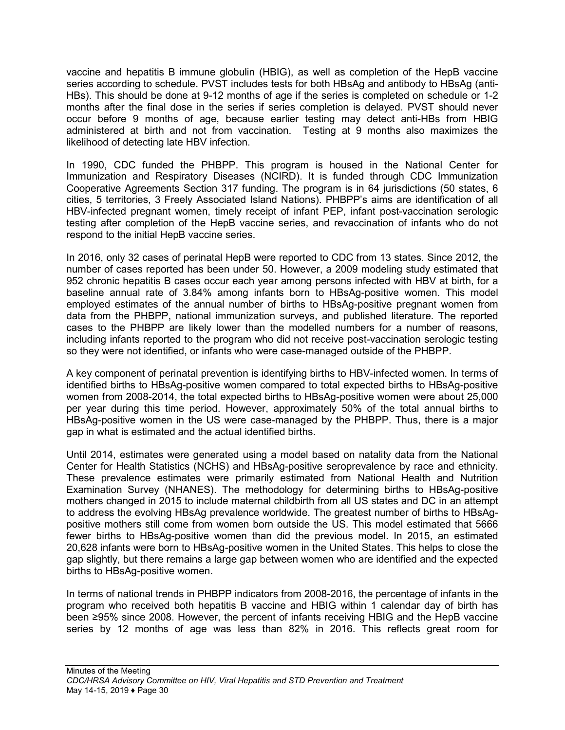vaccine and hepatitis B immune globulin (HBIG), as well as completion of the HepB vaccine series according to schedule. PVST includes tests for both HBsAg and antibody to HBsAg (anti-HBs). This should be done at 9-12 months of age if the series is completed on schedule or 1-2 months after the final dose in the series if series completion is delayed. PVST should never occur before 9 months of age, because earlier testing may detect anti-HBs from HBIG administered at birth and not from vaccination. Testing at 9 months also maximizes the likelihood of detecting late HBV infection.

In 1990, CDC funded the PHBPP. This program is housed in the National Center for Immunization and Respiratory Diseases (NCIRD). It is funded through CDC Immunization Cooperative Agreements Section 317 funding. The program is in 64 jurisdictions (50 states, 6 cities, 5 territories, 3 Freely Associated Island Nations). PHBPP's aims are identification of all HBV-infected pregnant women, timely receipt of infant PEP, infant post-vaccination serologic testing after completion of the HepB vaccine series, and revaccination of infants who do not respond to the initial HepB vaccine series.

In 2016, only 32 cases of perinatal HepB were reported to CDC from 13 states. Since 2012, the number of cases reported has been under 50. However, a 2009 modeling study estimated that 952 chronic hepatitis B cases occur each year among persons infected with HBV at birth, for a baseline annual rate of 3.84% among infants born to HBsAg-positive women. This model employed estimates of the annual number of births to HBsAg-positive pregnant women from data from the PHBPP, national immunization surveys, and published literature. The reported cases to the PHBPP are likely lower than the modelled numbers for a number of reasons, including infants reported to the program who did not receive post-vaccination serologic testing so they were not identified, or infants who were case-managed outside of the PHBPP.

A key component of perinatal prevention is identifying births to HBV-infected women. In terms of identified births to HBsAg-positive women compared to total expected births to HBsAg-positive women from 2008-2014, the total expected births to HBsAg-positive women were about 25,000 per year during this time period. However, approximately 50% of the total annual births to HBsAg-positive women in the US were case-managed by the PHBPP. Thus, there is a major gap in what is estimated and the actual identified births.

Until 2014, estimates were generated using a model based on natality data from the National Center for Health Statistics (NCHS) and HBsAg-positive seroprevalence by race and ethnicity. These prevalence estimates were primarily estimated from National Health and Nutrition Examination Survey (NHANES). The methodology for determining births to HBsAg-positive mothers changed in 2015 to include maternal childbirth from all US states and DC in an attempt to address the evolving HBsAg prevalence worldwide. The greatest number of births to HBsAgpositive mothers still come from women born outside the US. This model estimated that 5666 fewer births to HBsAg-positive women than did the previous model. In 2015, an estimated 20,628 infants were born to HBsAg-positive women in the United States. This helps to close the gap slightly, but there remains a large gap between women who are identified and the expected births to HBsAg-positive women.

In terms of national trends in PHBPP indicators from 2008-2016, the percentage of infants in the program who received both hepatitis B vaccine and HBIG within 1 calendar day of birth has been ≥95% since 2008. However, the percent of infants receiving HBIG and the HepB vaccine series by 12 months of age was less than 82% in 2016. This reflects great room for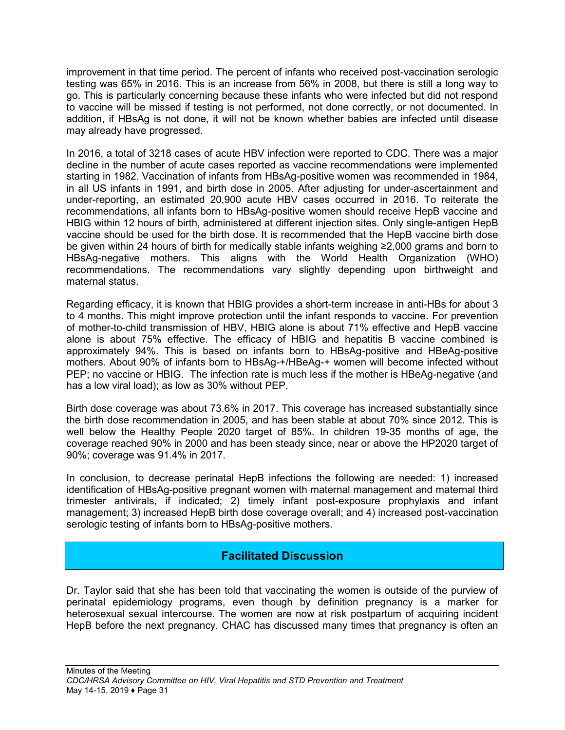improvement in that time period. The percent of infants who received post-vaccination serologic testing was 65% in 2016. This is an increase from 56% in 2008, but there is still a long way to go. This is particularly concerning because these infants who were infected but did not respond to vaccine will be missed if testing is not performed, not done correctly, or not documented. In addition, if HBsAg is not done, it will not be known whether babies are infected until disease may already have progressed.

In 2016, a total of 3218 cases of acute HBV infection were reported to CDC. There was a major decline in the number of acute cases reported as vaccine recommendations were implemented starting in 1982. Vaccination of infants from HBsAg-positive women was recommended in 1984, in all US infants in 1991, and birth dose in 2005. After adjusting for under-ascertainment and under-reporting, an estimated 20,900 acute HBV cases occurred in 2016. To reiterate the recommendations, all infants born to HBsAg-positive women should receive HepB vaccine and HBIG within 12 hours of birth, administered at different injection sites. Only single-antigen HepB vaccine should be used for the birth dose. It is recommended that the HepB vaccine birth dose be given within 24 hours of birth for medically stable infants weighing ≥2,000 grams and born to HBsAg-negative mothers. This aligns with the World Health Organization (WHO) recommendations. The recommendations vary slightly depending upon birthweight and maternal status.

Regarding efficacy, it is known that HBIG provides a short-term increase in anti-HBs for about 3 to 4 months. This might improve protection until the infant responds to vaccine. For prevention of mother-to-child transmission of HBV, HBIG alone is about 71% effective and HepB vaccine alone is about 75% effective. The efficacy of HBIG and hepatitis B vaccine combined is approximately 94%. This is based on infants born to HBsAg-positive and HBeAg-positive mothers. About 90% of infants born to HBsAg-+/HBeAg-+ women will become infected without PEP; no vaccine or HBIG. The infection rate is much less if the mother is HBeAg-negative (and has a low viral load); as low as 30% without PEP.

Birth dose coverage was about 73.6% in 2017. This coverage has increased substantially since the birth dose recommendation in 2005, and has been stable at about 70% since 2012. This is well below the Healthy People 2020 target of 85%. In children 19-35 months of age, the coverage reached 90% in 2000 and has been steady since, near or above the HP2020 target of 90%; coverage was 91.4% in 2017.

In conclusion, to decrease perinatal HepB infections the following are needed: 1) increased identification of HBsAg-positive pregnant women with maternal management and maternal third trimester antivirals, if indicated; 2) timely infant post-exposure prophylaxis and infant management; 3) increased HepB birth dose coverage overall; and 4) increased post-vaccination serologic testing of infants born to HBsAg-positive mothers.

# **Facilitated Discussion**

<span id="page-31-0"></span>Dr. Taylor said that she has been told that vaccinating the women is outside of the purview of perinatal epidemiology programs, even though by definition pregnancy is a marker for heterosexual sexual intercourse. The women are now at risk postpartum of acquiring incident HepB before the next pregnancy. CHAC has discussed many times that pregnancy is often an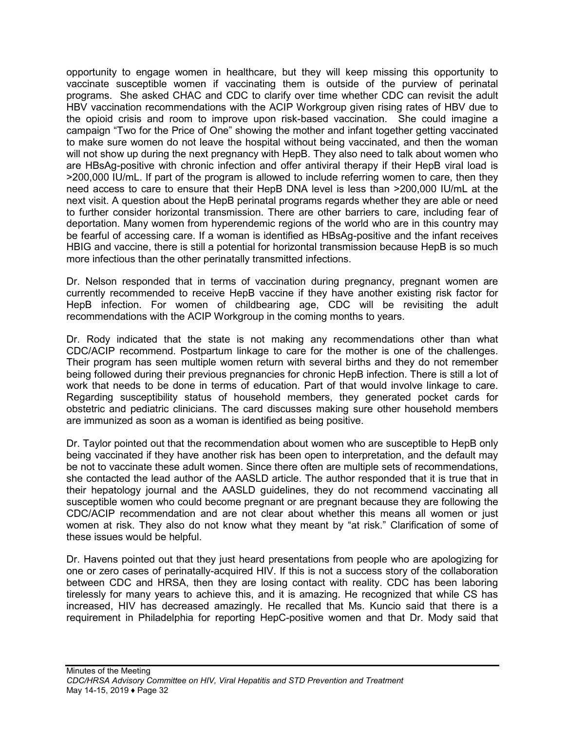opportunity to engage women in healthcare, but they will keep missing this opportunity to vaccinate susceptible women if vaccinating them is outside of the purview of perinatal programs. She asked CHAC and CDC to clarify over time whether CDC can revisit the adult HBV vaccination recommendations with the ACIP Workgroup given rising rates of HBV due to the opioid crisis and room to improve upon risk-based vaccination. She could imagine a campaign "Two for the Price of One" showing the mother and infant together getting vaccinated to make sure women do not leave the hospital without being vaccinated, and then the woman will not show up during the next pregnancy with HepB. They also need to talk about women who are HBsAg-positive with chronic infection and offer antiviral therapy if their HepB viral load is >200,000 IU/mL. If part of the program is allowed to include referring women to care, then they need access to care to ensure that their HepB DNA level is less than >200,000 IU/mL at the next visit. A question about the HepB perinatal programs regards whether they are able or need to further consider horizontal transmission. There are other barriers to care, including fear of deportation. Many women from hyperendemic regions of the world who are in this country may be fearful of accessing care. If a woman is identified as HBsAg-positive and the infant receives HBIG and vaccine, there is still a potential for horizontal transmission because HepB is so much more infectious than the other perinatally transmitted infections.

Dr. Nelson responded that in terms of vaccination during pregnancy, pregnant women are currently recommended to receive HepB vaccine if they have another existing risk factor for HepB infection. For women of childbearing age, CDC will be revisiting the adult recommendations with the ACIP Workgroup in the coming months to years.

Dr. Rody indicated that the state is not making any recommendations other than what CDC/ACIP recommend. Postpartum linkage to care for the mother is one of the challenges. Their program has seen multiple women return with several births and they do not remember being followed during their previous pregnancies for chronic HepB infection. There is still a lot of work that needs to be done in terms of education. Part of that would involve linkage to care. Regarding susceptibility status of household members, they generated pocket cards for obstetric and pediatric clinicians. The card discusses making sure other household members are immunized as soon as a woman is identified as being positive.

Dr. Taylor pointed out that the recommendation about women who are susceptible to HepB only being vaccinated if they have another risk has been open to interpretation, and the default may be not to vaccinate these adult women. Since there often are multiple sets of recommendations, she contacted the lead author of the AASLD article. The author responded that it is true that in their hepatology journal and the AASLD guidelines, they do not recommend vaccinating all susceptible women who could become pregnant or are pregnant because they are following the CDC/ACIP recommendation and are not clear about whether this means all women or just women at risk. They also do not know what they meant by "at risk." Clarification of some of these issues would be helpful.

Dr. Havens pointed out that they just heard presentations from people who are apologizing for one or zero cases of perinatally-acquired HIV. If this is not a success story of the collaboration between CDC and HRSA, then they are losing contact with reality. CDC has been laboring tirelessly for many years to achieve this, and it is amazing. He recognized that while CS has increased, HIV has decreased amazingly. He recalled that Ms. Kuncio said that there is a requirement in Philadelphia for reporting HepC-positive women and that Dr. Mody said that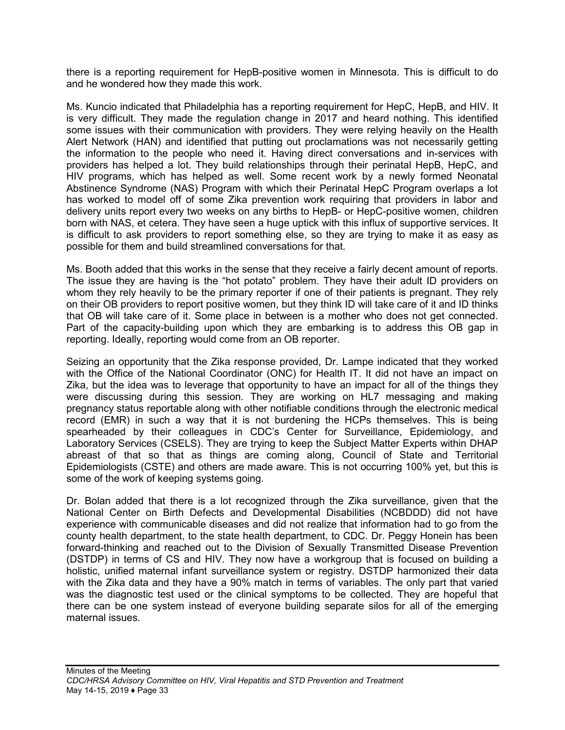there is a reporting requirement for HepB-positive women in Minnesota. This is difficult to do and he wondered how they made this work.

Ms. Kuncio indicated that Philadelphia has a reporting requirement for HepC, HepB, and HIV. It is very difficult. They made the regulation change in 2017 and heard nothing. This identified some issues with their communication with providers. They were relying heavily on the Health Alert Network (HAN) and identified that putting out proclamations was not necessarily getting the information to the people who need it. Having direct conversations and in-services with providers has helped a lot. They build relationships through their perinatal HepB, HepC, and HIV programs, which has helped as well. Some recent work by a newly formed Neonatal Abstinence Syndrome (NAS) Program with which their Perinatal HepC Program overlaps a lot has worked to model off of some Zika prevention work requiring that providers in labor and delivery units report every two weeks on any births to HepB- or HepC-positive women, children born with NAS, et cetera. They have seen a huge uptick with this influx of supportive services. It is difficult to ask providers to report something else, so they are trying to make it as easy as possible for them and build streamlined conversations for that.

Ms. Booth added that this works in the sense that they receive a fairly decent amount of reports. The issue they are having is the "hot potato" problem. They have their adult ID providers on whom they rely heavily to be the primary reporter if one of their patients is pregnant. They rely on their OB providers to report positive women, but they think ID will take care of it and ID thinks that OB will take care of it. Some place in between is a mother who does not get connected. Part of the capacity-building upon which they are embarking is to address this OB gap in reporting. Ideally, reporting would come from an OB reporter.

Seizing an opportunity that the Zika response provided, Dr. Lampe indicated that they worked with the Office of the National Coordinator (ONC) for Health IT. It did not have an impact on Zika, but the idea was to leverage that opportunity to have an impact for all of the things they were discussing during this session. They are working on HL7 messaging and making pregnancy status reportable along with other notifiable conditions through the electronic medical record (EMR) in such a way that it is not burdening the HCPs themselves. This is being spearheaded by their colleagues in CDC's Center for Surveillance, Epidemiology, and Laboratory Services (CSELS). They are trying to keep the Subject Matter Experts within DHAP abreast of that so that as things are coming along, Council of State and Territorial Epidemiologists (CSTE) and others are made aware. This is not occurring 100% yet, but this is some of the work of keeping systems going.

Dr. Bolan added that there is a lot recognized through the Zika surveillance, given that the National Center on Birth Defects and Developmental Disabilities (NCBDDD) did not have experience with communicable diseases and did not realize that information had to go from the county health department, to the state health department, to CDC. Dr. Peggy Honein has been forward-thinking and reached out to the Division of Sexually Transmitted Disease Prevention (DSTDP) in terms of CS and HIV. They now have a workgroup that is focused on building a holistic, unified maternal infant surveillance system or registry. DSTDP harmonized their data with the Zika data and they have a 90% match in terms of variables. The only part that varied was the diagnostic test used or the clinical symptoms to be collected. They are hopeful that there can be one system instead of everyone building separate silos for all of the emerging maternal issues.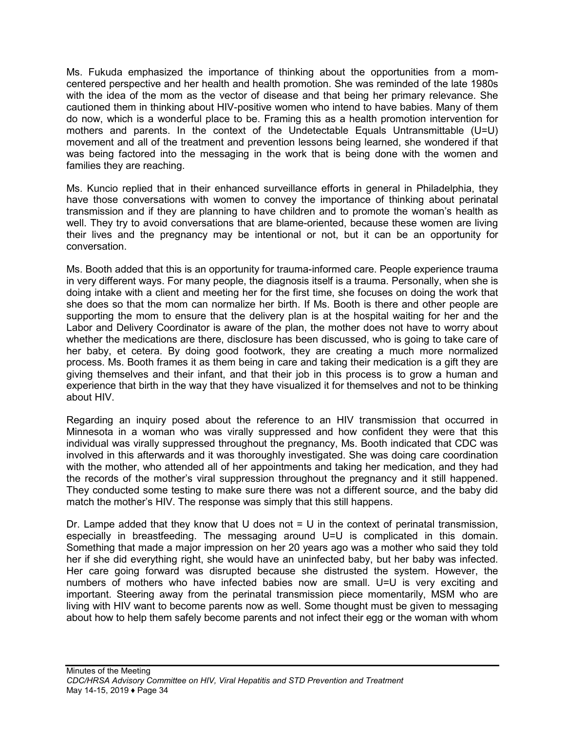Ms. Fukuda emphasized the importance of thinking about the opportunities from a momcentered perspective and her health and health promotion. She was reminded of the late 1980s with the idea of the mom as the vector of disease and that being her primary relevance. She cautioned them in thinking about HIV-positive women who intend to have babies. Many of them do now, which is a wonderful place to be. Framing this as a health promotion intervention for mothers and parents. In the context of the Undetectable Equals Untransmittable (U=U) movement and all of the treatment and prevention lessons being learned, she wondered if that was being factored into the messaging in the work that is being done with the women and families they are reaching.

Ms. Kuncio replied that in their enhanced surveillance efforts in general in Philadelphia, they have those conversations with women to convey the importance of thinking about perinatal transmission and if they are planning to have children and to promote the woman's health as well. They try to avoid conversations that are blame-oriented, because these women are living their lives and the pregnancy may be intentional or not, but it can be an opportunity for conversation.

Ms. Booth added that this is an opportunity for trauma-informed care. People experience trauma in very different ways. For many people, the diagnosis itself is a trauma. Personally, when she is doing intake with a client and meeting her for the first time, she focuses on doing the work that she does so that the mom can normalize her birth. If Ms. Booth is there and other people are supporting the mom to ensure that the delivery plan is at the hospital waiting for her and the Labor and Delivery Coordinator is aware of the plan, the mother does not have to worry about whether the medications are there, disclosure has been discussed, who is going to take care of her baby, et cetera. By doing good footwork, they are creating a much more normalized process. Ms. Booth frames it as them being in care and taking their medication is a gift they are giving themselves and their infant, and that their job in this process is to grow a human and experience that birth in the way that they have visualized it for themselves and not to be thinking about HIV.

Regarding an inquiry posed about the reference to an HIV transmission that occurred in Minnesota in a woman who was virally suppressed and how confident they were that this individual was virally suppressed throughout the pregnancy, Ms. Booth indicated that CDC was involved in this afterwards and it was thoroughly investigated. She was doing care coordination with the mother, who attended all of her appointments and taking her medication, and they had the records of the mother's viral suppression throughout the pregnancy and it still happened. They conducted some testing to make sure there was not a different source, and the baby did match the mother's HIV. The response was simply that this still happens.

Dr. Lampe added that they know that U does not  $= U$  in the context of perinatal transmission, especially in breastfeeding. The messaging around U=U is complicated in this domain. Something that made a major impression on her 20 years ago was a mother who said they told her if she did everything right, she would have an uninfected baby, but her baby was infected. Her care going forward was disrupted because she distrusted the system. However, the numbers of mothers who have infected babies now are small. U=U is very exciting and important. Steering away from the perinatal transmission piece momentarily, MSM who are living with HIV want to become parents now as well. Some thought must be given to messaging about how to help them safely become parents and not infect their egg or the woman with whom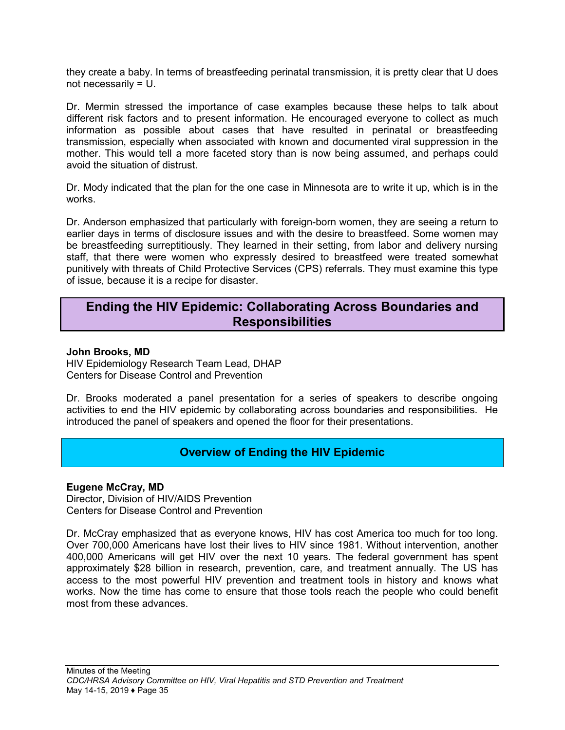they create a baby. In terms of breastfeeding perinatal transmission, it is pretty clear that U does not necessarily = U.

Dr. Mermin stressed the importance of case examples because these helps to talk about different risk factors and to present information. He encouraged everyone to collect as much information as possible about cases that have resulted in perinatal or breastfeeding transmission, especially when associated with known and documented viral suppression in the mother. This would tell a more faceted story than is now being assumed, and perhaps could avoid the situation of distrust.

Dr. Mody indicated that the plan for the one case in Minnesota are to write it up, which is in the works.

Dr. Anderson emphasized that particularly with foreign-born women, they are seeing a return to earlier days in terms of disclosure issues and with the desire to breastfeed. Some women may be breastfeeding surreptitiously. They learned in their setting, from labor and delivery nursing staff, that there were women who expressly desired to breastfeed were treated somewhat punitively with threats of Child Protective Services (CPS) referrals. They must examine this type of issue, because it is a recipe for disaster.

# <span id="page-35-0"></span>**Ending the HIV Epidemic: Collaborating Across Boundaries and Responsibilities**

#### **John Brooks, MD**

HIV Epidemiology Research Team Lead, DHAP Centers for Disease Control and Prevention

Dr. Brooks moderated a panel presentation for a series of speakers to describe ongoing activities to end the HIV epidemic by collaborating across boundaries and responsibilities. He introduced the panel of speakers and opened the floor for their presentations.

### **Overview of Ending the HIV Epidemic**

#### <span id="page-35-1"></span>**Eugene McCray, MD**

Director, Division of HIV/AIDS Prevention Centers for Disease Control and Prevention

Dr. McCray emphasized that as everyone knows, HIV has cost America too much for too long. Over 700,000 Americans have lost their lives to HIV since 1981. Without intervention, another 400,000 Americans will get HIV over the next 10 years. The federal government has spent approximately \$28 billion in research, prevention, care, and treatment annually. The US has access to the most powerful HIV prevention and treatment tools in history and knows what works. Now the time has come to ensure that those tools reach the people who could benefit most from these advances.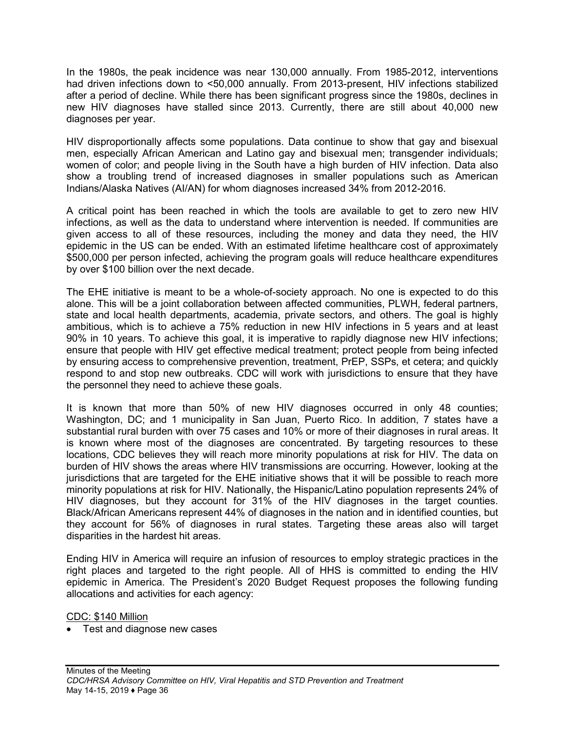In the 1980s, the peak incidence was near 130,000 annually. From 1985-2012, interventions had driven infections down to <50,000 annually. From 2013-present, HIV infections stabilized after a period of decline. While there has been significant progress since the 1980s, declines in new HIV diagnoses have stalled since 2013. Currently, there are still about 40,000 new diagnoses per year.

HIV disproportionally affects some populations. Data continue to show that gay and bisexual men, especially African American and Latino gay and bisexual men; transgender individuals; women of color; and people living in the South have a high burden of HIV infection. Data also show a troubling trend of increased diagnoses in smaller populations such as American Indians/Alaska Natives (AI/AN) for whom diagnoses increased 34% from 2012-2016.

A critical point has been reached in which the tools are available to get to zero new HIV infections, as well as the data to understand where intervention is needed. If communities are given access to all of these resources, including the money and data they need, the HIV epidemic in the US can be ended. With an estimated lifetime healthcare cost of approximately \$500,000 per person infected, achieving the program goals will reduce healthcare expenditures by over \$100 billion over the next decade.

The EHE initiative is meant to be a whole-of-society approach. No one is expected to do this alone. This will be a joint collaboration between affected communities, PLWH, federal partners, state and local health departments, academia, private sectors, and others. The goal is highly ambitious, which is to achieve a 75% reduction in new HIV infections in 5 years and at least 90% in 10 years. To achieve this goal, it is imperative to rapidly diagnose new HIV infections; ensure that people with HIV get effective medical treatment; protect people from being infected by ensuring access to comprehensive prevention, treatment, PrEP, SSPs, et cetera; and quickly respond to and stop new outbreaks. CDC will work with jurisdictions to ensure that they have the personnel they need to achieve these goals.

It is known that more than 50% of new HIV diagnoses occurred in only 48 counties; Washington, DC; and 1 municipality in San Juan, Puerto Rico. In addition, 7 states have a substantial rural burden with over 75 cases and 10% or more of their diagnoses in rural areas. It is known where most of the diagnoses are concentrated. By targeting resources to these locations, CDC believes they will reach more minority populations at risk for HIV. The data on burden of HIV shows the areas where HIV transmissions are occurring. However, looking at the jurisdictions that are targeted for the EHE initiative shows that it will be possible to reach more minority populations at risk for HIV. Nationally, the Hispanic/Latino population represents 24% of HIV diagnoses, but they account for 31% of the HIV diagnoses in the target counties. Black/African Americans represent 44% of diagnoses in the nation and in identified counties, but they account for 56% of diagnoses in rural states. Targeting these areas also will target disparities in the hardest hit areas.

Ending HIV in America will require an infusion of resources to employ strategic practices in the right places and targeted to the right people. All of HHS is committed to ending the HIV epidemic in America. The President's 2020 Budget Request proposes the following funding allocations and activities for each agency:

CDC: \$140 Million

• Test and diagnose new cases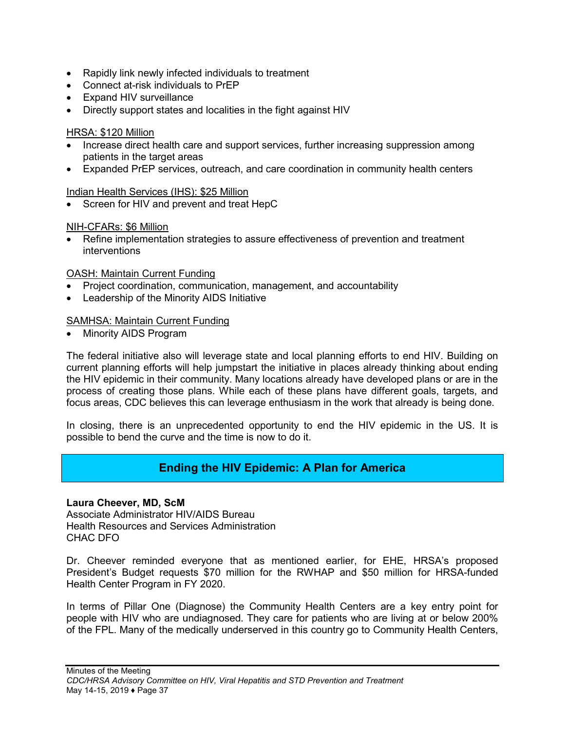- Rapidly link newly infected individuals to treatment
- Connect at-risk individuals to PrEP
- Expand HIV surveillance
- Directly support states and localities in the fight against HIV

### HRSA: \$120 Million

- Increase direct health care and support services, further increasing suppression among patients in the target areas
- Expanded PrEP services, outreach, and care coordination in community health centers

### Indian Health Services (IHS): \$25 Million

• Screen for HIV and prevent and treat HepC

### NIH-CFARs: \$6 Million

• Refine implementation strategies to assure effectiveness of prevention and treatment interventions

### OASH: Maintain Current Funding

- Project coordination, communication, management, and accountability
- Leadership of the Minority AIDS Initiative

### SAMHSA: Maintain Current Funding

• Minority AIDS Program

The federal initiative also will leverage state and local planning efforts to end HIV. Building on current planning efforts will help jumpstart the initiative in places already thinking about ending the HIV epidemic in their community. Many locations already have developed plans or are in the process of creating those plans. While each of these plans have different goals, targets, and focus areas, CDC believes this can leverage enthusiasm in the work that already is being done.

In closing, there is an unprecedented opportunity to end the HIV epidemic in the US. It is possible to bend the curve and the time is now to do it.

### **Ending the HIV Epidemic: A Plan for America**

### **Laura Cheever, MD, ScM**

Associate Administrator HIV/AIDS Bureau Health Resources and Services Administration CHAC DFO

Dr. Cheever reminded everyone that as mentioned earlier, for EHE, HRSA's proposed President's Budget requests \$70 million for the RWHAP and \$50 million for HRSA-funded Health Center Program in FY 2020.

In terms of Pillar One (Diagnose) the Community Health Centers are a key entry point for people with HIV who are undiagnosed. They care for patients who are living at or below 200% of the FPL. Many of the medically underserved in this country go to Community Health Centers,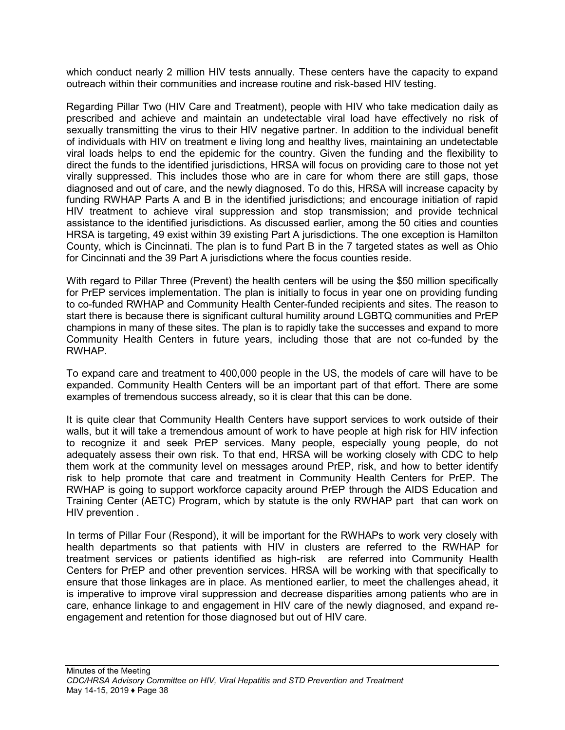which conduct nearly 2 million HIV tests annually. These centers have the capacity to expand outreach within their communities and increase routine and risk-based HIV testing.

Regarding Pillar Two (HIV Care and Treatment), people with HIV who take medication daily as prescribed and achieve and maintain an undetectable viral load have effectively no risk of sexually transmitting the virus to their HIV negative partner. In addition to the individual benefit of individuals with HIV on treatment e living long and healthy lives, maintaining an undetectable viral loads helps to end the epidemic for the country. Given the funding and the flexibility to direct the funds to the identified jurisdictions, HRSA will focus on providing care to those not yet virally suppressed. This includes those who are in care for whom there are still gaps, those diagnosed and out of care, and the newly diagnosed. To do this, HRSA will increase capacity by funding RWHAP Parts A and B in the identified jurisdictions; and encourage initiation of rapid HIV treatment to achieve viral suppression and stop transmission; and provide technical assistance to the identified jurisdictions. As discussed earlier, among the 50 cities and counties HRSA is targeting, 49 exist within 39 existing Part A jurisdictions. The one exception is Hamilton County, which is Cincinnati. The plan is to fund Part B in the 7 targeted states as well as Ohio for Cincinnati and the 39 Part A jurisdictions where the focus counties reside.

With regard to Pillar Three (Prevent) the health centers will be using the \$50 million specifically for PrEP services implementation. The plan is initially to focus in year one on providing funding to co-funded RWHAP and Community Health Center-funded recipients and sites. The reason to start there is because there is significant cultural humility around LGBTQ communities and PrEP champions in many of these sites. The plan is to rapidly take the successes and expand to more Community Health Centers in future years, including those that are not co-funded by the RWHAP.

To expand care and treatment to 400,000 people in the US, the models of care will have to be expanded. Community Health Centers will be an important part of that effort. There are some examples of tremendous success already, so it is clear that this can be done.

It is quite clear that Community Health Centers have support services to work outside of their walls, but it will take a tremendous amount of work to have people at high risk for HIV infection to recognize it and seek PrEP services. Many people, especially young people, do not adequately assess their own risk. To that end, HRSA will be working closely with CDC to help them work at the community level on messages around PrEP, risk, and how to better identify risk to help promote that care and treatment in Community Health Centers for PrEP. The RWHAP is going to support workforce capacity around PrEP through the AIDS Education and Training Center (AETC) Program, which by statute is the only RWHAP part that can work on HIV prevention .

In terms of Pillar Four (Respond), it will be important for the RWHAPs to work very closely with health departments so that patients with HIV in clusters are referred to the RWHAP for treatment services or patients identified as high-risk are referred into Community Health Centers for PrEP and other prevention services. HRSA will be working with that specifically to ensure that those linkages are in place. As mentioned earlier, to meet the challenges ahead, it is imperative to improve viral suppression and decrease disparities among patients who are in care, enhance linkage to and engagement in HIV care of the newly diagnosed, and expand reengagement and retention for those diagnosed but out of HIV care.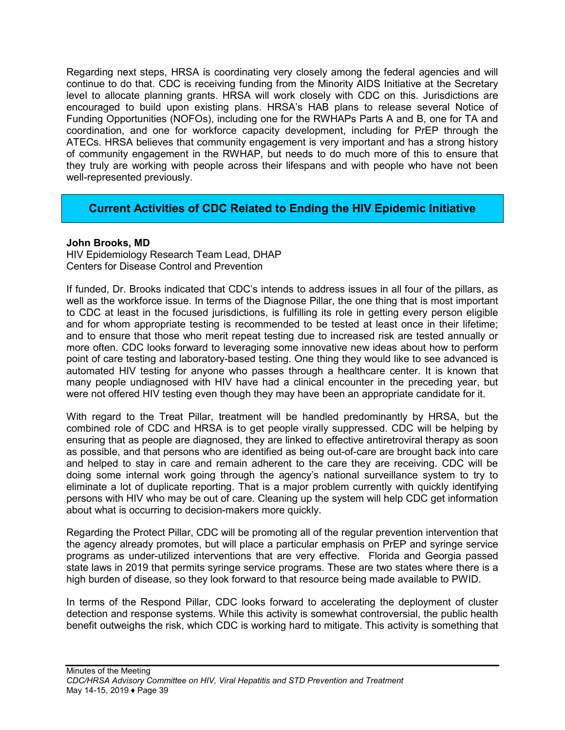Regarding next steps, HRSA is coordinating very closely among the federal agencies and will continue to do that. CDC is receiving funding from the Minority AIDS Initiative at the Secretary level to allocate planning grants. HRSA will work closely with CDC on this. Jurisdictions are encouraged to build upon existing plans. HRSA's HAB plans to release several Notice of Funding Opportunities (NOFOs), including one for the RWHAPs Parts A and B, one for TA and coordination, and one for workforce capacity development, including for PrEP through the ATECs. HRSA believes that community engagement is very important and has a strong history of community engagement in the RWHAP, but needs to do much more of this to ensure that they truly are working with people across their lifespans and with people who have not been well-represented previously.

## **Current Activities of CDC Related to Ending the HIV Epidemic Initiative**

### **John Brooks, MD**

HIV Epidemiology Research Team Lead, DHAP Centers for Disease Control and Prevention

If funded, Dr. Brooks indicated that CDC's intends to address issues in all four of the pillars, as well as the workforce issue. In terms of the Diagnose Pillar, the one thing that is most important to CDC at least in the focused jurisdictions, is fulfilling its role in getting every person eligible and for whom appropriate testing is recommended to be tested at least once in their lifetime; and to ensure that those who merit repeat testing due to increased risk are tested annually or more often. CDC looks forward to leveraging some innovative new ideas about how to perform point of care testing and laboratory-based testing. One thing they would like to see advanced is automated HIV testing for anyone who passes through a healthcare center. It is known that many people undiagnosed with HIV have had a clinical encounter in the preceding year, but were not offered HIV testing even though they may have been an appropriate candidate for it.

With regard to the Treat Pillar, treatment will be handled predominantly by HRSA, but the combined role of CDC and HRSA is to get people virally suppressed. CDC will be helping by ensuring that as people are diagnosed, they are linked to effective antiretroviral therapy as soon as possible, and that persons who are identified as being out-of-care are brought back into care and helped to stay in care and remain adherent to the care they are receiving. CDC will be doing some internal work going through the agency's national surveillance system to try to eliminate a lot of duplicate reporting. That is a major problem currently with quickly identifying persons with HIV who may be out of care. Cleaning up the system will help CDC get information about what is occurring to decision-makers more quickly.

Regarding the Protect Pillar, CDC will be promoting all of the regular prevention intervention that the agency already promotes, but will place a particular emphasis on PrEP and syringe service programs as under-utilized interventions that are very effective. Florida and Georgia passed state laws in 2019 that permits syringe service programs. These are two states where there is a high burden of disease, so they look forward to that resource being made available to PWID.

In terms of the Respond Pillar, CDC looks forward to accelerating the deployment of cluster detection and response systems. While this activity is somewhat controversial, the public health benefit outweighs the risk, which CDC is working hard to mitigate. This activity is something that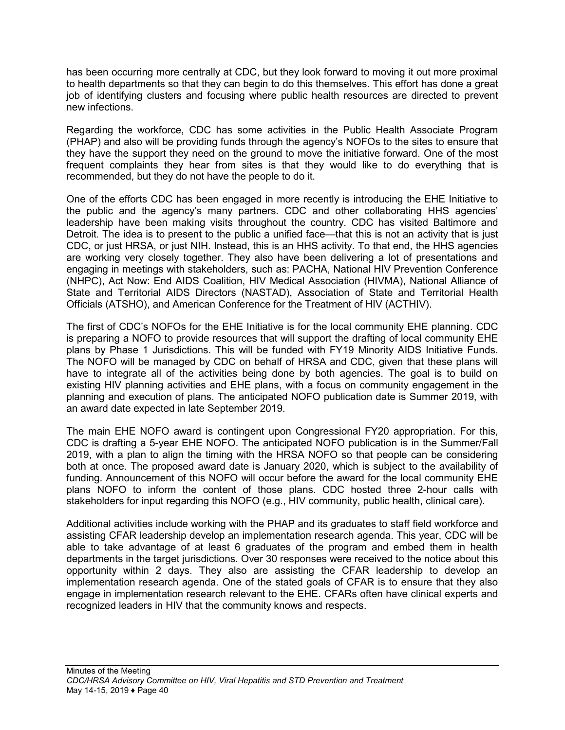has been occurring more centrally at CDC, but they look forward to moving it out more proximal to health departments so that they can begin to do this themselves. This effort has done a great job of identifying clusters and focusing where public health resources are directed to prevent new infections.

Regarding the workforce, CDC has some activities in the Public Health Associate Program (PHAP) and also will be providing funds through the agency's NOFOs to the sites to ensure that they have the support they need on the ground to move the initiative forward. One of the most frequent complaints they hear from sites is that they would like to do everything that is recommended, but they do not have the people to do it.

One of the efforts CDC has been engaged in more recently is introducing the EHE Initiative to the public and the agency's many partners. CDC and other collaborating HHS agencies' leadership have been making visits throughout the country. CDC has visited Baltimore and Detroit. The idea is to present to the public a unified face—that this is not an activity that is just CDC, or just HRSA, or just NIH. Instead, this is an HHS activity. To that end, the HHS agencies are working very closely together. They also have been delivering a lot of presentations and engaging in meetings with stakeholders, such as: PACHA, National HIV Prevention Conference (NHPC), Act Now: End AIDS Coalition, HIV Medical Association (HIVMA), National Alliance of State and Territorial AIDS Directors (NASTAD), Association of State and Territorial Health Officials (ATSHO), and American Conference for the Treatment of HIV (ACTHIV).

The first of CDC's NOFOs for the EHE Initiative is for the local community EHE planning. CDC is preparing a NOFO to provide resources that will support the drafting of local community EHE plans by Phase 1 Jurisdictions. This will be funded with FY19 Minority AIDS Initiative Funds. The NOFO will be managed by CDC on behalf of HRSA and CDC, given that these plans will have to integrate all of the activities being done by both agencies. The goal is to build on existing HIV planning activities and EHE plans, with a focus on community engagement in the planning and execution of plans. The anticipated NOFO publication date is Summer 2019, with an award date expected in late September 2019.

The main EHE NOFO award is contingent upon Congressional FY20 appropriation. For this, CDC is drafting a 5-year EHE NOFO. The anticipated NOFO publication is in the Summer/Fall 2019, with a plan to align the timing with the HRSA NOFO so that people can be considering both at once. The proposed award date is January 2020, which is subject to the availability of funding. Announcement of this NOFO will occur before the award for the local community EHE plans NOFO to inform the content of those plans. CDC hosted three 2-hour calls with stakeholders for input regarding this NOFO (e.g., HIV community, public health, clinical care).

Additional activities include working with the PHAP and its graduates to staff field workforce and assisting CFAR leadership develop an implementation research agenda. This year, CDC will be able to take advantage of at least 6 graduates of the program and embed them in health departments in the target jurisdictions. Over 30 responses were received to the notice about this opportunity within 2 days. They also are assisting the CFAR leadership to develop an implementation research agenda. One of the stated goals of CFAR is to ensure that they also engage in implementation research relevant to the EHE. CFARs often have clinical experts and recognized leaders in HIV that the community knows and respects.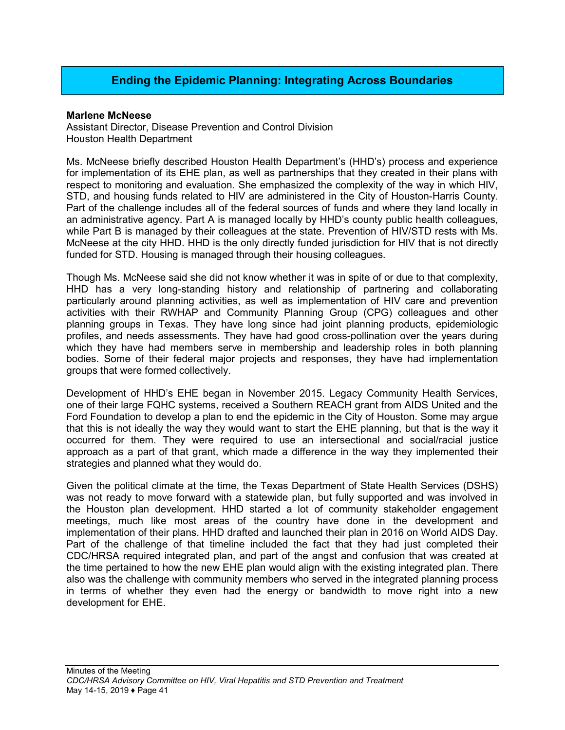## **Ending the Epidemic Planning: Integrating Across Boundaries**

#### **Marlene McNeese**

Assistant Director, Disease Prevention and Control Division Houston Health Department

Ms. McNeese briefly described Houston Health Department's (HHD's) process and experience for implementation of its EHE plan, as well as partnerships that they created in their plans with respect to monitoring and evaluation. She emphasized the complexity of the way in which HIV, STD, and housing funds related to HIV are administered in the City of Houston-Harris County. Part of the challenge includes all of the federal sources of funds and where they land locally in an administrative agency. Part A is managed locally by HHD's county public health colleagues, while Part B is managed by their colleagues at the state. Prevention of HIV/STD rests with Ms. McNeese at the city HHD. HHD is the only directly funded jurisdiction for HIV that is not directly funded for STD. Housing is managed through their housing colleagues.

Though Ms. McNeese said she did not know whether it was in spite of or due to that complexity, HHD has a very long-standing history and relationship of partnering and collaborating particularly around planning activities, as well as implementation of HIV care and prevention activities with their RWHAP and Community Planning Group (CPG) colleagues and other planning groups in Texas. They have long since had joint planning products, epidemiologic profiles, and needs assessments. They have had good cross-pollination over the years during which they have had members serve in membership and leadership roles in both planning bodies. Some of their federal major projects and responses, they have had implementation groups that were formed collectively.

Development of HHD's EHE began in November 2015. Legacy Community Health Services, one of their large FQHC systems, received a Southern REACH grant from AIDS United and the Ford Foundation to develop a plan to end the epidemic in the City of Houston. Some may argue that this is not ideally the way they would want to start the EHE planning, but that is the way it occurred for them. They were required to use an intersectional and social/racial justice approach as a part of that grant, which made a difference in the way they implemented their strategies and planned what they would do.

Given the political climate at the time, the Texas Department of State Health Services (DSHS) was not ready to move forward with a statewide plan, but fully supported and was involved in the Houston plan development. HHD started a lot of community stakeholder engagement meetings, much like most areas of the country have done in the development and implementation of their plans. HHD drafted and launched their plan in 2016 on World AIDS Day. Part of the challenge of that timeline included the fact that they had just completed their CDC/HRSA required integrated plan, and part of the angst and confusion that was created at the time pertained to how the new EHE plan would align with the existing integrated plan. There also was the challenge with community members who served in the integrated planning process in terms of whether they even had the energy or bandwidth to move right into a new development for EHE.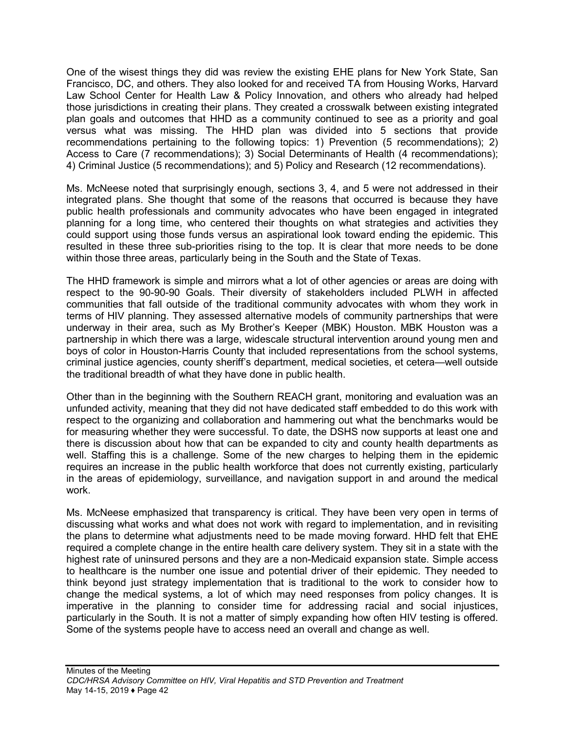One of the wisest things they did was review the existing EHE plans for New York State, San Francisco, DC, and others. They also looked for and received TA from Housing Works, Harvard Law School Center for Health Law & Policy Innovation, and others who already had helped those jurisdictions in creating their plans. They created a crosswalk between existing integrated plan goals and outcomes that HHD as a community continued to see as a priority and goal versus what was missing. The HHD plan was divided into 5 sections that provide recommendations pertaining to the following topics: 1) Prevention (5 recommendations); 2) Access to Care (7 recommendations); 3) Social Determinants of Health (4 recommendations); 4) Criminal Justice (5 recommendations); and 5) Policy and Research (12 recommendations).

Ms. McNeese noted that surprisingly enough, sections 3, 4, and 5 were not addressed in their integrated plans. She thought that some of the reasons that occurred is because they have public health professionals and community advocates who have been engaged in integrated planning for a long time, who centered their thoughts on what strategies and activities they could support using those funds versus an aspirational look toward ending the epidemic. This resulted in these three sub-priorities rising to the top. It is clear that more needs to be done within those three areas, particularly being in the South and the State of Texas.

The HHD framework is simple and mirrors what a lot of other agencies or areas are doing with respect to the 90-90-90 Goals. Their diversity of stakeholders included PLWH in affected communities that fall outside of the traditional community advocates with whom they work in terms of HIV planning. They assessed alternative models of community partnerships that were underway in their area, such as My Brother's Keeper (MBK) Houston. MBK Houston was a partnership in which there was a large, widescale structural intervention around young men and boys of color in Houston-Harris County that included representations from the school systems, criminal justice agencies, county sheriff's department, medical societies, et cetera—well outside the traditional breadth of what they have done in public health.

Other than in the beginning with the Southern REACH grant, monitoring and evaluation was an unfunded activity, meaning that they did not have dedicated staff embedded to do this work with respect to the organizing and collaboration and hammering out what the benchmarks would be for measuring whether they were successful. To date, the DSHS now supports at least one and there is discussion about how that can be expanded to city and county health departments as well. Staffing this is a challenge. Some of the new charges to helping them in the epidemic requires an increase in the public health workforce that does not currently existing, particularly in the areas of epidemiology, surveillance, and navigation support in and around the medical work.

Ms. McNeese emphasized that transparency is critical. They have been very open in terms of discussing what works and what does not work with regard to implementation, and in revisiting the plans to determine what adjustments need to be made moving forward. HHD felt that EHE required a complete change in the entire health care delivery system. They sit in a state with the highest rate of uninsured persons and they are a non-Medicaid expansion state. Simple access to healthcare is the number one issue and potential driver of their epidemic. They needed to think beyond just strategy implementation that is traditional to the work to consider how to change the medical systems, a lot of which may need responses from policy changes. It is imperative in the planning to consider time for addressing racial and social injustices, particularly in the South. It is not a matter of simply expanding how often HIV testing is offered. Some of the systems people have to access need an overall and change as well.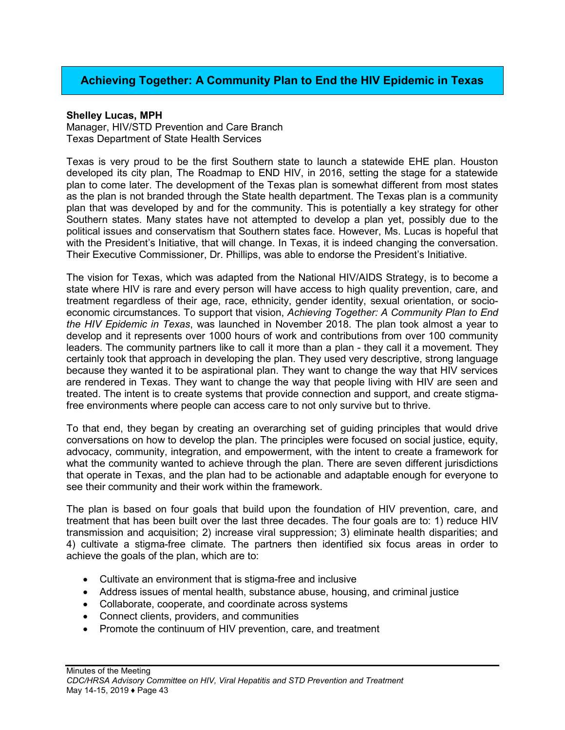## **Achieving Together: A Community Plan to End the HIV Epidemic in Texas**

#### **Shelley Lucas, MPH**

Manager, HIV/STD Prevention and Care Branch Texas Department of State Health Services

Texas is very proud to be the first Southern state to launch a statewide EHE plan. Houston developed its city plan, The Roadmap to END HIV, in 2016, setting the stage for a statewide plan to come later. The development of the Texas plan is somewhat different from most states as the plan is not branded through the State health department. The Texas plan is a community plan that was developed by and for the community. This is potentially a key strategy for other Southern states. Many states have not attempted to develop a plan yet, possibly due to the political issues and conservatism that Southern states face. However, Ms. Lucas is hopeful that with the President's Initiative, that will change. In Texas, it is indeed changing the conversation. Their Executive Commissioner, Dr. Phillips, was able to endorse the President's Initiative.

The vision for Texas, which was adapted from the National HIV/AIDS Strategy, is to become a state where HIV is rare and every person will have access to high quality prevention, care, and treatment regardless of their age, race, ethnicity, gender identity, sexual orientation, or socioeconomic circumstances. To support that vision, *Achieving Together: A Community Plan to End the HIV Epidemic in Texas*, was launched in November 2018. The plan took almost a year to develop and it represents over 1000 hours of work and contributions from over 100 community leaders. The community partners like to call it more than a plan - they call it a movement. They certainly took that approach in developing the plan. They used very descriptive, strong language because they wanted it to be aspirational plan. They want to change the way that HIV services are rendered in Texas. They want to change the way that people living with HIV are seen and treated. The intent is to create systems that provide connection and support, and create stigmafree environments where people can access care to not only survive but to thrive.

To that end, they began by creating an overarching set of guiding principles that would drive conversations on how to develop the plan. The principles were focused on social justice, equity, advocacy, community, integration, and empowerment, with the intent to create a framework for what the community wanted to achieve through the plan. There are seven different jurisdictions that operate in Texas, and the plan had to be actionable and adaptable enough for everyone to see their community and their work within the framework.

The plan is based on four goals that build upon the foundation of HIV prevention, care, and treatment that has been built over the last three decades. The four goals are to: 1) reduce HIV transmission and acquisition; 2) increase viral suppression; 3) eliminate health disparities; and 4) cultivate a stigma-free climate. The partners then identified six focus areas in order to achieve the goals of the plan, which are to:

- Cultivate an environment that is stigma-free and inclusive
- Address issues of mental health, substance abuse, housing, and criminal justice
- Collaborate, cooperate, and coordinate across systems
- Connect clients, providers, and communities
- Promote the continuum of HIV prevention, care, and treatment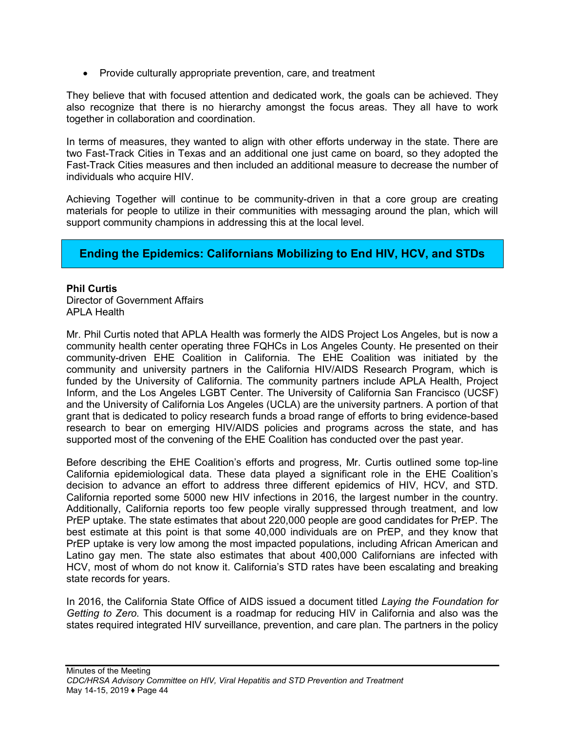• Provide culturally appropriate prevention, care, and treatment

They believe that with focused attention and dedicated work, the goals can be achieved. They also recognize that there is no hierarchy amongst the focus areas. They all have to work together in collaboration and coordination.

In terms of measures, they wanted to align with other efforts underway in the state. There are two Fast-Track Cities in Texas and an additional one just came on board, so they adopted the Fast-Track Cities measures and then included an additional measure to decrease the number of individuals who acquire HIV.

Achieving Together will continue to be community-driven in that a core group are creating materials for people to utilize in their communities with messaging around the plan, which will support community champions in addressing this at the local level.

### **Ending the Epidemics: Californians Mobilizing to End HIV, HCV, and STDs**

### **Phil Curtis**

Director of Government Affairs APLA Health

Mr. Phil Curtis noted that APLA Health was formerly the AIDS Project Los Angeles, but is now a community health center operating three FQHCs in Los Angeles County. He presented on their community-driven EHE Coalition in California. The EHE Coalition was initiated by the community and university partners in the California HIV/AIDS Research Program, which is funded by the University of California. The community partners include APLA Health, Project Inform, and the Los Angeles LGBT Center. The University of California San Francisco (UCSF) and the University of California Los Angeles (UCLA) are the university partners. A portion of that grant that is dedicated to policy research funds a broad range of efforts to bring evidence-based research to bear on emerging HIV/AIDS policies and programs across the state, and has supported most of the convening of the EHE Coalition has conducted over the past year.

Before describing the EHE Coalition's efforts and progress, Mr. Curtis outlined some top-line California epidemiological data. These data played a significant role in the EHE Coalition's decision to advance an effort to address three different epidemics of HIV, HCV, and STD. California reported some 5000 new HIV infections in 2016, the largest number in the country. Additionally, California reports too few people virally suppressed through treatment, and low PrEP uptake. The state estimates that about 220,000 people are good candidates for PrEP. The best estimate at this point is that some 40,000 individuals are on PrEP, and they know that PrEP uptake is very low among the most impacted populations, including African American and Latino gay men. The state also estimates that about 400,000 Californians are infected with HCV, most of whom do not know it. California's STD rates have been escalating and breaking state records for years.

In 2016, the California State Office of AIDS issued a document titled *Laying the Foundation for Getting to Zero*. This document is a roadmap for reducing HIV in California and also was the states required integrated HIV surveillance, prevention, and care plan. The partners in the policy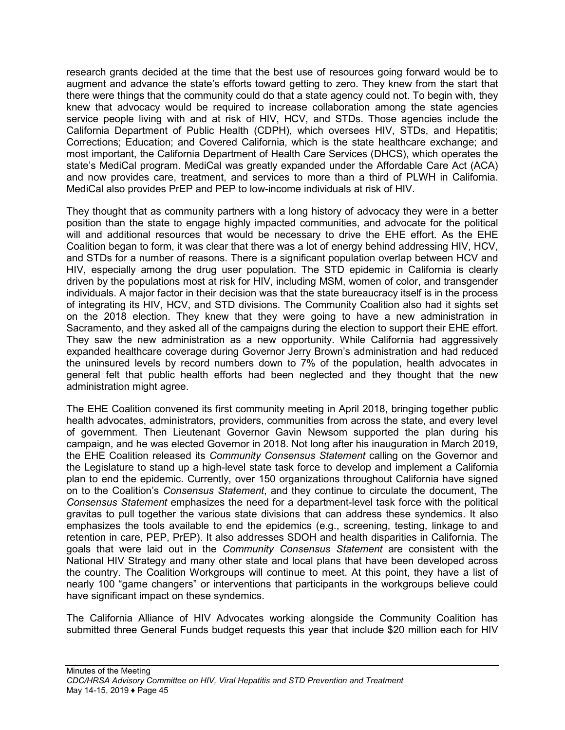research grants decided at the time that the best use of resources going forward would be to augment and advance the state's efforts toward getting to zero. They knew from the start that there were things that the community could do that a state agency could not. To begin with, they knew that advocacy would be required to increase collaboration among the state agencies service people living with and at risk of HIV, HCV, and STDs. Those agencies include the California Department of Public Health (CDPH), which oversees HIV, STDs, and Hepatitis; Corrections; Education; and Covered California, which is the state healthcare exchange; and most important, the California Department of Health Care Services (DHCS), which operates the state's MediCal program. MediCal was greatly expanded under the Affordable Care Act (ACA) and now provides care, treatment, and services to more than a third of PLWH in California. MediCal also provides PrEP and PEP to low-income individuals at risk of HIV.

They thought that as community partners with a long history of advocacy they were in a better position than the state to engage highly impacted communities, and advocate for the political will and additional resources that would be necessary to drive the EHE effort. As the EHE Coalition began to form, it was clear that there was a lot of energy behind addressing HIV, HCV, and STDs for a number of reasons. There is a significant population overlap between HCV and HIV, especially among the drug user population. The STD epidemic in California is clearly driven by the populations most at risk for HIV, including MSM, women of color, and transgender individuals. A major factor in their decision was that the state bureaucracy itself is in the process of integrating its HIV, HCV, and STD divisions. The Community Coalition also had it sights set on the 2018 election. They knew that they were going to have a new administration in Sacramento, and they asked all of the campaigns during the election to support their EHE effort. They saw the new administration as a new opportunity. While California had aggressively expanded healthcare coverage during Governor Jerry Brown's administration and had reduced the uninsured levels by record numbers down to 7% of the population, health advocates in general felt that public health efforts had been neglected and they thought that the new administration might agree.

The EHE Coalition convened its first community meeting in April 2018, bringing together public health advocates, administrators, providers, communities from across the state, and every level of government. Then Lieutenant Governor Gavin Newsom supported the plan during his campaign, and he was elected Governor in 2018. Not long after his inauguration in March 2019, the EHE Coalition released its *Community Consensus Statement* calling on the Governor and the Legislature to stand up a high-level state task force to develop and implement a California plan to end the epidemic. Currently, over 150 organizations throughout California have signed on to the Coalition's *Consensus Statement*, and they continue to circulate the document, The *Consensus Statement* emphasizes the need for a department-level task force with the political gravitas to pull together the various state divisions that can address these syndemics. It also emphasizes the tools available to end the epidemics (e.g., screening, testing, linkage to and retention in care, PEP, PrEP). It also addresses SDOH and health disparities in California. The goals that were laid out in the *Community Consensus Statement* are consistent with the National HIV Strategy and many other state and local plans that have been developed across the country. The Coalition Workgroups will continue to meet. At this point, they have a list of nearly 100 "game changers" or interventions that participants in the workgroups believe could have significant impact on these syndemics.

The California Alliance of HIV Advocates working alongside the Community Coalition has submitted three General Funds budget requests this year that include \$20 million each for HIV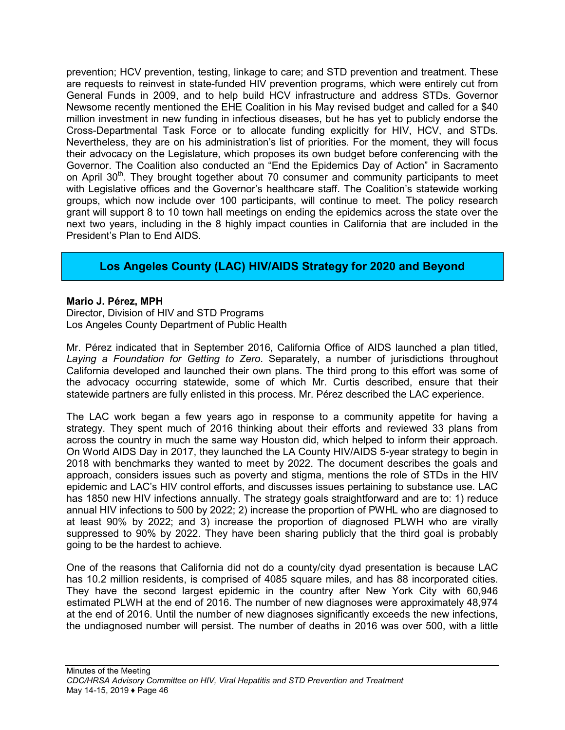prevention; HCV prevention, testing, linkage to care; and STD prevention and treatment. These are requests to reinvest in state-funded HIV prevention programs, which were entirely cut from General Funds in 2009, and to help build HCV infrastructure and address STDs. Governor Newsome recently mentioned the EHE Coalition in his May revised budget and called for a \$40 million investment in new funding in infectious diseases, but he has yet to publicly endorse the Cross-Departmental Task Force or to allocate funding explicitly for HIV, HCV, and STDs. Nevertheless, they are on his administration's list of priorities. For the moment, they will focus their advocacy on the Legislature, which proposes its own budget before conferencing with the Governor. The Coalition also conducted an "End the Epidemics Day of Action" in Sacramento on April 30<sup>th</sup>. They brought together about 70 consumer and community participants to meet with Legislative offices and the Governor's healthcare staff. The Coalition's statewide working groups, which now include over 100 participants, will continue to meet. The policy research grant will support 8 to 10 town hall meetings on ending the epidemics across the state over the next two years, including in the 8 highly impact counties in California that are included in the President's Plan to End AIDS.

## **Los Angeles County (LAC) HIV/AIDS Strategy for 2020 and Beyond**

### **Mario J. Pérez, MPH**

Director, Division of HIV and STD Programs Los Angeles County Department of Public Health

Mr. Pérez indicated that in September 2016, California Office of AIDS launched a plan titled, *Laying a Foundation for Getting to Zero*. Separately, a number of jurisdictions throughout California developed and launched their own plans. The third prong to this effort was some of the advocacy occurring statewide, some of which Mr. Curtis described, ensure that their statewide partners are fully enlisted in this process. Mr. Pérez described the LAC experience.

The LAC work began a few years ago in response to a community appetite for having a strategy. They spent much of 2016 thinking about their efforts and reviewed 33 plans from across the country in much the same way Houston did, which helped to inform their approach. On World AIDS Day in 2017, they launched the LA County HIV/AIDS 5-year strategy to begin in 2018 with benchmarks they wanted to meet by 2022. The document describes the goals and approach, considers issues such as poverty and stigma, mentions the role of STDs in the HIV epidemic and LAC's HIV control efforts, and discusses issues pertaining to substance use. LAC has 1850 new HIV infections annually. The strategy goals straightforward and are to: 1) reduce annual HIV infections to 500 by 2022; 2) increase the proportion of PWHL who are diagnosed to at least 90% by 2022; and 3) increase the proportion of diagnosed PLWH who are virally suppressed to 90% by 2022. They have been sharing publicly that the third goal is probably going to be the hardest to achieve.

One of the reasons that California did not do a county/city dyad presentation is because LAC has 10.2 million residents, is comprised of 4085 square miles, and has 88 incorporated cities. They have the second largest epidemic in the country after New York City with 60,946 estimated PLWH at the end of 2016. The number of new diagnoses were approximately 48,974 at the end of 2016. Until the number of new diagnoses significantly exceeds the new infections, the undiagnosed number will persist. The number of deaths in 2016 was over 500, with a little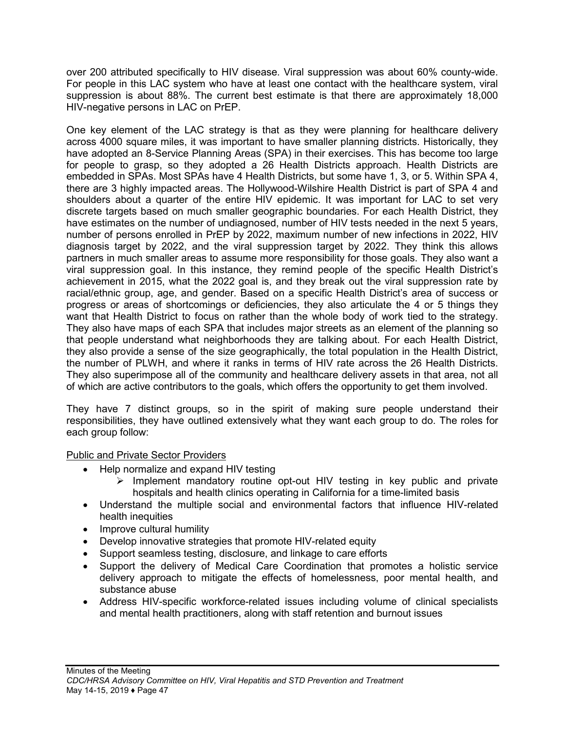over 200 attributed specifically to HIV disease. Viral suppression was about 60% county-wide. For people in this LAC system who have at least one contact with the healthcare system, viral suppression is about 88%. The current best estimate is that there are approximately 18,000 HIV-negative persons in LAC on PrEP.

One key element of the LAC strategy is that as they were planning for healthcare delivery across 4000 square miles, it was important to have smaller planning districts. Historically, they have adopted an 8-Service Planning Areas (SPA) in their exercises. This has become too large for people to grasp, so they adopted a 26 Health Districts approach. Health Districts are embedded in SPAs. Most SPAs have 4 Health Districts, but some have 1, 3, or 5. Within SPA 4, there are 3 highly impacted areas. The Hollywood-Wilshire Health District is part of SPA 4 and shoulders about a quarter of the entire HIV epidemic. It was important for LAC to set very discrete targets based on much smaller geographic boundaries. For each Health District, they have estimates on the number of undiagnosed, number of HIV tests needed in the next 5 years, number of persons enrolled in PrEP by 2022, maximum number of new infections in 2022, HIV diagnosis target by 2022, and the viral suppression target by 2022. They think this allows partners in much smaller areas to assume more responsibility for those goals. They also want a viral suppression goal. In this instance, they remind people of the specific Health District's achievement in 2015, what the 2022 goal is, and they break out the viral suppression rate by racial/ethnic group, age, and gender. Based on a specific Health District's area of success or progress or areas of shortcomings or deficiencies, they also articulate the 4 or 5 things they want that Health District to focus on rather than the whole body of work tied to the strategy. They also have maps of each SPA that includes major streets as an element of the planning so that people understand what neighborhoods they are talking about. For each Health District, they also provide a sense of the size geographically, the total population in the Health District, the number of PLWH, and where it ranks in terms of HIV rate across the 26 Health Districts. They also superimpose all of the community and healthcare delivery assets in that area, not all of which are active contributors to the goals, which offers the opportunity to get them involved.

They have 7 distinct groups, so in the spirit of making sure people understand their responsibilities, they have outlined extensively what they want each group to do. The roles for each group follow:

Public and Private Sector Providers

- Help normalize and expand HIV testing
	- $\triangleright$  Implement mandatory routine opt-out HIV testing in key public and private hospitals and health clinics operating in California for a time-limited basis
- Understand the multiple social and environmental factors that influence HIV-related health inequities
- Improve cultural humility
- Develop innovative strategies that promote HIV-related equity
- Support seamless testing, disclosure, and linkage to care efforts
- Support the delivery of Medical Care Coordination that promotes a holistic service delivery approach to mitigate the effects of homelessness, poor mental health, and substance abuse
- Address HIV-specific workforce-related issues including volume of clinical specialists and mental health practitioners, along with staff retention and burnout issues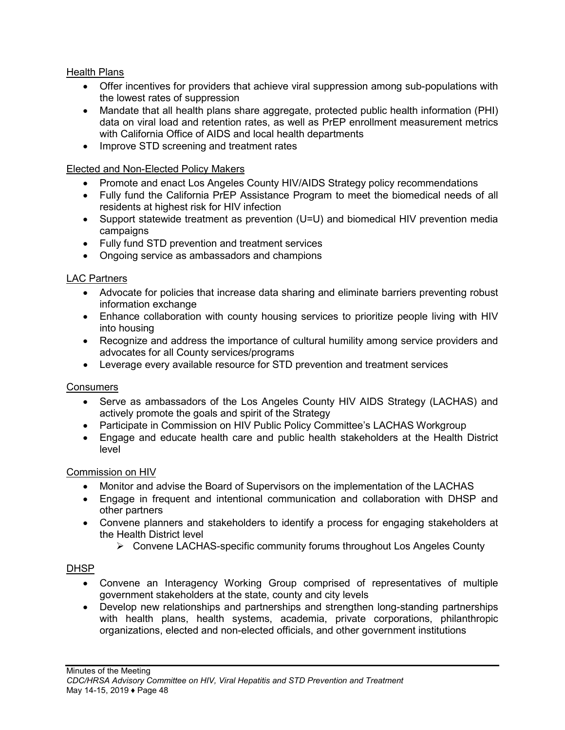### Health Plans

- Offer incentives for providers that achieve viral suppression among sub-populations with the lowest rates of suppression
- Mandate that all health plans share aggregate, protected public health information (PHI) data on viral load and retention rates, as well as PrEP enrollment measurement metrics with California Office of AIDS and local health departments
- Improve STD screening and treatment rates

### Elected and Non-Elected Policy Makers

- Promote and enact Los Angeles County HIV/AIDS Strategy policy recommendations
- Fully fund the California PrEP Assistance Program to meet the biomedical needs of all residents at highest risk for HIV infection
- Support statewide treatment as prevention (U=U) and biomedical HIV prevention media campaigns
- Fully fund STD prevention and treatment services
- Ongoing service as ambassadors and champions

### LAC Partners

- Advocate for policies that increase data sharing and eliminate barriers preventing robust information exchange
- Enhance collaboration with county housing services to prioritize people living with HIV into housing
- Recognize and address the importance of cultural humility among service providers and advocates for all County services/programs
- Leverage every available resource for STD prevention and treatment services

### **Consumers**

- Serve as ambassadors of the Los Angeles County HIV AIDS Strategy (LACHAS) and actively promote the goals and spirit of the Strategy
- Participate in Commission on HIV Public Policy Committee's LACHAS Workgroup
- Engage and educate health care and public health stakeholders at the Health District level

### Commission on HIV

- Monitor and advise the Board of Supervisors on the implementation of the LACHAS
- Engage in frequent and intentional communication and collaboration with DHSP and other partners
- Convene planners and stakeholders to identify a process for engaging stakeholders at the Health District level
	- Convene LACHAS-specific community forums throughout Los Angeles County

### DHSP

- Convene an Interagency Working Group comprised of representatives of multiple government stakeholders at the state, county and city levels
- Develop new relationships and partnerships and strengthen long-standing partnerships with health plans, health systems, academia, private corporations, philanthropic organizations, elected and non-elected officials, and other government institutions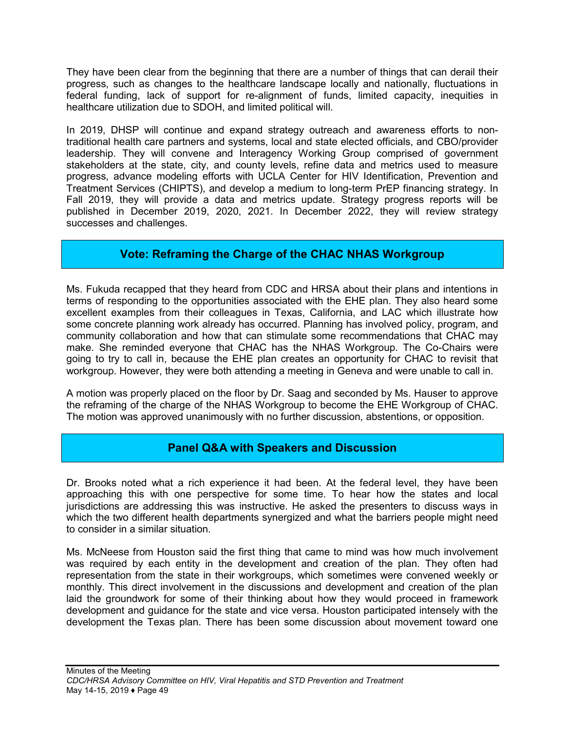They have been clear from the beginning that there are a number of things that can derail their progress, such as changes to the healthcare landscape locally and nationally, fluctuations in federal funding, lack of support for re-alignment of funds, limited capacity, inequities in healthcare utilization due to SDOH, and limited political will.

In 2019, DHSP will continue and expand strategy outreach and awareness efforts to nontraditional health care partners and systems, local and state elected officials, and CBO/provider leadership. They will convene and Interagency Working Group comprised of government stakeholders at the state, city, and county levels, refine data and metrics used to measure progress, advance modeling efforts with UCLA Center for HIV Identification, Prevention and Treatment Services (CHIPTS), and develop a medium to long-term PrEP financing strategy. In Fall 2019, they will provide a data and metrics update. Strategy progress reports will be published in December 2019, 2020, 2021. In December 2022, they will review strategy successes and challenges.

## **Vote: Reframing the Charge of the CHAC NHAS Workgroup**

Ms. Fukuda recapped that they heard from CDC and HRSA about their plans and intentions in terms of responding to the opportunities associated with the EHE plan. They also heard some excellent examples from their colleagues in Texas, California, and LAC which illustrate how some concrete planning work already has occurred. Planning has involved policy, program, and community collaboration and how that can stimulate some recommendations that CHAC may make. She reminded everyone that CHAC has the NHAS Workgroup. The Co-Chairs were going to try to call in, because the EHE plan creates an opportunity for CHAC to revisit that workgroup. However, they were both attending a meeting in Geneva and were unable to call in.

A motion was properly placed on the floor by Dr. Saag and seconded by Ms. Hauser to approve the reframing of the charge of the NHAS Workgroup to become the EHE Workgroup of CHAC. The motion was approved unanimously with no further discussion, abstentions, or opposition.

### **Panel Q&A with Speakers and Discussion**

Dr. Brooks noted what a rich experience it had been. At the federal level, they have been approaching this with one perspective for some time. To hear how the states and local jurisdictions are addressing this was instructive. He asked the presenters to discuss ways in which the two different health departments synergized and what the barriers people might need to consider in a similar situation.

Ms. McNeese from Houston said the first thing that came to mind was how much involvement was required by each entity in the development and creation of the plan. They often had representation from the state in their workgroups, which sometimes were convened weekly or monthly. This direct involvement in the discussions and development and creation of the plan laid the groundwork for some of their thinking about how they would proceed in framework development and guidance for the state and vice versa. Houston participated intensely with the development the Texas plan. There has been some discussion about movement toward one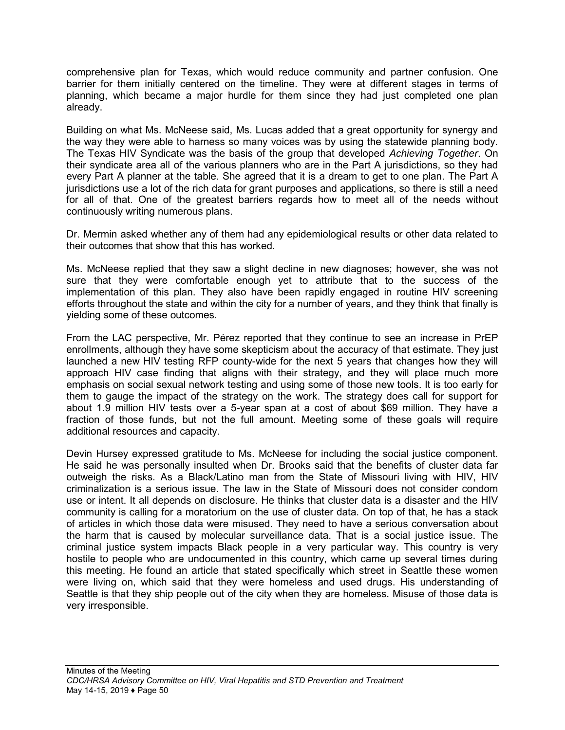comprehensive plan for Texas, which would reduce community and partner confusion. One barrier for them initially centered on the timeline. They were at different stages in terms of planning, which became a major hurdle for them since they had just completed one plan already.

Building on what Ms. McNeese said, Ms. Lucas added that a great opportunity for synergy and the way they were able to harness so many voices was by using the statewide planning body. The Texas HIV Syndicate was the basis of the group that developed *Achieving Together*. On their syndicate area all of the various planners who are in the Part A jurisdictions, so they had every Part A planner at the table. She agreed that it is a dream to get to one plan. The Part A jurisdictions use a lot of the rich data for grant purposes and applications, so there is still a need for all of that. One of the greatest barriers regards how to meet all of the needs without continuously writing numerous plans.

Dr. Mermin asked whether any of them had any epidemiological results or other data related to their outcomes that show that this has worked.

Ms. McNeese replied that they saw a slight decline in new diagnoses; however, she was not sure that they were comfortable enough yet to attribute that to the success of the implementation of this plan. They also have been rapidly engaged in routine HIV screening efforts throughout the state and within the city for a number of years, and they think that finally is yielding some of these outcomes.

From the LAC perspective, Mr. Pérez reported that they continue to see an increase in PrEP enrollments, although they have some skepticism about the accuracy of that estimate. They just launched a new HIV testing RFP county-wide for the next 5 years that changes how they will approach HIV case finding that aligns with their strategy, and they will place much more emphasis on social sexual network testing and using some of those new tools. It is too early for them to gauge the impact of the strategy on the work. The strategy does call for support for about 1.9 million HIV tests over a 5-year span at a cost of about \$69 million. They have a fraction of those funds, but not the full amount. Meeting some of these goals will require additional resources and capacity.

Devin Hursey expressed gratitude to Ms. McNeese for including the social justice component. He said he was personally insulted when Dr. Brooks said that the benefits of cluster data far outweigh the risks. As a Black/Latino man from the State of Missouri living with HIV, HIV criminalization is a serious issue. The law in the State of Missouri does not consider condom use or intent. It all depends on disclosure. He thinks that cluster data is a disaster and the HIV community is calling for a moratorium on the use of cluster data. On top of that, he has a stack of articles in which those data were misused. They need to have a serious conversation about the harm that is caused by molecular surveillance data. That is a social justice issue. The criminal justice system impacts Black people in a very particular way. This country is very hostile to people who are undocumented in this country, which came up several times during this meeting. He found an article that stated specifically which street in Seattle these women were living on, which said that they were homeless and used drugs. His understanding of Seattle is that they ship people out of the city when they are homeless. Misuse of those data is very irresponsible.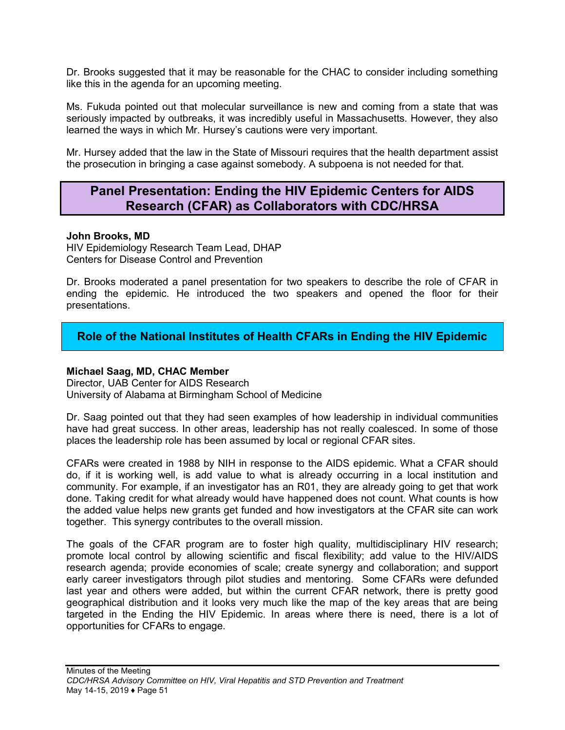Dr. Brooks suggested that it may be reasonable for the CHAC to consider including something like this in the agenda for an upcoming meeting.

Ms. Fukuda pointed out that molecular surveillance is new and coming from a state that was seriously impacted by outbreaks, it was incredibly useful in Massachusetts. However, they also learned the ways in which Mr. Hursey's cautions were very important.

Mr. Hursey added that the law in the State of Missouri requires that the health department assist the prosecution in bringing a case against somebody. A subpoena is not needed for that.

## **Panel Presentation: Ending the HIV Epidemic Centers for AIDS Research (CFAR) as Collaborators with CDC/HRSA**

### **John Brooks, MD**

HIV Epidemiology Research Team Lead, DHAP Centers for Disease Control and Prevention

Dr. Brooks moderated a panel presentation for two speakers to describe the role of CFAR in ending the epidemic. He introduced the two speakers and opened the floor for their presentations.

## **Role of the National Institutes of Health CFARs in Ending the HIV Epidemic**

### **Michael Saag, MD, CHAC Member**

Director, UAB Center for AIDS Research University of Alabama at Birmingham School of Medicine

Dr. Saag pointed out that they had seen examples of how leadership in individual communities have had great success. In other areas, leadership has not really coalesced. In some of those places the leadership role has been assumed by local or regional CFAR sites.

CFARs were created in 1988 by NIH in response to the AIDS epidemic. What a CFAR should do, if it is working well, is add value to what is already occurring in a local institution and community. For example, if an investigator has an R01, they are already going to get that work done. Taking credit for what already would have happened does not count. What counts is how the added value helps new grants get funded and how investigators at the CFAR site can work together. This synergy contributes to the overall mission.

The goals of the CFAR program are to foster high quality, multidisciplinary HIV research; promote local control by allowing scientific and fiscal flexibility; add value to the HIV/AIDS research agenda; provide economies of scale; create synergy and collaboration; and support early career investigators through pilot studies and mentoring. Some CFARs were defunded last year and others were added, but within the current CFAR network, there is pretty good geographical distribution and it looks very much like the map of the key areas that are being targeted in the Ending the HIV Epidemic. In areas where there is need, there is a lot of opportunities for CFARs to engage.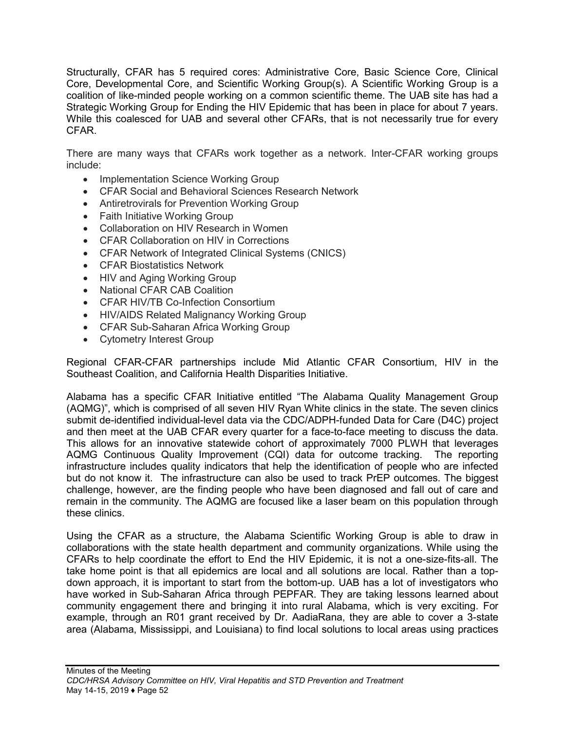Structurally, CFAR has 5 required cores: Administrative Core, Basic Science Core, Clinical Core, Developmental Core, and Scientific Working Group(s). A Scientific Working Group is a coalition of like-minded people working on a common scientific theme. The UAB site has had a Strategic Working Group for Ending the HIV Epidemic that has been in place for about 7 years. While this coalesced for UAB and several other CFARs, that is not necessarily true for every CFAR.

There are many ways that CFARs work together as a network. Inter-CFAR working groups include:

- Implementation Science Working Group
- CFAR Social and Behavioral Sciences Research Network
- Antiretrovirals for Prevention Working Group
- Faith Initiative Working Group
- Collaboration on HIV Research in Women
- CFAR Collaboration on HIV in Corrections
- CFAR Network of Integrated Clinical Systems (CNICS)
- CFAR Biostatistics Network
- HIV and Aging Working Group
- National CFAR CAB Coalition
- CFAR HIV/TB Co-Infection Consortium
- HIV/AIDS Related Malignancy Working Group
- CFAR Sub-Saharan Africa Working Group
- Cytometry Interest Group

Regional CFAR-CFAR partnerships include Mid Atlantic CFAR Consortium, HIV in the Southeast Coalition, and California Health Disparities Initiative.

Alabama has a specific CFAR Initiative entitled "The Alabama Quality Management Group (AQMG)", which is comprised of all seven HIV Ryan White clinics in the state. The seven clinics submit de-identified individual-level data via the CDC/ADPH-funded Data for Care (D4C) project and then meet at the UAB CFAR every quarter for a face-to-face meeting to discuss the data. This allows for an innovative statewide cohort of approximately 7000 PLWH that leverages AQMG Continuous Quality Improvement (CQI) data for outcome tracking. The reporting infrastructure includes quality indicators that help the identification of people who are infected but do not know it. The infrastructure can also be used to track PrEP outcomes. The biggest challenge, however, are the finding people who have been diagnosed and fall out of care and remain in the community. The AQMG are focused like a laser beam on this population through these clinics.

Using the CFAR as a structure, the Alabama Scientific Working Group is able to draw in collaborations with the state health department and community organizations. While using the CFARs to help coordinate the effort to End the HIV Epidemic, it is not a one-size-fits-all. The take home point is that all epidemics are local and all solutions are local. Rather than a topdown approach, it is important to start from the bottom-up. UAB has a lot of investigators who have worked in Sub-Saharan Africa through PEPFAR. They are taking lessons learned about community engagement there and bringing it into rural Alabama, which is very exciting. For example, through an R01 grant received by Dr. AadiaRana, they are able to cover a 3-state area (Alabama, Mississippi, and Louisiana) to find local solutions to local areas using practices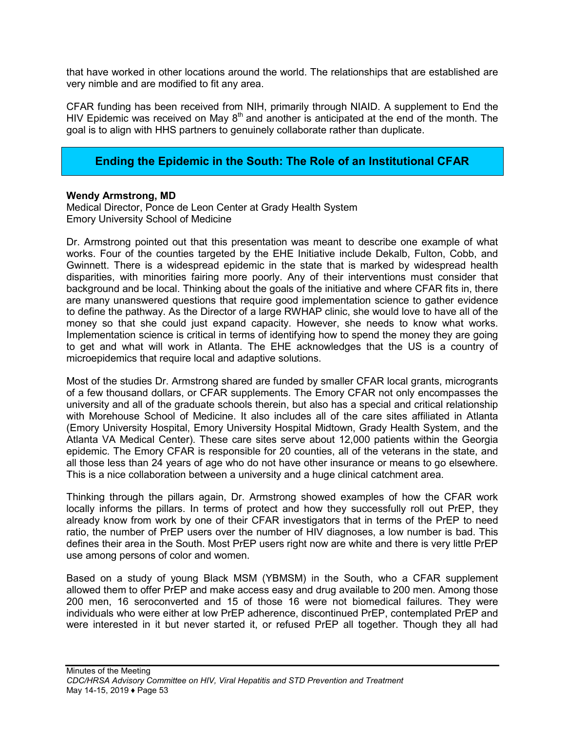that have worked in other locations around the world. The relationships that are established are very nimble and are modified to fit any area.

CFAR funding has been received from NIH, primarily through NIAID. A supplement to End the HIV Epidemic was received on May  $8<sup>th</sup>$  and another is anticipated at the end of the month. The goal is to align with HHS partners to genuinely collaborate rather than duplicate.

### **Ending the Epidemic in the South: The Role of an Institutional CFAR**

### **Wendy Armstrong, MD**

Medical Director, Ponce de Leon Center at Grady Health System Emory University School of Medicine

Dr. Armstrong pointed out that this presentation was meant to describe one example of what works. Four of the counties targeted by the EHE Initiative include Dekalb, Fulton, Cobb, and Gwinnett. There is a widespread epidemic in the state that is marked by widespread health disparities, with minorities fairing more poorly. Any of their interventions must consider that background and be local. Thinking about the goals of the initiative and where CFAR fits in, there are many unanswered questions that require good implementation science to gather evidence to define the pathway. As the Director of a large RWHAP clinic, she would love to have all of the money so that she could just expand capacity. However, she needs to know what works. Implementation science is critical in terms of identifying how to spend the money they are going to get and what will work in Atlanta. The EHE acknowledges that the US is a country of microepidemics that require local and adaptive solutions.

Most of the studies Dr. Armstrong shared are funded by smaller CFAR local grants, microgrants of a few thousand dollars, or CFAR supplements. The Emory CFAR not only encompasses the university and all of the graduate schools therein, but also has a special and critical relationship with Morehouse School of Medicine. It also includes all of the care sites affiliated in Atlanta (Emory University Hospital, Emory University Hospital Midtown, Grady Health System, and the Atlanta VA Medical Center). These care sites serve about 12,000 patients within the Georgia epidemic. The Emory CFAR is responsible for 20 counties, all of the veterans in the state, and all those less than 24 years of age who do not have other insurance or means to go elsewhere. This is a nice collaboration between a university and a huge clinical catchment area.

Thinking through the pillars again, Dr. Armstrong showed examples of how the CFAR work locally informs the pillars. In terms of protect and how they successfully roll out PrEP, they already know from work by one of their CFAR investigators that in terms of the PrEP to need ratio, the number of PrEP users over the number of HIV diagnoses, a low number is bad. This defines their area in the South. Most PrEP users right now are white and there is very little PrEP use among persons of color and women.

Based on a study of young Black MSM (YBMSM) in the South, who a CFAR supplement allowed them to offer PrEP and make access easy and drug available to 200 men. Among those 200 men, 16 seroconverted and 15 of those 16 were not biomedical failures. They were individuals who were either at low PrEP adherence, discontinued PrEP, contemplated PrEP and were interested in it but never started it, or refused PrEP all together. Though they all had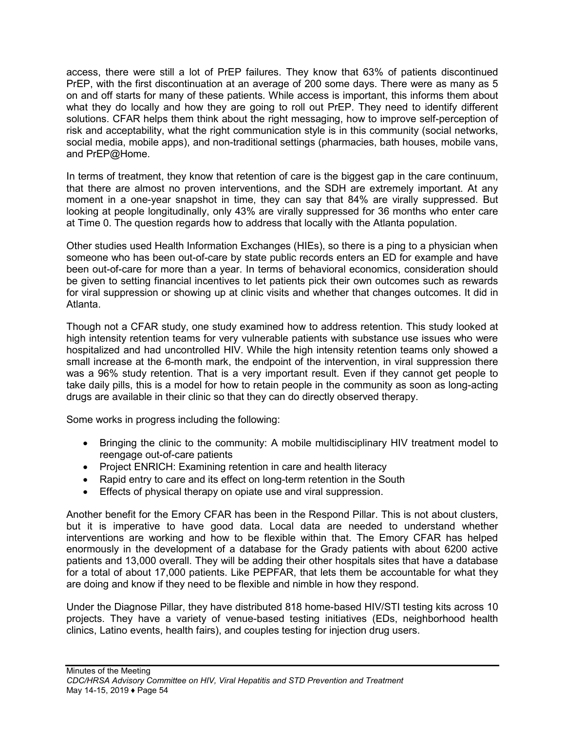access, there were still a lot of PrEP failures. They know that 63% of patients discontinued PrEP, with the first discontinuation at an average of 200 some days. There were as many as 5 on and off starts for many of these patients. While access is important, this informs them about what they do locally and how they are going to roll out PrEP. They need to identify different solutions. CFAR helps them think about the right messaging, how to improve self-perception of risk and acceptability, what the right communication style is in this community (social networks, social media, mobile apps), and non-traditional settings (pharmacies, bath houses, mobile vans, and PrEP@Home.

In terms of treatment, they know that retention of care is the biggest gap in the care continuum, that there are almost no proven interventions, and the SDH are extremely important. At any moment in a one-year snapshot in time, they can say that 84% are virally suppressed. But looking at people longitudinally, only 43% are virally suppressed for 36 months who enter care at Time 0. The question regards how to address that locally with the Atlanta population.

Other studies used Health Information Exchanges (HIEs), so there is a ping to a physician when someone who has been out-of-care by state public records enters an ED for example and have been out-of-care for more than a year. In terms of behavioral economics, consideration should be given to setting financial incentives to let patients pick their own outcomes such as rewards for viral suppression or showing up at clinic visits and whether that changes outcomes. It did in Atlanta.

Though not a CFAR study, one study examined how to address retention. This study looked at high intensity retention teams for very vulnerable patients with substance use issues who were hospitalized and had uncontrolled HIV. While the high intensity retention teams only showed a small increase at the 6-month mark, the endpoint of the intervention, in viral suppression there was a 96% study retention. That is a very important result. Even if they cannot get people to take daily pills, this is a model for how to retain people in the community as soon as long-acting drugs are available in their clinic so that they can do directly observed therapy.

Some works in progress including the following:

- Bringing the clinic to the community: A mobile multidisciplinary HIV treatment model to reengage out-of-care patients
- Project ENRICH: Examining retention in care and health literacy
- Rapid entry to care and its effect on long-term retention in the South
- Effects of physical therapy on opiate use and viral suppression.

Another benefit for the Emory CFAR has been in the Respond Pillar. This is not about clusters, but it is imperative to have good data. Local data are needed to understand whether interventions are working and how to be flexible within that. The Emory CFAR has helped enormously in the development of a database for the Grady patients with about 6200 active patients and 13,000 overall. They will be adding their other hospitals sites that have a database for a total of about 17,000 patients. Like PEPFAR, that lets them be accountable for what they are doing and know if they need to be flexible and nimble in how they respond.

Under the Diagnose Pillar, they have distributed 818 home-based HIV/STI testing kits across 10 projects. They have a variety of venue-based testing initiatives (EDs, neighborhood health clinics, Latino events, health fairs), and couples testing for injection drug users.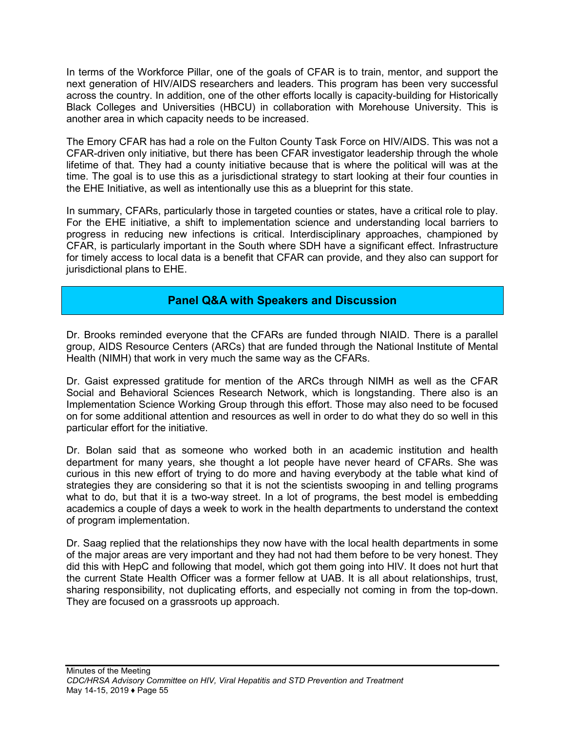In terms of the Workforce Pillar, one of the goals of CFAR is to train, mentor, and support the next generation of HIV/AIDS researchers and leaders. This program has been very successful across the country. In addition, one of the other efforts locally is capacity-building for Historically Black Colleges and Universities (HBCU) in collaboration with Morehouse University. This is another area in which capacity needs to be increased.

The Emory CFAR has had a role on the Fulton County Task Force on HIV/AIDS. This was not a CFAR-driven only initiative, but there has been CFAR investigator leadership through the whole lifetime of that. They had a county initiative because that is where the political will was at the time. The goal is to use this as a jurisdictional strategy to start looking at their four counties in the EHE Initiative, as well as intentionally use this as a blueprint for this state.

In summary, CFARs, particularly those in targeted counties or states, have a critical role to play. For the EHE initiative, a shift to implementation science and understanding local barriers to progress in reducing new infections is critical. Interdisciplinary approaches, championed by CFAR, is particularly important in the South where SDH have a significant effect. Infrastructure for timely access to local data is a benefit that CFAR can provide, and they also can support for jurisdictional plans to EHE.

## **Panel Q&A with Speakers and Discussion**

Dr. Brooks reminded everyone that the CFARs are funded through NIAID. There is a parallel group, AIDS Resource Centers (ARCs) that are funded through the National Institute of Mental Health (NIMH) that work in very much the same way as the CFARs.

Dr. Gaist expressed gratitude for mention of the ARCs through NIMH as well as the CFAR Social and Behavioral Sciences Research Network, which is longstanding. There also is an Implementation Science Working Group through this effort. Those may also need to be focused on for some additional attention and resources as well in order to do what they do so well in this particular effort for the initiative.

Dr. Bolan said that as someone who worked both in an academic institution and health department for many years, she thought a lot people have never heard of CFARs. She was curious in this new effort of trying to do more and having everybody at the table what kind of strategies they are considering so that it is not the scientists swooping in and telling programs what to do, but that it is a two-way street. In a lot of programs, the best model is embedding academics a couple of days a week to work in the health departments to understand the context of program implementation.

Dr. Saag replied that the relationships they now have with the local health departments in some of the major areas are very important and they had not had them before to be very honest. They did this with HepC and following that model, which got them going into HIV. It does not hurt that the current State Health Officer was a former fellow at UAB. It is all about relationships, trust, sharing responsibility, not duplicating efforts, and especially not coming in from the top-down. They are focused on a grassroots up approach.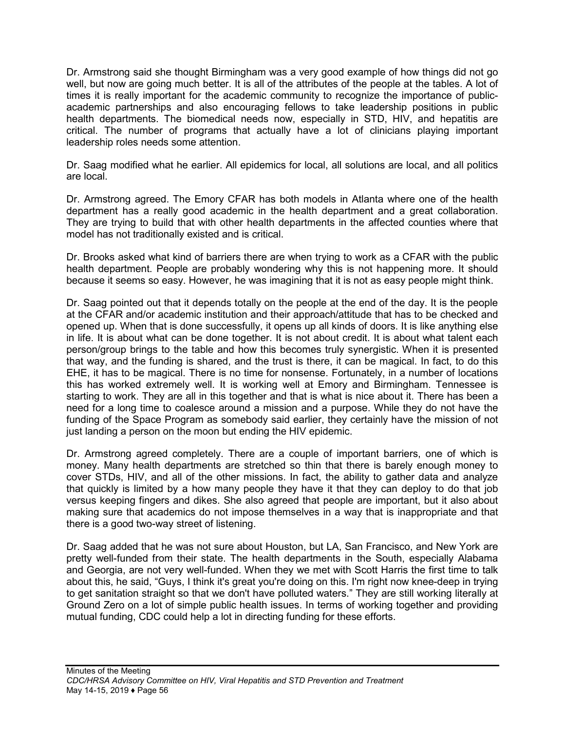Dr. Armstrong said she thought Birmingham was a very good example of how things did not go well, but now are going much better. It is all of the attributes of the people at the tables. A lot of times it is really important for the academic community to recognize the importance of publicacademic partnerships and also encouraging fellows to take leadership positions in public health departments. The biomedical needs now, especially in STD, HIV, and hepatitis are critical. The number of programs that actually have a lot of clinicians playing important leadership roles needs some attention.

Dr. Saag modified what he earlier. All epidemics for local, all solutions are local, and all politics are local.

Dr. Armstrong agreed. The Emory CFAR has both models in Atlanta where one of the health department has a really good academic in the health department and a great collaboration. They are trying to build that with other health departments in the affected counties where that model has not traditionally existed and is critical.

Dr. Brooks asked what kind of barriers there are when trying to work as a CFAR with the public health department. People are probably wondering why this is not happening more. It should because it seems so easy. However, he was imagining that it is not as easy people might think.

Dr. Saag pointed out that it depends totally on the people at the end of the day. It is the people at the CFAR and/or academic institution and their approach/attitude that has to be checked and opened up. When that is done successfully, it opens up all kinds of doors. It is like anything else in life. It is about what can be done together. It is not about credit. It is about what talent each person/group brings to the table and how this becomes truly synergistic. When it is presented that way, and the funding is shared, and the trust is there, it can be magical. In fact, to do this EHE, it has to be magical. There is no time for nonsense. Fortunately, in a number of locations this has worked extremely well. It is working well at Emory and Birmingham. Tennessee is starting to work. They are all in this together and that is what is nice about it. There has been a need for a long time to coalesce around a mission and a purpose. While they do not have the funding of the Space Program as somebody said earlier, they certainly have the mission of not just landing a person on the moon but ending the HIV epidemic.

Dr. Armstrong agreed completely. There are a couple of important barriers, one of which is money. Many health departments are stretched so thin that there is barely enough money to cover STDs, HIV, and all of the other missions. In fact, the ability to gather data and analyze that quickly is limited by a how many people they have it that they can deploy to do that job versus keeping fingers and dikes. She also agreed that people are important, but it also about making sure that academics do not impose themselves in a way that is inappropriate and that there is a good two-way street of listening.

Dr. Saag added that he was not sure about Houston, but LA, San Francisco, and New York are pretty well-funded from their state. The health departments in the South, especially Alabama and Georgia, are not very well-funded. When they we met with Scott Harris the first time to talk about this, he said, "Guys, I think it's great you're doing on this. I'm right now knee-deep in trying to get sanitation straight so that we don't have polluted waters." They are still working literally at Ground Zero on a lot of simple public health issues. In terms of working together and providing mutual funding, CDC could help a lot in directing funding for these efforts.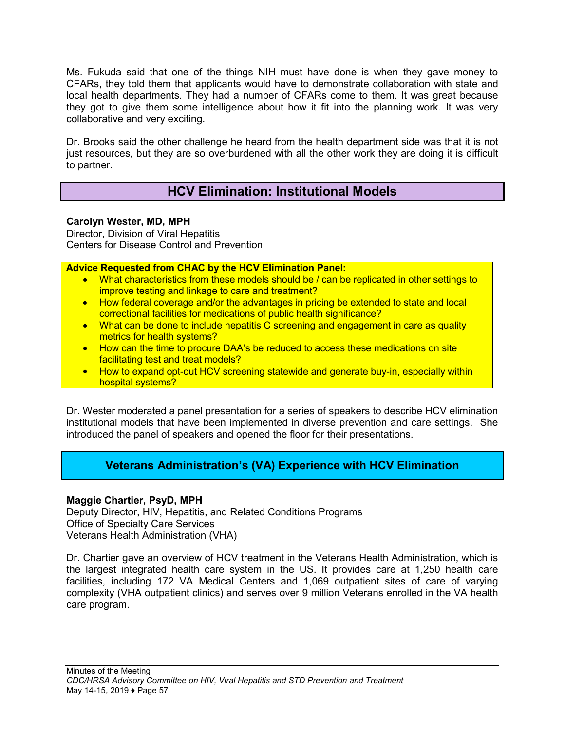Ms. Fukuda said that one of the things NIH must have done is when they gave money to CFARs, they told them that applicants would have to demonstrate collaboration with state and local health departments. They had a number of CFARs come to them. It was great because they got to give them some intelligence about how it fit into the planning work. It was very collaborative and very exciting.

Dr. Brooks said the other challenge he heard from the health department side was that it is not just resources, but they are so overburdened with all the other work they are doing it is difficult to partner.

# **HCV Elimination: Institutional Models**

### **Carolyn Wester, MD, MPH**

Director, Division of Viral Hepatitis Centers for Disease Control and Prevention

### **Advice Requested from CHAC by the HCV Elimination Panel:**

- What characteristics from these models should be / can be replicated in other settings to improve testing and linkage to care and treatment?
- How federal coverage and/or the advantages in pricing be extended to state and local correctional facilities for medications of public health significance?
- What can be done to include hepatitis C screening and engagement in care as quality metrics for health systems?
- How can the time to procure DAA's be reduced to access these medications on site facilitating test and treat models?
- How to expand opt-out HCV screening statewide and generate buy-in, especially within hospital systems?

Dr. Wester moderated a panel presentation for a series of speakers to describe HCV elimination institutional models that have been implemented in diverse prevention and care settings. She introduced the panel of speakers and opened the floor for their presentations.

## **Veterans Administration's (VA) Experience with HCV Elimination**

### **Maggie Chartier, PsyD, MPH**

Deputy Director, HIV, Hepatitis, and Related Conditions Programs Office of Specialty Care Services Veterans Health Administration (VHA)

Dr. Chartier gave an overview of HCV treatment in the Veterans Health Administration, which is the largest integrated health care system in the US. It provides care at 1,250 health care facilities, including 172 VA Medical Centers and 1,069 outpatient sites of care of varying complexity (VHA outpatient clinics) and serves over 9 million Veterans enrolled in the VA health care program.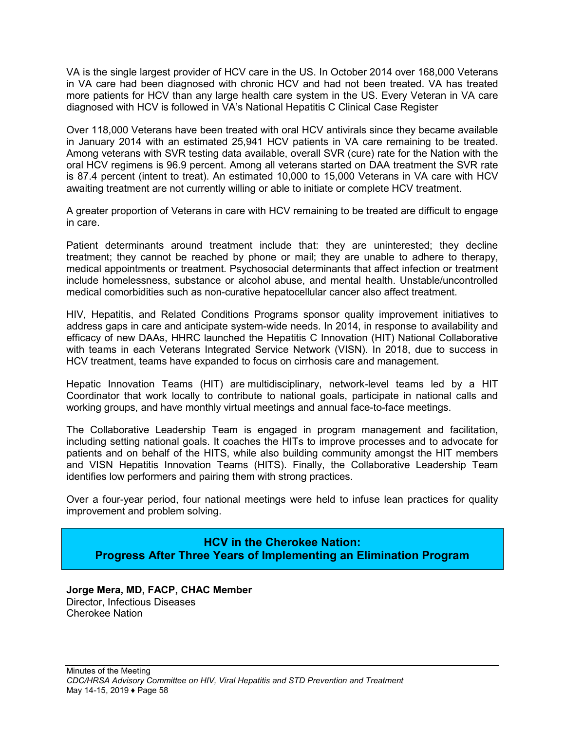VA is the single largest provider of HCV care in the US. In October 2014 over 168,000 Veterans in VA care had been diagnosed with chronic HCV and had not been treated. VA has treated more patients for HCV than any large health care system in the US. Every Veteran in VA care diagnosed with HCV is followed in VA's National Hepatitis C Clinical Case Register

Over 118,000 Veterans have been treated with oral HCV antivirals since they became available in January 2014 with an estimated 25,941 HCV patients in VA care remaining to be treated. Among veterans with SVR testing data available, overall SVR (cure) rate for the Nation with the oral HCV regimens is 96.9 percent. Among all veterans started on DAA treatment the SVR rate is 87.4 percent (intent to treat). An estimated 10,000 to 15,000 Veterans in VA care with HCV awaiting treatment are not currently willing or able to initiate or complete HCV treatment.

A greater proportion of Veterans in care with HCV remaining to be treated are difficult to engage in care.

Patient determinants around treatment include that: they are uninterested; they decline treatment; they cannot be reached by phone or mail; they are unable to adhere to therapy, medical appointments or treatment. Psychosocial determinants that affect infection or treatment include homelessness, substance or alcohol abuse, and mental health. Unstable/uncontrolled medical comorbidities such as non-curative hepatocellular cancer also affect treatment.

HIV, Hepatitis, and Related Conditions Programs sponsor quality improvement initiatives to address gaps in care and anticipate system-wide needs. In 2014, in response to availability and efficacy of new DAAs, HHRC launched the Hepatitis C Innovation (HIT) National Collaborative with teams in each Veterans Integrated Service Network (VISN). In 2018, due to success in HCV treatment, teams have expanded to focus on cirrhosis care and management.

Hepatic Innovation Teams (HIT) are multidisciplinary, network-level teams led by a HIT Coordinator that work locally to contribute to national goals, participate in national calls and working groups, and have monthly virtual meetings and annual face-to-face meetings.

The Collaborative Leadership Team is engaged in program management and facilitation, including setting national goals. It coaches the HITs to improve processes and to advocate for patients and on behalf of the HITS, while also building community amongst the HIT members and VISN Hepatitis Innovation Teams (HITS). Finally, the Collaborative Leadership Team identifies low performers and pairing them with strong practices.

Over a four-year period, four national meetings were held to infuse lean practices for quality improvement and problem solving.

### **HCV in the Cherokee Nation: Progress After Three Years of Implementing an Elimination Program**

**Jorge Mera, MD, FACP, CHAC Member** Director, Infectious Diseases Cherokee Nation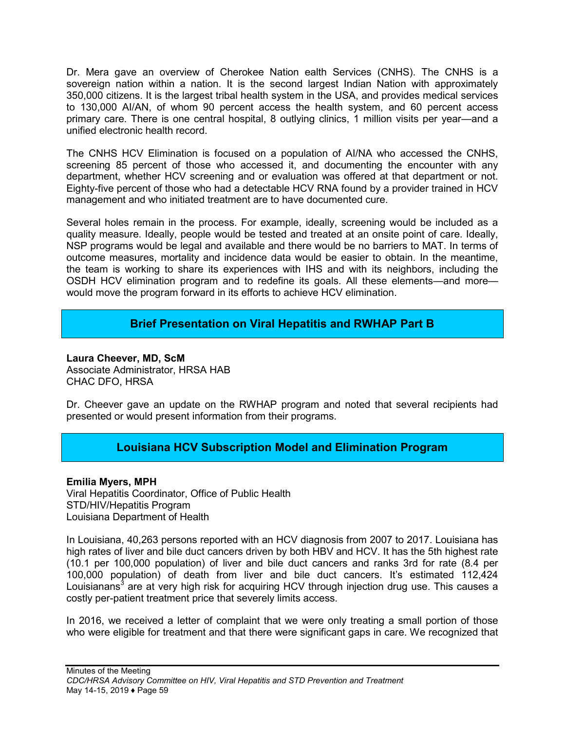Dr. Mera gave an overview of Cherokee Nation ealth Services (CNHS). The CNHS is a sovereign nation within a nation. It is the second largest Indian Nation with approximately 350,000 citizens. It is the largest tribal health system in the USA, and provides medical services to 130,000 AI/AN, of whom 90 percent access the health system, and 60 percent access primary care. There is one central hospital, 8 outlying clinics, 1 million visits per year—and a unified electronic health record.

The CNHS HCV Elimination is focused on a population of AI/NA who accessed the CNHS, screening 85 percent of those who accessed it, and documenting the encounter with any department, whether HCV screening and or evaluation was offered at that department or not. Eighty-five percent of those who had a detectable HCV RNA found by a provider trained in HCV management and who initiated treatment are to have documented cure.

Several holes remain in the process. For example, ideally, screening would be included as a quality measure. Ideally, people would be tested and treated at an onsite point of care. Ideally, NSP programs would be legal and available and there would be no barriers to MAT. In terms of outcome measures, mortality and incidence data would be easier to obtain. In the meantime, the team is working to share its experiences with IHS and with its neighbors, including the OSDH HCV elimination program and to redefine its goals. All these elements—and more would move the program forward in its efforts to achieve HCV elimination.

## **Brief Presentation on Viral Hepatitis and RWHAP Part B**

**Laura Cheever, MD, ScM** Associate Administrator, HRSA HAB CHAC DFO, HRSA

Dr. Cheever gave an update on the RWHAP program and noted that several recipients had presented or would present information from their programs.

## **Louisiana HCV Subscription Model and Elimination Program**

**Emilia Myers, MPH**

Viral Hepatitis Coordinator, Office of Public Health STD/HIV/Hepatitis Program Louisiana Department of Health

In Louisiana, 40,263 persons reported with an HCV diagnosis from 2007 to 2017. Louisiana has high rates of liver and bile duct cancers driven by both HBV and HCV. It has the 5th highest rate (10.1 per 100,000 population) of liver and bile duct cancers and ranks 3rd for rate (8.4 per 100,000 population) of death from liver and bile duct cancers. It's estimated 112,424 Louisianans<sup>3</sup> are at very high risk for acquiring HCV through injection drug use. This causes a costly per-patient treatment price that severely limits access.

In 2016, we received a letter of complaint that we were only treating a small portion of those who were eligible for treatment and that there were significant gaps in care. We recognized that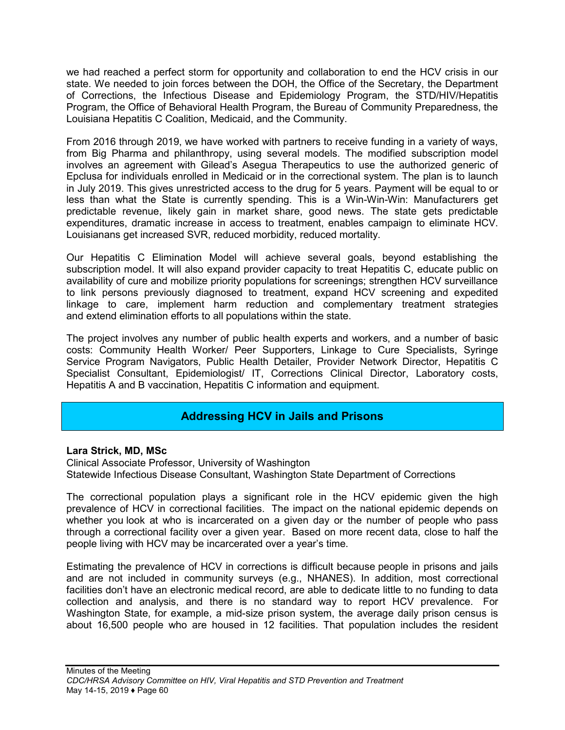we had reached a perfect storm for opportunity and collaboration to end the HCV crisis in our state. We needed to join forces between the DOH, the Office of the Secretary, the Department of Corrections, the Infectious Disease and Epidemiology Program, the STD/HIV/Hepatitis Program, the Office of Behavioral Health Program, the Bureau of Community Preparedness, the Louisiana Hepatitis C Coalition, Medicaid, and the Community.

From 2016 through 2019, we have worked with partners to receive funding in a variety of ways, from Big Pharma and philanthropy, using several models. The modified subscription model involves an agreement with Gilead's Asegua Therapeutics to use the authorized generic of Epclusa for individuals enrolled in Medicaid or in the correctional system. The plan is to launch in July 2019. This gives unrestricted access to the drug for 5 years. Payment will be equal to or less than what the State is currently spending. This is a Win-Win-Win: Manufacturers get predictable revenue, likely gain in market share, good news. The state gets predictable expenditures, dramatic increase in access to treatment, enables campaign to eliminate HCV. Louisianans get increased SVR, reduced morbidity, reduced mortality.

Our Hepatitis C Elimination Model will achieve several goals, beyond establishing the subscription model. It will also expand provider capacity to treat Hepatitis C, educate public on availability of cure and mobilize priority populations for screenings; strengthen HCV surveillance to link persons previously diagnosed to treatment, expand HCV screening and expedited linkage to care, implement harm reduction and complementary treatment strategies and extend elimination efforts to all populations within the state.

The project involves any number of public health experts and workers, and a number of basic costs: Community Health Worker/ Peer Supporters, Linkage to Cure Specialists, Syringe Service Program Navigators, Public Health Detailer, Provider Network Director, Hepatitis C Specialist Consultant, Epidemiologist/ IT, Corrections Clinical Director, Laboratory costs, Hepatitis A and B vaccination, Hepatitis C information and equipment.

## **Addressing HCV in Jails and Prisons**

### **Lara Strick, MD, MSc**

Clinical Associate Professor, University of Washington Statewide Infectious Disease Consultant, Washington State Department of Corrections

The correctional population plays a significant role in the HCV epidemic given the high prevalence of HCV in correctional facilities. The impact on the national epidemic depends on whether you look at who is incarcerated on a given day or the number of people who pass through a correctional facility over a given year. Based on more recent data, close to half the people living with HCV may be incarcerated over a year's time.

Estimating the prevalence of HCV in corrections is difficult because people in prisons and jails and are not included in community surveys (e.g., NHANES). In addition, most correctional facilities don't have an electronic medical record, are able to dedicate little to no funding to data collection and analysis, and there is no standard way to report HCV prevalence. For Washington State, for example, a mid-size prison system, the average daily prison census is about 16,500 people who are housed in 12 facilities. That population includes the resident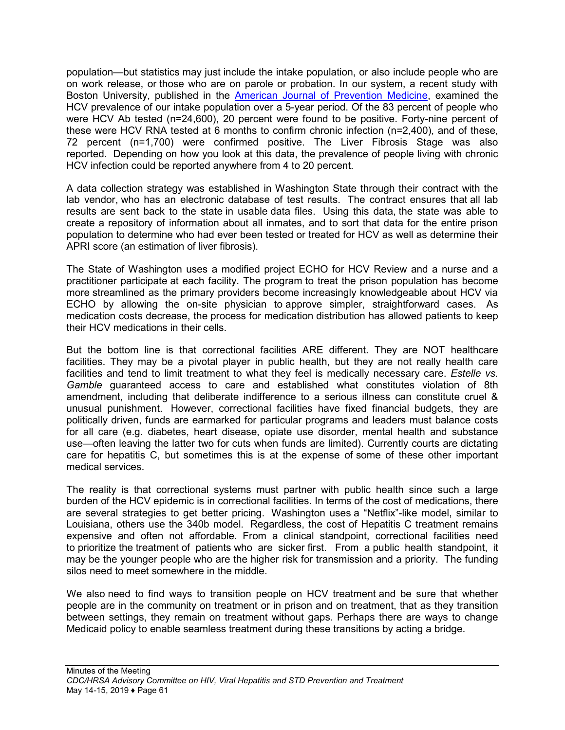population—but statistics may just include the intake population, or also include people who are on work release, or those who are on parole or probation. In our system, a recent study with Boston University, published in the [American Journal of Prevention Medicine](https://www.ncbi.nlm.nih.gov/pubmed/30467088), examined the HCV prevalence of our intake population over a 5-year period. Of the 83 percent of people who were HCV Ab tested (n=24,600), 20 percent were found to be positive. Forty-nine percent of these were HCV RNA tested at 6 months to confirm chronic infection (n=2,400), and of these, 72 percent (n=1,700) were confirmed positive. The Liver Fibrosis Stage was also reported. Depending on how you look at this data, the prevalence of people living with chronic HCV infection could be reported anywhere from 4 to 20 percent.

A data collection strategy was established in Washington State through their contract with the lab vendor, who has an electronic database of test results. The contract ensures that all lab results are sent back to the state in usable data files. Using this data, the state was able to create a repository of information about all inmates, and to sort that data for the entire prison population to determine who had ever been tested or treated for HCV as well as determine their APRI score (an estimation of liver fibrosis).

The State of Washington uses a modified project ECHO for HCV Review and a nurse and a practitioner participate at each facility. The program to treat the prison population has become more streamlined as the primary providers become increasingly knowledgeable about HCV via ECHO by allowing the on-site physician to approve simpler, straightforward cases. As medication costs decrease, the process for medication distribution has allowed patients to keep their HCV medications in their cells.

But the bottom line is that correctional facilities ARE different. They are NOT healthcare facilities. They may be a pivotal player in public health, but they are not really health care facilities and tend to limit treatment to what they feel is medically necessary care. *Estelle vs. Gamble* guaranteed access to care and established what constitutes violation of 8th amendment, including that deliberate indifference to a serious illness can constitute cruel & unusual punishment. However, correctional facilities have fixed financial budgets, they are politically driven, funds are earmarked for particular programs and leaders must balance costs for all care (e.g. diabetes, heart disease, opiate use disorder, mental health and substance use—often leaving the latter two for cuts when funds are limited). Currently courts are dictating care for hepatitis C, but sometimes this is at the expense of some of these other important medical services.

The reality is that correctional systems must partner with public health since such a large burden of the HCV epidemic is in correctional facilities. In terms of the cost of medications, there are several strategies to get better pricing. Washington uses a "Netflix"-like model, similar to Louisiana, others use the 340b model. Regardless, the cost of Hepatitis C treatment remains expensive and often not affordable. From a clinical standpoint, correctional facilities need to prioritize the treatment of patients who are sicker first. From a public health standpoint, it may be the younger people who are the higher risk for transmission and a priority. The funding silos need to meet somewhere in the middle.

We also need to find ways to transition people on HCV treatment and be sure that whether people are in the community on treatment or in prison and on treatment, that as they transition between settings, they remain on treatment without gaps. Perhaps there are ways to change Medicaid policy to enable seamless treatment during these transitions by acting a bridge.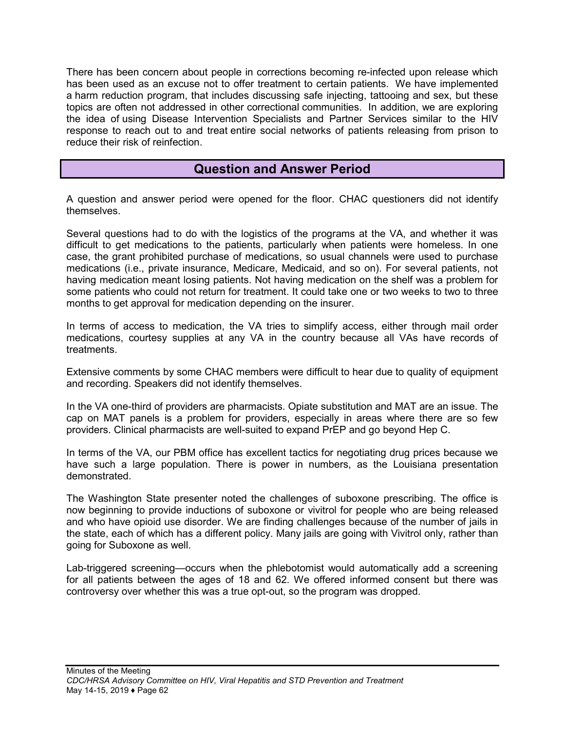There has been concern about people in corrections becoming re-infected upon release which has been used as an excuse not to offer treatment to certain patients. We have implemented a harm reduction program, that includes discussing safe injecting, tattooing and sex, but these topics are often not addressed in other correctional communities. In addition, we are exploring the idea of using Disease Intervention Specialists and Partner Services similar to the HIV response to reach out to and treat entire social networks of patients releasing from prison to reduce their risk of reinfection.

## **Question and Answer Period**

A question and answer period were opened for the floor. CHAC questioners did not identify themselves.

Several questions had to do with the logistics of the programs at the VA, and whether it was difficult to get medications to the patients, particularly when patients were homeless. In one case, the grant prohibited purchase of medications, so usual channels were used to purchase medications (i.e., private insurance, Medicare, Medicaid, and so on). For several patients, not having medication meant losing patients. Not having medication on the shelf was a problem for some patients who could not return for treatment. It could take one or two weeks to two to three months to get approval for medication depending on the insurer.

In terms of access to medication, the VA tries to simplify access, either through mail order medications, courtesy supplies at any VA in the country because all VAs have records of treatments.

Extensive comments by some CHAC members were difficult to hear due to quality of equipment and recording. Speakers did not identify themselves.

In the VA one-third of providers are pharmacists. Opiate substitution and MAT are an issue. The cap on MAT panels is a problem for providers, especially in areas where there are so few providers. Clinical pharmacists are well-suited to expand PrEP and go beyond Hep C.

In terms of the VA, our PBM office has excellent tactics for negotiating drug prices because we have such a large population. There is power in numbers, as the Louisiana presentation demonstrated.

The Washington State presenter noted the challenges of suboxone prescribing. The office is now beginning to provide inductions of suboxone or vivitrol for people who are being released and who have opioid use disorder. We are finding challenges because of the number of jails in the state, each of which has a different policy. Many jails are going with Vivitrol only, rather than going for Suboxone as well.

Lab-triggered screening—occurs when the phlebotomist would automatically add a screening for all patients between the ages of 18 and 62. We offered informed consent but there was controversy over whether this was a true opt-out, so the program was dropped.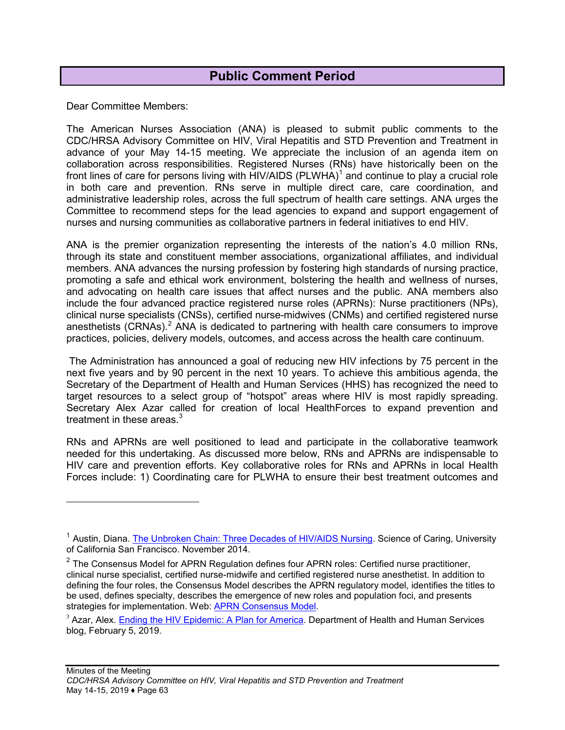## **Public Comment Period**

Dear Committee Members:

 $\overline{a}$ 

The American Nurses Association (ANA) is pleased to submit public comments to the CDC/HRSA Advisory Committee on HIV, Viral Hepatitis and STD Prevention and Treatment in advance of your May 14-15 meeting. We appreciate the inclusion of an agenda item on collaboration across responsibilities. Registered Nurses (RNs) have historically been on the front lines of care for persons living with HIV/AIDS (PLWHA)<sup>[1](#page-63-0)</sup> and continue to play a crucial role in both care and prevention. RNs serve in multiple direct care, care coordination, and administrative leadership roles, across the full spectrum of health care settings. ANA urges the Committee to recommend steps for the lead agencies to expand and support engagement of nurses and nursing communities as collaborative partners in federal initiatives to end HIV.

ANA is the premier organization representing the interests of the nation's 4.0 million RNs, through its state and constituent member associations, organizational affiliates, and individual members. ANA advances the nursing profession by fostering high standards of nursing practice, promoting a safe and ethical work environment, bolstering the health and wellness of nurses, and advocating on health care issues that affect nurses and the public. ANA members also include the four advanced practice registered nurse roles (APRNs): Nurse practitioners (NPs), clinical nurse specialists (CNSs), certified nurse-midwives (CNMs) and certified registered nurse anesthetists  $(CRNAs)<sup>2</sup> ANA$  $(CRNAs)<sup>2</sup> ANA$  $(CRNAs)<sup>2</sup> ANA$  is dedicated to partnering with health care consumers to improve practices, policies, delivery models, outcomes, and access across the health care continuum.

The Administration has announced a goal of reducing new HIV infections by 75 percent in the next five years and by 90 percent in the next 10 years. To achieve this ambitious agenda, the Secretary of the Department of Health and Human Services (HHS) has recognized the need to target resources to a select group of "hotspot" areas where HIV is most rapidly spreading. Secretary Alex Azar called for creation of local HealthForces to expand prevention and treatment in these areas. $3$ 

RNs and APRNs are well positioned to lead and participate in the collaborative teamwork needed for this undertaking. As discussed more below, RNs and APRNs are indispensable to HIV care and prevention efforts. Key collaborative roles for RNs and APRNs in local Health Forces include: 1) Coordinating care for PLWHA to ensure their best treatment outcomes and

<span id="page-63-0"></span><sup>&</sup>lt;sup>1</sup> Austin, Diana. [The Unbroken Chain: Three Decades of HIV/AIDS Nursing](https://scienceofcaring.ucsf.edu/patient-care/unbroken-chain-three-decades-hivaids-nursing). Science of Caring, University of California San Francisco. November 2014.

<span id="page-63-1"></span> $2$  The Consensus Model for APRN Regulation defines four APRN roles: Certified nurse practitioner, clinical nurse specialist, certified nurse-midwife and certified registered nurse anesthetist. In addition to defining the four roles, the Consensus Model describes the APRN regulatory model, identifies the titles to be used, defines specialty, describes the emergence of new roles and population foci, and presents strategies for implementation. Web: [APRN Consensus Model](https://www.nursingworld.org/certification/aprn-consensus-model/).

<span id="page-63-2"></span><sup>&</sup>lt;sup>3</sup> Azar, Alex. [Ending the HIV Epidemic: A Plan for America](https://www.hhs.gov/blog/2019/02/05/ending-the-hiv-epidemic-a-plan-for-america.html). Department of Health and Human Services blog, February 5, 2019.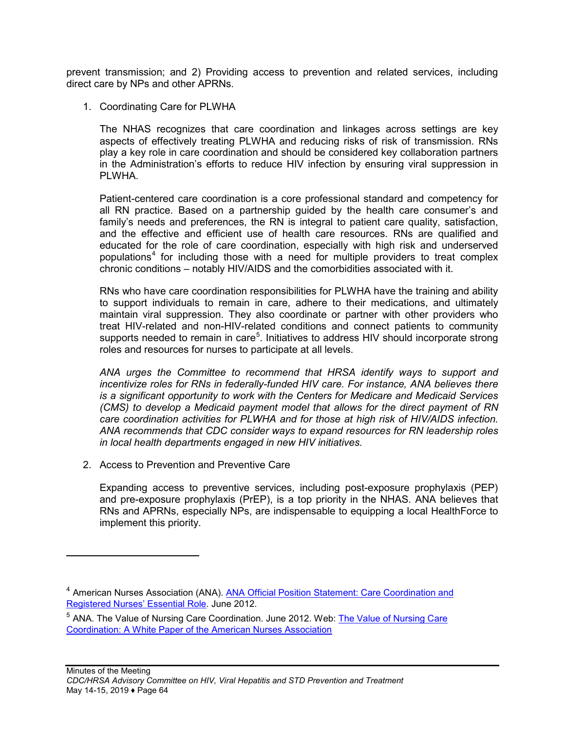prevent transmission; and 2) Providing access to prevention and related services, including direct care by NPs and other APRNs.

1. Coordinating Care for PLWHA

The NHAS recognizes that care coordination and linkages across settings are key aspects of effectively treating PLWHA and reducing risks of risk of transmission. RNs play a key role in care coordination and should be considered key collaboration partners in the Administration's efforts to reduce HIV infection by ensuring viral suppression in PLWHA.

Patient-centered care coordination is a core professional standard and competency for all RN practice. Based on a partnership guided by the health care consumer's and family's needs and preferences, the RN is integral to patient care quality, satisfaction, and the effective and efficient use of health care resources. RNs are qualified and educated for the role of care coordination, especially with high risk and underserved populations<sup>[4](#page-64-0)</sup> for including those with a need for multiple providers to treat complex chronic conditions – notably HIV/AIDS and the comorbidities associated with it.

RNs who have care coordination responsibilities for PLWHA have the training and ability to support individuals to remain in care, adhere to their medications, and ultimately maintain viral suppression. They also coordinate or partner with other providers who treat HIV-related and non-HIV-related conditions and connect patients to community supports needed to remain in care<sup>[5](#page-64-1)</sup>. Initiatives to address HIV should incorporate strong roles and resources for nurses to participate at all levels.

*ANA urges the Committee to recommend that HRSA identify ways to support and incentivize roles for RNs in federally-funded HIV care. For instance, ANA believes there is a significant opportunity to work with the Centers for Medicare and Medicaid Services (CMS) to develop a Medicaid payment model that allows for the direct payment of RN care coordination activities for PLWHA and for those at high risk of HIV/AIDS infection. ANA recommends that CDC consider ways to expand resources for RN leadership roles in local health departments engaged in new HIV initiatives.*

2. Access to Prevention and Preventive Care

Expanding access to preventive services, including post-exposure prophylaxis (PEP) and pre-exposure prophylaxis (PrEP), is a top priority in the NHAS. ANA believes that RNs and APRNs, especially NPs, are indispensable to equipping a local HealthForce to implement this priority.

<span id="page-64-0"></span><sup>&</sup>lt;sup>4</sup> American Nurses Association (ANA). ANA Official Position Statement: Care Coordination and [Registered Nurses' Essential Role](https://www.nursingworld.org/practice-policy/nursing-excellence/official-position-statements). June 2012.

<span id="page-64-1"></span><sup>&</sup>lt;sup>5</sup> ANA. [The Value of Nursing Care](https://www.nursingworld.org/%7E4afc0d/globalassets/practiceandpolicy/health-policy/care-coordination-white-paper-3.pdf) Coordination. June 2012. Web: The Value of Nursing Care Coordin[ation: A White Paper of the American Nurses Association](https://www.nursingworld.org/%7E4afc0d/globalassets/practiceandpolicy/health-policy/care-coordination-white-paper-3.pdf)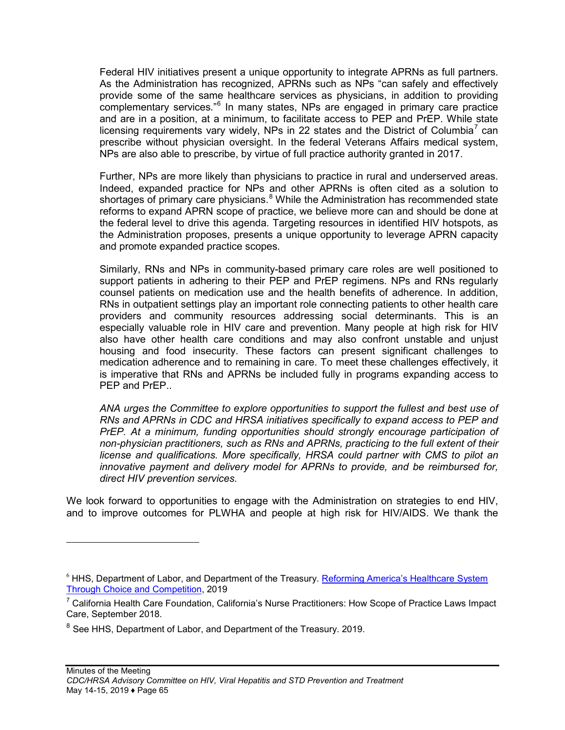Federal HIV initiatives present a unique opportunity to integrate APRNs as full partners. As the Administration has recognized, APRNs such as NPs "can safely and effectively provide some of the same healthcare services as physicians, in addition to providing complementary services."<sup>[6](#page-65-0)</sup> In many states, NPs are engaged in primary care practice and are in a position, at a minimum, to facilitate access to PEP and PrEP. While state licensing requirements vary widely, NPs in 22 states and the District of Columbia<sup>[7](#page-65-1)</sup> can prescribe without physician oversight. In the federal Veterans Affairs medical system, NPs are also able to prescribe, by virtue of full practice authority granted in 2017.

Further, NPs are more likely than physicians to practice in rural and underserved areas. Indeed, expanded practice for NPs and other APRNs is often cited as a solution to shortages of primary care physicians.<sup>[8](#page-65-2)</sup> While the Administration has recommended state reforms to expand APRN scope of practice, we believe more can and should be done at the federal level to drive this agenda. Targeting resources in identified HIV hotspots, as the Administration proposes, presents a unique opportunity to leverage APRN capacity and promote expanded practice scopes.

Similarly, RNs and NPs in community-based primary care roles are well positioned to support patients in adhering to their PEP and PrEP regimens. NPs and RNs regularly counsel patients on medication use and the health benefits of adherence. In addition, RNs in outpatient settings play an important role connecting patients to other health care providers and community resources addressing social determinants. This is an especially valuable role in HIV care and prevention. Many people at high risk for HIV also have other health care conditions and may also confront unstable and unjust housing and food insecurity. These factors can present significant challenges to medication adherence and to remaining in care. To meet these challenges effectively, it is imperative that RNs and APRNs be included fully in programs expanding access to PEP and PrEP.

*ANA urges the Committee to explore opportunities to support the fullest and best use of RNs and APRNs in CDC and HRSA initiatives specifically to expand access to PEP and PrEP. At a minimum, funding opportunities should strongly encourage participation of non-physician practitioners, such as RNs and APRNs, practicing to the full extent of their license and qualifications. More specifically, HRSA could partner with CMS to pilot an innovative payment and delivery model for APRNs to provide, and be reimbursed for, direct HIV prevention services.*

We look forward to opportunities to engage with the Administration on strategies to end HIV, and to improve outcomes for PLWHA and people at high risk for HIV/AIDS. We thank the

<span id="page-65-0"></span><sup>&</sup>lt;sup>6</sup> HHS, Department of Labor, and Department of the Treasury. [Reforming America's Healthcare System](https://www.hhs.gov/sites/default/files/Reforming-Americas-Healthcare-System-Through-Choice-and-Competition.pdf) [Through Choice and Competition,](https://www.hhs.gov/sites/default/files/Reforming-Americas-Healthcare-System-Through-Choice-and-Competition.pdf) 2019

<span id="page-65-1"></span> $7$  California Health Care Foundation, California's Nurse Practitioners: How Scope of Practice Laws Impact Care, September 2018.

<span id="page-65-2"></span><sup>&</sup>lt;sup>8</sup> See HHS, Department of Labor, and Department of the Treasury. 2019.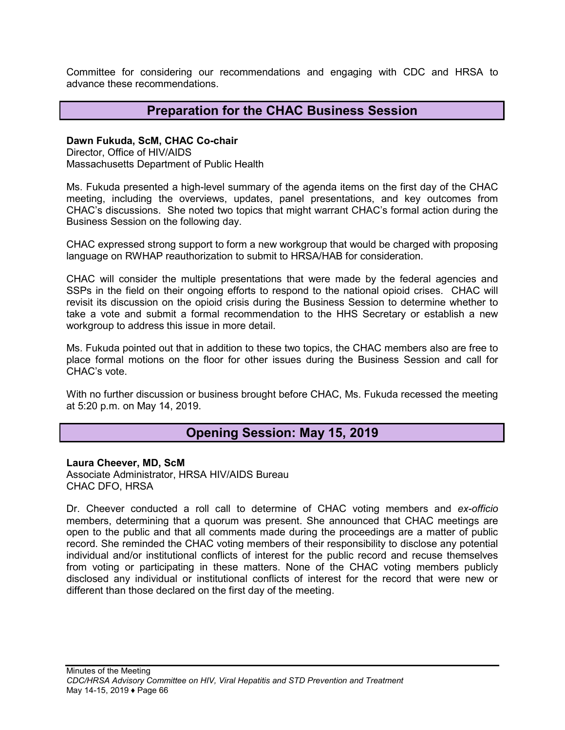Committee for considering our recommendations and engaging with CDC and HRSA to advance these recommendations.

## **Preparation for the CHAC Business Session**

### **Dawn Fukuda, ScM, CHAC Co-chair**

Director, Office of HIV/AIDS Massachusetts Department of Public Health

Ms. Fukuda presented a high-level summary of the agenda items on the first day of the CHAC meeting, including the overviews, updates, panel presentations, and key outcomes from CHAC's discussions. She noted two topics that might warrant CHAC's formal action during the Business Session on the following day.

CHAC expressed strong support to form a new workgroup that would be charged with proposing language on RWHAP reauthorization to submit to HRSA/HAB for consideration.

CHAC will consider the multiple presentations that were made by the federal agencies and SSPs in the field on their ongoing efforts to respond to the national opioid crises. CHAC will revisit its discussion on the opioid crisis during the Business Session to determine whether to take a vote and submit a formal recommendation to the HHS Secretary or establish a new workgroup to address this issue in more detail.

Ms. Fukuda pointed out that in addition to these two topics, the CHAC members also are free to place formal motions on the floor for other issues during the Business Session and call for CHAC's vote.

With no further discussion or business brought before CHAC, Ms. Fukuda recessed the meeting at 5:20 p.m. on May 14, 2019.

## **Opening Session: May 15, 2019**

#### **Laura Cheever, MD, ScM**

Associate Administrator, HRSA HIV/AIDS Bureau CHAC DFO, HRSA

Dr. Cheever conducted a roll call to determine of CHAC voting members and *ex-officio* members, determining that a quorum was present. She announced that CHAC meetings are open to the public and that all comments made during the proceedings are a matter of public record. She reminded the CHAC voting members of their responsibility to disclose any potential individual and/or institutional conflicts of interest for the public record and recuse themselves from voting or participating in these matters. None of the CHAC voting members publicly disclosed any individual or institutional conflicts of interest for the record that were new or different than those declared on the first day of the meeting.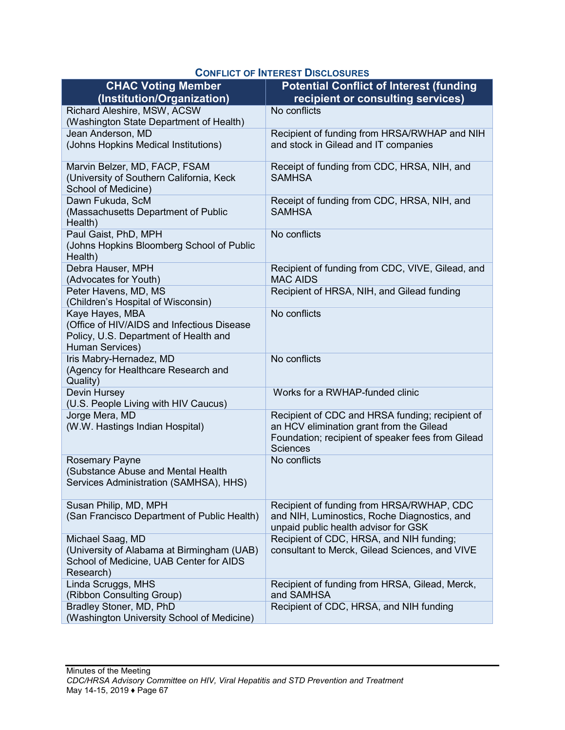| <b>CHAC Voting Member</b>                                              | <b>Potential Conflict of Interest (funding</b>                                       |
|------------------------------------------------------------------------|--------------------------------------------------------------------------------------|
| (Institution/Organization)                                             | recipient or consulting services)                                                    |
| Richard Aleshire, MSW, ACSW<br>(Washington State Department of Health) | No conflicts                                                                         |
| Jean Anderson, MD                                                      | Recipient of funding from HRSA/RWHAP and NIH                                         |
| (Johns Hopkins Medical Institutions)                                   | and stock in Gilead and IT companies                                                 |
| Marvin Belzer, MD, FACP, FSAM                                          | Receipt of funding from CDC, HRSA, NIH, and                                          |
| (University of Southern California, Keck<br>School of Medicine)        | <b>SAMHSA</b>                                                                        |
| Dawn Fukuda, ScM                                                       | Receipt of funding from CDC, HRSA, NIH, and                                          |
| (Massachusetts Department of Public<br>Health)                         | <b>SAMHSA</b>                                                                        |
| Paul Gaist, PhD, MPH                                                   | No conflicts                                                                         |
| (Johns Hopkins Bloomberg School of Public<br>Health)                   |                                                                                      |
| Debra Hauser, MPH<br>(Advocates for Youth)                             | Recipient of funding from CDC, VIVE, Gilead, and<br><b>MAC AIDS</b>                  |
| Peter Havens, MD, MS                                                   | Recipient of HRSA, NIH, and Gilead funding                                           |
| (Children's Hospital of Wisconsin)                                     |                                                                                      |
| Kaye Hayes, MBA                                                        | No conflicts                                                                         |
| (Office of HIV/AIDS and Infectious Disease                             |                                                                                      |
| Policy, U.S. Department of Health and                                  |                                                                                      |
| Human Services)                                                        |                                                                                      |
| Iris Mabry-Hernadez, MD                                                | No conflicts                                                                         |
| (Agency for Healthcare Research and<br>Quality)                        |                                                                                      |
| Devin Hursey                                                           | Works for a RWHAP-funded clinic                                                      |
| (U.S. People Living with HIV Caucus)                                   |                                                                                      |
| Jorge Mera, MD                                                         | Recipient of CDC and HRSA funding; recipient of                                      |
| (W.W. Hastings Indian Hospital)                                        | an HCV elimination grant from the Gilead                                             |
|                                                                        | Foundation; recipient of speaker fees from Gilead                                    |
|                                                                        | <b>Sciences</b>                                                                      |
| <b>Rosemary Payne</b>                                                  | No conflicts                                                                         |
| (Substance Abuse and Mental Health                                     |                                                                                      |
| Services Administration (SAMHSA), HHS)                                 |                                                                                      |
| Susan Philip, MD, MPH                                                  | Recipient of funding from HRSA/RWHAP, CDC                                            |
| (San Francisco Department of Public Health)                            | and NIH, Luminostics, Roche Diagnostics, and<br>unpaid public health advisor for GSK |
| Michael Saag, MD                                                       | Recipient of CDC, HRSA, and NIH funding;                                             |
| (University of Alabama at Birmingham (UAB)                             | consultant to Merck, Gilead Sciences, and VIVE                                       |
| School of Medicine, UAB Center for AIDS                                |                                                                                      |
| Research)                                                              |                                                                                      |
| Linda Scruggs, MHS                                                     | Recipient of funding from HRSA, Gilead, Merck,                                       |
| (Ribbon Consulting Group)<br>Bradley Stoner, MD, PhD                   | and SAMHSA<br>Recipient of CDC, HRSA, and NIH funding                                |
| (Washington University School of Medicine)                             |                                                                                      |

## **CONFLICT OF INTEREST DISCLOSURES**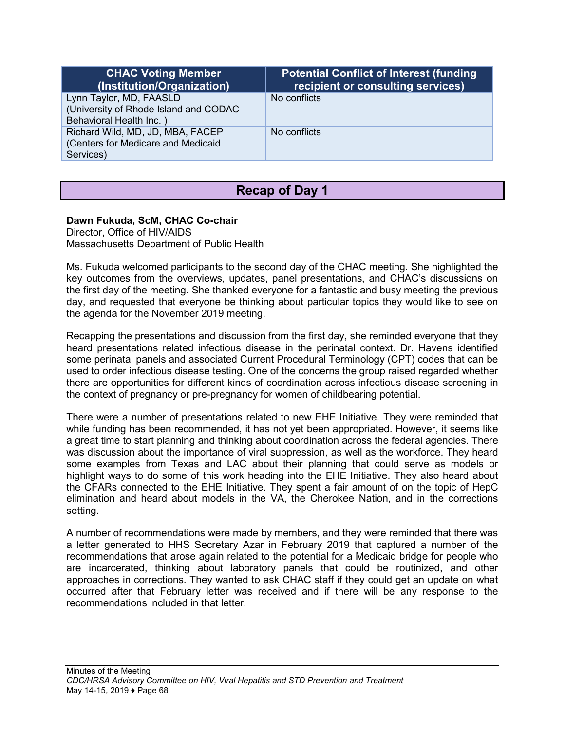| <b>CHAC Voting Member</b><br>(Institution/Organization)                                     | <b>Potential Conflict of Interest (funding)</b><br>recipient or consulting services) |
|---------------------------------------------------------------------------------------------|--------------------------------------------------------------------------------------|
| Lynn Taylor, MD, FAASLD<br>(University of Rhode Island and CODAC<br>Behavioral Health Inc.) | No conflicts                                                                         |
| Richard Wild, MD, JD, MBA, FACEP<br>(Centers for Medicare and Medicaid<br>Services)         | No conflicts                                                                         |

# **Recap of Day 1**

### **Dawn Fukuda, ScM, CHAC Co-chair**

Director, Office of HIV/AIDS Massachusetts Department of Public Health

Ms. Fukuda welcomed participants to the second day of the CHAC meeting. She highlighted the key outcomes from the overviews, updates, panel presentations, and CHAC's discussions on the first day of the meeting. She thanked everyone for a fantastic and busy meeting the previous day, and requested that everyone be thinking about particular topics they would like to see on the agenda for the November 2019 meeting.

Recapping the presentations and discussion from the first day, she reminded everyone that they heard presentations related infectious disease in the perinatal context. Dr. Havens identified some perinatal panels and associated Current Procedural Terminology (CPT) codes that can be used to order infectious disease testing. One of the concerns the group raised regarded whether there are opportunities for different kinds of coordination across infectious disease screening in the context of pregnancy or pre-pregnancy for women of childbearing potential.

There were a number of presentations related to new EHE Initiative. They were reminded that while funding has been recommended, it has not yet been appropriated. However, it seems like a great time to start planning and thinking about coordination across the federal agencies. There was discussion about the importance of viral suppression, as well as the workforce. They heard some examples from Texas and LAC about their planning that could serve as models or highlight ways to do some of this work heading into the EHE Initiative. They also heard about the CFARs connected to the EHE Initiative. They spent a fair amount of on the topic of HepC elimination and heard about models in the VA, the Cherokee Nation, and in the corrections setting.

A number of recommendations were made by members, and they were reminded that there was a letter generated to HHS Secretary Azar in February 2019 that captured a number of the recommendations that arose again related to the potential for a Medicaid bridge for people who are incarcerated, thinking about laboratory panels that could be routinized, and other approaches in corrections. They wanted to ask CHAC staff if they could get an update on what occurred after that February letter was received and if there will be any response to the recommendations included in that letter.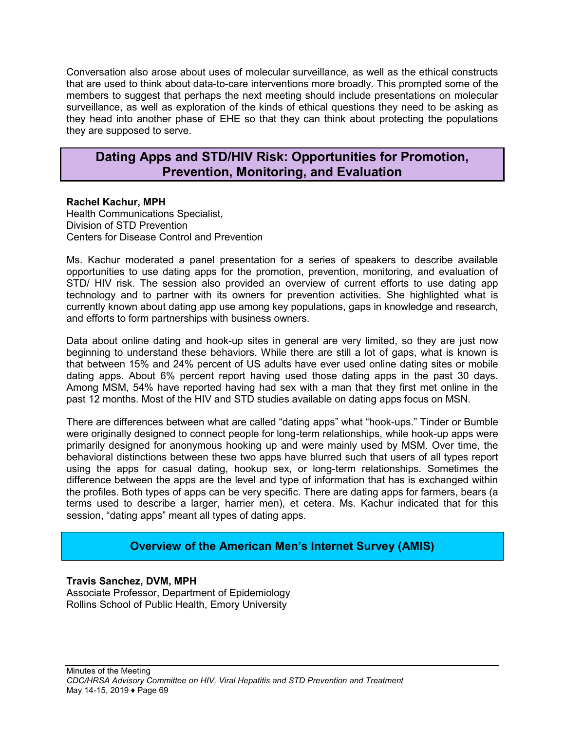Conversation also arose about uses of molecular surveillance, as well as the ethical constructs that are used to think about data-to-care interventions more broadly. This prompted some of the members to suggest that perhaps the next meeting should include presentations on molecular surveillance, as well as exploration of the kinds of ethical questions they need to be asking as they head into another phase of EHE so that they can think about protecting the populations they are supposed to serve.

## **Dating Apps and STD/HIV Risk: Opportunities for Promotion, Prevention, Monitoring, and Evaluation**

### **Rachel Kachur, MPH**

Health Communications Specialist, Division of STD Prevention Centers for Disease Control and Prevention

Ms. Kachur moderated a panel presentation for a series of speakers to describe available opportunities to use dating apps for the promotion, prevention, monitoring, and evaluation of STD/ HIV risk. The session also provided an overview of current efforts to use dating app technology and to partner with its owners for prevention activities. She highlighted what is currently known about dating app use among key populations, gaps in knowledge and research, and efforts to form partnerships with business owners.

Data about online dating and hook-up sites in general are very limited, so they are just now beginning to understand these behaviors. While there are still a lot of gaps, what is known is that between 15% and 24% percent of US adults have ever used online dating sites or mobile dating apps. About 6% percent report having used those dating apps in the past 30 days. Among MSM, 54% have reported having had sex with a man that they first met online in the past 12 months. Most of the HIV and STD studies available on dating apps focus on MSN.

There are differences between what are called "dating apps" what "hook-ups." Tinder or Bumble were originally designed to connect people for long-term relationships, while hook-up apps were primarily designed for anonymous hooking up and were mainly used by MSM. Over time, the behavioral distinctions between these two apps have blurred such that users of all types report using the apps for casual dating, hookup sex, or long-term relationships. Sometimes the difference between the apps are the level and type of information that has is exchanged within the profiles. Both types of apps can be very specific. There are dating apps for farmers, bears (a terms used to describe a larger, harrier men), et cetera. Ms. Kachur indicated that for this session, "dating apps" meant all types of dating apps.

## **Overview of the American Men's Internet Survey (AMIS)**

**Travis Sanchez, DVM, MPH** Associate Professor, Department of Epidemiology Rollins School of Public Health, Emory University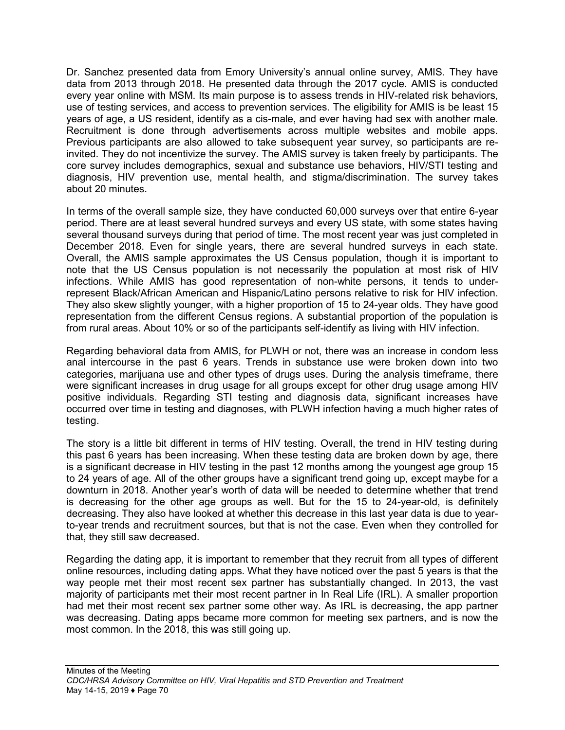Dr. Sanchez presented data from Emory University's annual online survey, AMIS. They have data from 2013 through 2018. He presented data through the 2017 cycle. AMIS is conducted every year online with MSM. Its main purpose is to assess trends in HIV-related risk behaviors, use of testing services, and access to prevention services. The eligibility for AMIS is be least 15 years of age, a US resident, identify as a cis-male, and ever having had sex with another male. Recruitment is done through advertisements across multiple websites and mobile apps. Previous participants are also allowed to take subsequent year survey, so participants are reinvited. They do not incentivize the survey. The AMIS survey is taken freely by participants. The core survey includes demographics, sexual and substance use behaviors, HIV/STI testing and diagnosis, HIV prevention use, mental health, and stigma/discrimination. The survey takes about 20 minutes.

In terms of the overall sample size, they have conducted 60,000 surveys over that entire 6-year period. There are at least several hundred surveys and every US state, with some states having several thousand surveys during that period of time. The most recent year was just completed in December 2018. Even for single years, there are several hundred surveys in each state. Overall, the AMIS sample approximates the US Census population, though it is important to note that the US Census population is not necessarily the population at most risk of HIV infections. While AMIS has good representation of non-white persons, it tends to underrepresent Black/African American and Hispanic/Latino persons relative to risk for HIV infection. They also skew slightly younger, with a higher proportion of 15 to 24-year olds. They have good representation from the different Census regions. A substantial proportion of the population is from rural areas. About 10% or so of the participants self-identify as living with HIV infection.

Regarding behavioral data from AMIS, for PLWH or not, there was an increase in condom less anal intercourse in the past 6 years. Trends in substance use were broken down into two categories, marijuana use and other types of drugs uses. During the analysis timeframe, there were significant increases in drug usage for all groups except for other drug usage among HIV positive individuals. Regarding STI testing and diagnosis data, significant increases have occurred over time in testing and diagnoses, with PLWH infection having a much higher rates of testing.

The story is a little bit different in terms of HIV testing. Overall, the trend in HIV testing during this past 6 years has been increasing. When these testing data are broken down by age, there is a significant decrease in HIV testing in the past 12 months among the youngest age group 15 to 24 years of age. All of the other groups have a significant trend going up, except maybe for a downturn in 2018. Another year's worth of data will be needed to determine whether that trend is decreasing for the other age groups as well. But for the 15 to 24-year-old, is definitely decreasing. They also have looked at whether this decrease in this last year data is due to yearto-year trends and recruitment sources, but that is not the case. Even when they controlled for that, they still saw decreased.

Regarding the dating app, it is important to remember that they recruit from all types of different online resources, including dating apps. What they have noticed over the past 5 years is that the way people met their most recent sex partner has substantially changed. In 2013, the vast majority of participants met their most recent partner in In Real Life (IRL). A smaller proportion had met their most recent sex partner some other way. As IRL is decreasing, the app partner was decreasing. Dating apps became more common for meeting sex partners, and is now the most common. In the 2018, this was still going up.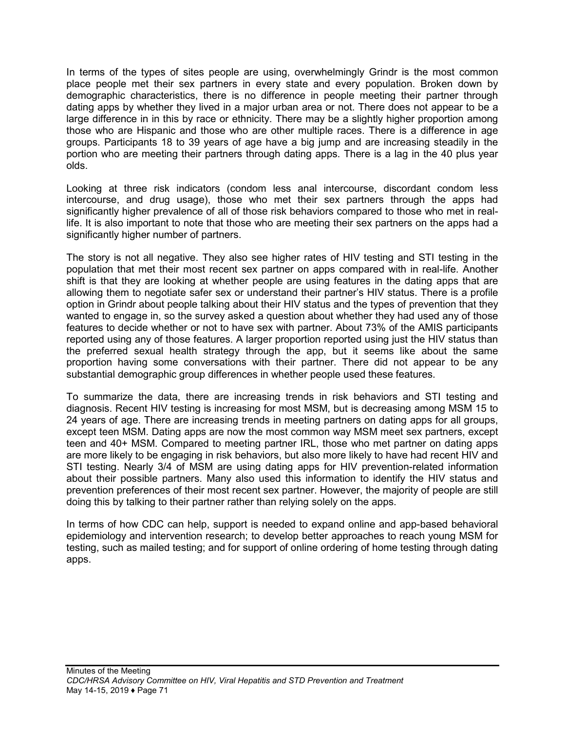In terms of the types of sites people are using, overwhelmingly Grindr is the most common place people met their sex partners in every state and every population. Broken down by demographic characteristics, there is no difference in people meeting their partner through dating apps by whether they lived in a major urban area or not. There does not appear to be a large difference in in this by race or ethnicity. There may be a slightly higher proportion among those who are Hispanic and those who are other multiple races. There is a difference in age groups. Participants 18 to 39 years of age have a big jump and are increasing steadily in the portion who are meeting their partners through dating apps. There is a lag in the 40 plus year olds.

Looking at three risk indicators (condom less anal intercourse, discordant condom less intercourse, and drug usage), those who met their sex partners through the apps had significantly higher prevalence of all of those risk behaviors compared to those who met in reallife. It is also important to note that those who are meeting their sex partners on the apps had a significantly higher number of partners.

The story is not all negative. They also see higher rates of HIV testing and STI testing in the population that met their most recent sex partner on apps compared with in real-life. Another shift is that they are looking at whether people are using features in the dating apps that are allowing them to negotiate safer sex or understand their partner's HIV status. There is a profile option in Grindr about people talking about their HIV status and the types of prevention that they wanted to engage in, so the survey asked a question about whether they had used any of those features to decide whether or not to have sex with partner. About 73% of the AMIS participants reported using any of those features. A larger proportion reported using just the HIV status than the preferred sexual health strategy through the app, but it seems like about the same proportion having some conversations with their partner. There did not appear to be any substantial demographic group differences in whether people used these features.

To summarize the data, there are increasing trends in risk behaviors and STI testing and diagnosis. Recent HIV testing is increasing for most MSM, but is decreasing among MSM 15 to 24 years of age. There are increasing trends in meeting partners on dating apps for all groups, except teen MSM. Dating apps are now the most common way MSM meet sex partners, except teen and 40+ MSM. Compared to meeting partner IRL, those who met partner on dating apps are more likely to be engaging in risk behaviors, but also more likely to have had recent HIV and STI testing. Nearly 3/4 of MSM are using dating apps for HIV prevention-related information about their possible partners. Many also used this information to identify the HIV status and prevention preferences of their most recent sex partner. However, the majority of people are still doing this by talking to their partner rather than relying solely on the apps.

In terms of how CDC can help, support is needed to expand online and app-based behavioral epidemiology and intervention research; to develop better approaches to reach young MSM for testing, such as mailed testing; and for support of online ordering of home testing through dating apps.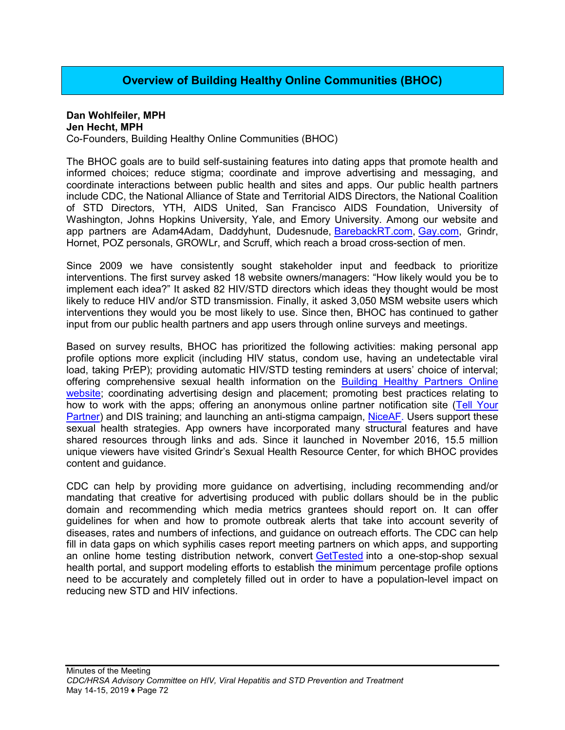# **Overview of Building Healthy Online Communities (BHOC)**

#### **Dan Wohlfeiler, MPH Jen Hecht, MPH**

Co-Founders, Building Healthy Online Communities (BHOC)

The BHOC goals are to build self-sustaining features into dating apps that promote health and informed choices; reduce stigma; coordinate and improve advertising and messaging, and coordinate interactions between public health and sites and apps. Our public health partners include CDC, the National Alliance of State and Territorial AIDS Directors, the National Coalition of STD Directors, YTH, AIDS United, San Francisco AIDS Foundation, University of Washington, Johns Hopkins University, Yale, and Emory University. Among our website and app partners are Adam4Adam, Daddyhunt, Dudesnude, [BarebackRT.com](http://barebackrt.com/), [Gay.com,](http://gay.com/) Grindr, Hornet, POZ personals, GROWLr, and Scruff, which reach a broad cross-section of men.

Since 2009 we have consistently sought stakeholder input and feedback to prioritize interventions. The first survey asked 18 website owners/managers: "How likely would you be to implement each idea?" It asked 82 HIV/STD directors which ideas they thought would be most likely to reduce HIV and/or STD transmission. Finally, it asked 3,050 MSM website users which interventions they would you be most likely to use. Since then, BHOC has continued to gather input from our public health partners and app users through online surveys and meetings.

Based on survey results, BHOC has prioritized the following activities: making personal app profile options more explicit (including HIV status, condom use, having an undetectable viral load, taking PrEP); providing automatic HIV/STD testing reminders at users' choice of interval; offering comprehensive sexual health information on the [Building Healthy Partners Online](https://www.bhocpartners.org/)  [website;](https://www.bhocpartners.org/) coordinating advertising design and placement; promoting best practices relating to how to work with the apps; offering an anonymous online partner notification site ([Tell Your](https://tellyourpartner.org/)  [Partner\)](https://tellyourpartner.org/) and DIS training; and launching an anti-stigma campaign, [NiceAF](https://niceaf.org/). Users support these sexual health strategies. App owners have incorporated many structural features and have shared resources through links and ads. Since it launched in November 2016, 15.5 million unique viewers have visited Grindr's Sexual Health Resource Center, for which BHOC provides content and guidance.

CDC can help by providing more guidance on advertising, including recommending and/or mandating that creative for advertising produced with public dollars should be in the public domain and recommending which media metrics grantees should report on. It can offer guidelines for when and how to promote outbreak alerts that take into account severity of diseases, rates and numbers of infections, and guidance on outreach efforts. The CDC can help fill in data gaps on which syphilis cases report meeting partners on which apps, and supporting an online home testing distribution network, convert [GetTested](https://gettested.cdc.gov/) into a one-stop-shop sexual health portal, and support modeling efforts to establish the minimum percentage profile options need to be accurately and completely filled out in order to have a population-level impact on reducing new STD and HIV infections.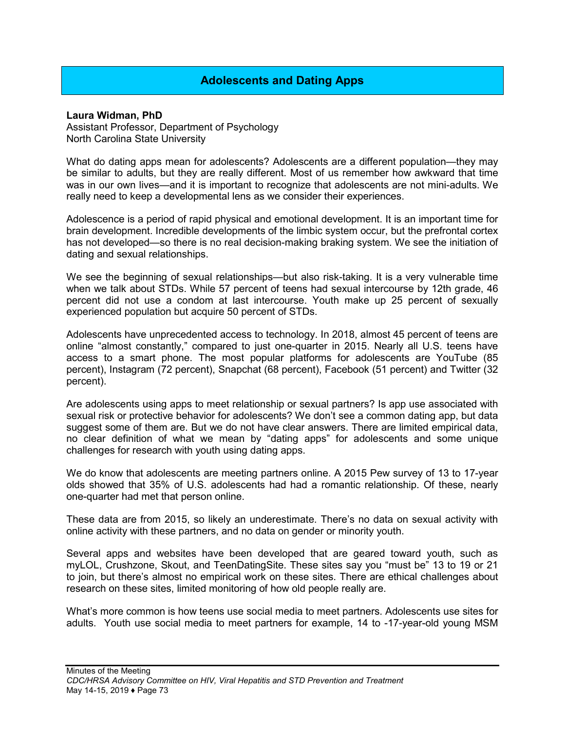# **Adolescents and Dating Apps**

#### **Laura Widman, PhD**

Assistant Professor, Department of Psychology North Carolina State University

What do dating apps mean for adolescents? Adolescents are a different population—they may be similar to adults, but they are really different. Most of us remember how awkward that time was in our own lives—and it is important to recognize that adolescents are not mini-adults. We really need to keep a developmental lens as we consider their experiences.

Adolescence is a period of rapid physical and emotional development. It is an important time for brain development. Incredible developments of the limbic system occur, but the prefrontal cortex has not developed—so there is no real decision-making braking system. We see the initiation of dating and sexual relationships.

We see the beginning of sexual relationships—but also risk-taking. It is a very vulnerable time when we talk about STDs. While 57 percent of teens had sexual intercourse by 12th grade, 46 percent did not use a condom at last intercourse. Youth make up 25 percent of sexually experienced population but acquire 50 percent of STDs.

Adolescents have unprecedented access to technology. In 2018, almost 45 percent of teens are online "almost constantly," compared to just one-quarter in 2015. Nearly all U.S. teens have access to a smart phone. The most popular platforms for adolescents are YouTube (85 percent), Instagram (72 percent), Snapchat (68 percent), Facebook (51 percent) and Twitter (32 percent).

Are adolescents using apps to meet relationship or sexual partners? Is app use associated with sexual risk or protective behavior for adolescents? We don't see a common dating app, but data suggest some of them are. But we do not have clear answers. There are limited empirical data, no clear definition of what we mean by "dating apps" for adolescents and some unique challenges for research with youth using dating apps.

We do know that adolescents are meeting partners online. A 2015 Pew survey of 13 to 17-year olds showed that 35% of U.S. adolescents had had a romantic relationship. Of these, nearly one-quarter had met that person online.

These data are from 2015, so likely an underestimate. There's no data on sexual activity with online activity with these partners, and no data on gender or minority youth.

Several apps and websites have been developed that are geared toward youth, such as myLOL, Crushzone, Skout, and TeenDatingSite. These sites say you "must be" 13 to 19 or 21 to join, but there's almost no empirical work on these sites. There are ethical challenges about research on these sites, limited monitoring of how old people really are.

What's more common is how teens use social media to meet partners. Adolescents use sites for adults. Youth use social media to meet partners for example, 14 to -17-year-old young MSM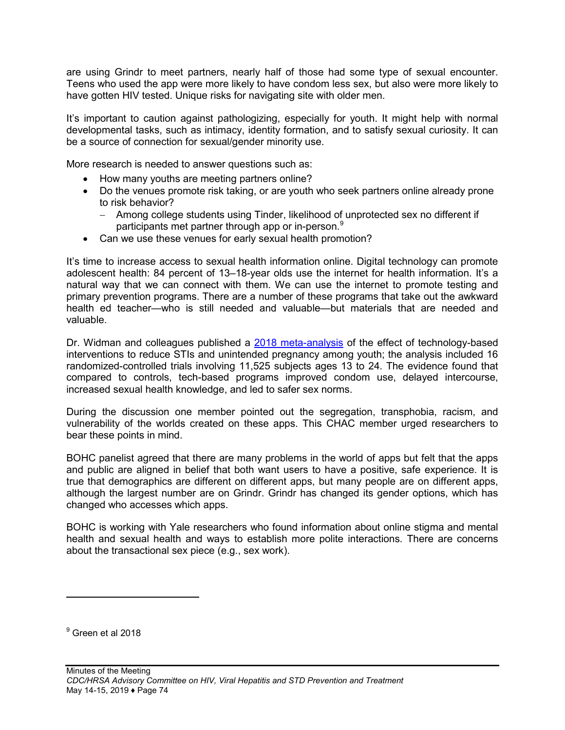are using Grindr to meet partners, nearly half of those had some type of sexual encounter. Teens who used the app were more likely to have condom less sex, but also were more likely to have gotten HIV tested. Unique risks for navigating site with older men.

It's important to caution against pathologizing, especially for youth. It might help with normal developmental tasks, such as intimacy, identity formation, and to satisfy sexual curiosity. It can be a source of connection for sexual/gender minority use.

More research is needed to answer questions such as:

- How many youths are meeting partners online?
- Do the venues promote risk taking, or are youth who seek partners online already prone to risk behavior?
	- − Among college students using Tinder, likelihood of unprotected sex no different if participants met partner through app or in-person.<sup>[9](#page-74-0)</sup>
- Can we use these venues for early sexual health promotion?

It's time to increase access to sexual health information online. Digital technology can promote adolescent health: 84 percent of 13–18-year olds use the internet for health information. It's a natural way that we can connect with them. We can use the internet to promote testing and primary prevention programs. There are a number of these programs that take out the awkward health ed teacher—who is still needed and valuable—but materials that are needed and valuable.

Dr. Widman and colleagues published a [2018 meta-analysis](https://www.ncbi.nlm.nih.gov/pubmed/29784112) of the effect of technology-based interventions to reduce STIs and unintended pregnancy among youth; the analysis included 16 randomized-controlled trials involving 11,525 subjects ages 13 to 24. The evidence found that compared to controls, tech-based programs improved condom use, delayed intercourse, increased sexual health knowledge, and led to safer sex norms.

During the discussion one member pointed out the segregation, transphobia, racism, and vulnerability of the worlds created on these apps. This CHAC member urged researchers to bear these points in mind.

BOHC panelist agreed that there are many problems in the world of apps but felt that the apps and public are aligned in belief that both want users to have a positive, safe experience. It is true that demographics are different on different apps, but many people are on different apps, although the largest number are on Grindr. Grindr has changed its gender options, which has changed who accesses which apps.

BOHC is working with Yale researchers who found information about online stigma and mental health and sexual health and ways to establish more polite interactions. There are concerns about the transactional sex piece (e.g., sex work).

 $\overline{a}$ 

<span id="page-74-0"></span><sup>&</sup>lt;sup>9</sup> Green et al 2018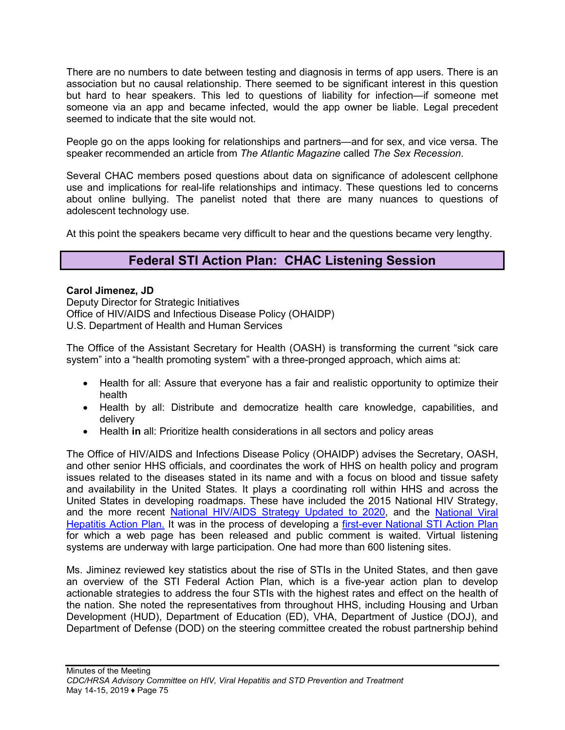There are no numbers to date between testing and diagnosis in terms of app users. There is an association but no causal relationship. There seemed to be significant interest in this question but hard to hear speakers. This led to questions of liability for infection—if someone met someone via an app and became infected, would the app owner be liable. Legal precedent seemed to indicate that the site would not.

People go on the apps looking for relationships and partners—and for sex, and vice versa. The speaker recommended an article from *The Atlantic Magazine* called *The Sex Recession*.

Several CHAC members posed questions about data on significance of adolescent cellphone use and implications for real-life relationships and intimacy. These questions led to concerns about online bullying. The panelist noted that there are many nuances to questions of adolescent technology use.

At this point the speakers became very difficult to hear and the questions became very lengthy.

# **Federal STI Action Plan: CHAC Listening Session**

#### **Carol Jimenez, JD**

Deputy Director for Strategic Initiatives Office of HIV/AIDS and Infectious Disease Policy (OHAIDP) U.S. Department of Health and Human Services

The Office of the Assistant Secretary for Health (OASH) is transforming the current "sick care system" into a "health promoting system" with a three-pronged approach, which aims at:

- Health for all: Assure that everyone has a fair and realistic opportunity to optimize their health
- Health by all: Distribute and democratize health care knowledge, capabilities, and delivery
- Health **in** all: Prioritize health considerations in all sectors and policy areas

The Office of HIV/AIDS and Infections Disease Policy (OHAIDP) advises the Secretary, OASH, and other senior HHS officials, and coordinates the work of HHS on health policy and program issues related to the diseases stated in its name and with a focus on blood and tissue safety and availability in the United States. It plays a coordinating roll within HHS and across the United States in developing roadmaps. These have included the 2015 National HIV Strategy, and the more recent [National HIV/AIDS Strategy Updated to 2020](https://www.hiv.gov/federal-response/national-hiv-aids-strategy/nhas-update), and the National Viral [Hepatitis Action Plan.](https://www.hhs.gov/sites/default/files/National%20Viral%20Hepatitis%20Action%20Plan%202017-2020.pdf?language=es) It was in the process of developing a first-[ever National STI Action Plan](https://www.hiv.gov/blog/hhs-launches-new-web-page-sti-federal-action-plan-hhsgovsti) for which a web page has been released and public comment is waited. Virtual listening systems are underway with large participation. One had more than 600 listening sites.

Ms. Jiminez reviewed key statistics about the rise of STIs in the United States, and then gave an overview of the STI Federal Action Plan, which is a five-year action plan to develop actionable strategies to address the four STIs with the highest rates and effect on the health of the nation. She noted the representatives from throughout HHS, including Housing and Urban Development (HUD), Department of Education (ED), VHA, Department of Justice (DOJ), and Department of Defense (DOD) on the steering committee created the robust partnership behind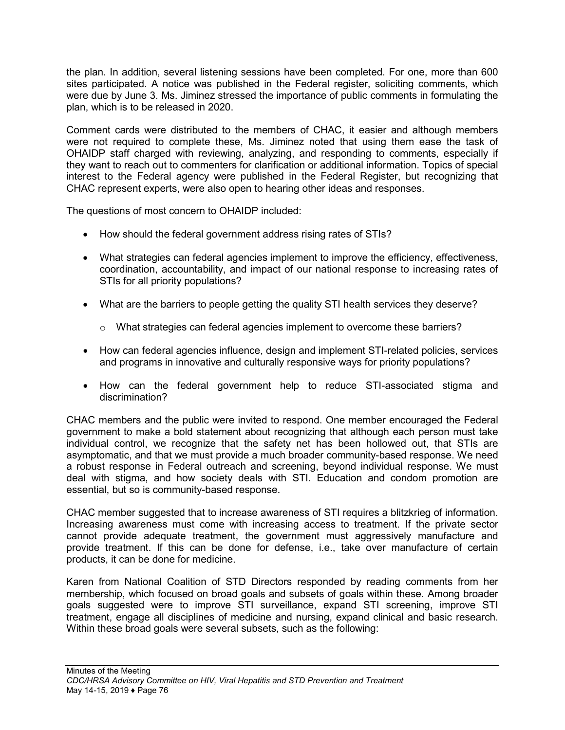the plan. In addition, several listening sessions have been completed. For one, more than 600 sites participated. A notice was published in the Federal register, soliciting comments, which were due by June 3. Ms. Jiminez stressed the importance of public comments in formulating the plan, which is to be released in 2020.

Comment cards were distributed to the members of CHAC, it easier and although members were not required to complete these, Ms. Jiminez noted that using them ease the task of OHAIDP staff charged with reviewing, analyzing, and responding to comments, especially if they want to reach out to commenters for clarification or additional information. Topics of special interest to the Federal agency were published in the Federal Register, but recognizing that CHAC represent experts, were also open to hearing other ideas and responses.

The questions of most concern to OHAIDP included:

- How should the federal government address rising rates of STIs?
- What strategies can federal agencies implement to improve the efficiency, effectiveness, coordination, accountability, and impact of our national response to increasing rates of STIs for all priority populations?
- What are the barriers to people getting the quality STI health services they deserve?
	- $\circ$  What strategies can federal agencies implement to overcome these barriers?
- How can federal agencies influence, design and implement STI-related policies, services and programs in innovative and culturally responsive ways for priority populations?
- How can the federal government help to reduce STI-associated stigma and discrimination?

CHAC members and the public were invited to respond. One member encouraged the Federal government to make a bold statement about recognizing that although each person must take individual control, we recognize that the safety net has been hollowed out, that STIs are asymptomatic, and that we must provide a much broader community-based response. We need a robust response in Federal outreach and screening, beyond individual response. We must deal with stigma, and how society deals with STI. Education and condom promotion are essential, but so is community-based response.

CHAC member suggested that to increase awareness of STI requires a blitzkrieg of information. Increasing awareness must come with increasing access to treatment. If the private sector cannot provide adequate treatment, the government must aggressively manufacture and provide treatment. If this can be done for defense, i.e., take over manufacture of certain products, it can be done for medicine.

Karen from National Coalition of STD Directors responded by reading comments from her membership, which focused on broad goals and subsets of goals within these. Among broader goals suggested were to improve STI surveillance, expand STI screening, improve STI treatment, engage all disciplines of medicine and nursing, expand clinical and basic research. Within these broad goals were several subsets, such as the following: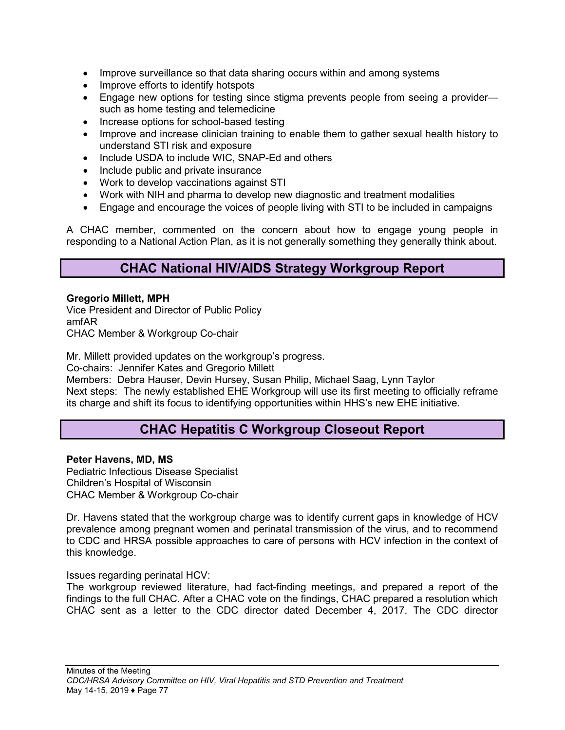- Improve surveillance so that data sharing occurs within and among systems
- Improve efforts to identify hotspots
- Engage new options for testing since stigma prevents people from seeing a provider such as home testing and telemedicine
- Increase options for school-based testing
- Improve and increase clinician training to enable them to gather sexual health history to understand STI risk and exposure
- Include USDA to include WIC, SNAP-Ed and others
- Include public and private insurance
- Work to develop vaccinations against STI
- Work with NIH and pharma to develop new diagnostic and treatment modalities
- Engage and encourage the voices of people living with STI to be included in campaigns

A CHAC member, commented on the concern about how to engage young people in responding to a National Action Plan, as it is not generally something they generally think about.

# **CHAC National HIV/AIDS Strategy Workgroup Report**

#### **Gregorio Millett, MPH**

Vice President and Director of Public Policy amfAR CHAC Member & Workgroup Co-chair

Mr. Millett provided updates on the workgroup's progress.

Co-chairs: Jennifer Kates and Gregorio Millett

Members: Debra Hauser, Devin Hursey, Susan Philip, Michael Saag, Lynn Taylor Next steps: The newly established EHE Workgroup will use its first meeting to officially reframe its charge and shift its focus to identifying opportunities within HHS's new EHE initiative.

# **CHAC Hepatitis C Workgroup Closeout Report**

#### **Peter Havens, MD, MS**

Pediatric Infectious Disease Specialist Children's Hospital of Wisconsin CHAC Member & Workgroup Co-chair

Dr. Havens stated that the workgroup charge was to identify current gaps in knowledge of HCV prevalence among pregnant women and perinatal transmission of the virus, and to recommend to CDC and HRSA possible approaches to care of persons with HCV infection in the context of this knowledge.

Issues regarding perinatal HCV:

The workgroup reviewed literature, had fact-finding meetings, and prepared a report of the findings to the full CHAC. After a CHAC vote on the findings, CHAC prepared a resolution which CHAC sent as a letter to the CDC director dated December 4, 2017. The CDC director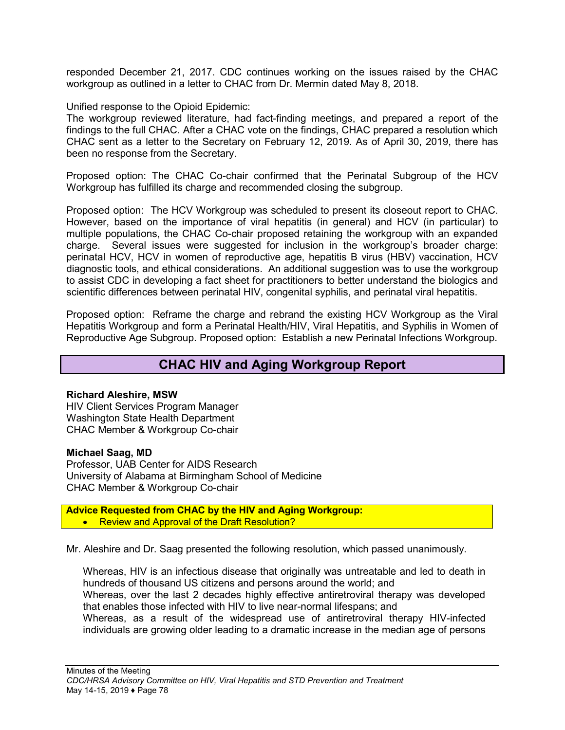responded December 21, 2017. CDC continues working on the issues raised by the CHAC workgroup as outlined in a letter to CHAC from Dr. Mermin dated May 8, 2018.

Unified response to the Opioid Epidemic:

The workgroup reviewed literature, had fact-finding meetings, and prepared a report of the findings to the full CHAC. After a CHAC vote on the findings, CHAC prepared a resolution which CHAC sent as a letter to the Secretary on February 12, 2019. As of April 30, 2019, there has been no response from the Secretary.

Proposed option: The CHAC Co-chair confirmed that the Perinatal Subgroup of the HCV Workgroup has fulfilled its charge and recommended closing the subgroup.

Proposed option: The HCV Workgroup was scheduled to present its closeout report to CHAC. However, based on the importance of viral hepatitis (in general) and HCV (in particular) to multiple populations, the CHAC Co-chair proposed retaining the workgroup with an expanded charge. Several issues were suggested for inclusion in the workgroup's broader charge: perinatal HCV, HCV in women of reproductive age, hepatitis B virus (HBV) vaccination, HCV diagnostic tools, and ethical considerations. An additional suggestion was to use the workgroup to assist CDC in developing a fact sheet for practitioners to better understand the biologics and scientific differences between perinatal HIV, congenital syphilis, and perinatal viral hepatitis.

Proposed option: Reframe the charge and rebrand the existing HCV Workgroup as the Viral Hepatitis Workgroup and form a Perinatal Health/HIV, Viral Hepatitis, and Syphilis in Women of Reproductive Age Subgroup. Proposed option: Establish a new Perinatal Infections Workgroup.

# **CHAC HIV and Aging Workgroup Report**

#### **Richard Aleshire, MSW**

HIV Client Services Program Manager Washington State Health Department CHAC Member & Workgroup Co-chair

#### **Michael Saag, MD**

Professor, UAB Center for AIDS Research University of Alabama at Birmingham School of Medicine CHAC Member & Workgroup Co-chair

**Advice Requested from CHAC by the HIV and Aging Workgroup:** • Review and Approval of the Draft Resolution?

Mr. Aleshire and Dr. Saag presented the following resolution, which passed unanimously.

Whereas, HIV is an infectious disease that originally was untreatable and led to death in hundreds of thousand US citizens and persons around the world; and Whereas, over the last 2 decades highly effective antiretroviral therapy was developed that enables those infected with HIV to live near-normal lifespans; and Whereas, as a result of the widespread use of antiretroviral therapy HIV-infected individuals are growing older leading to a dramatic increase in the median age of persons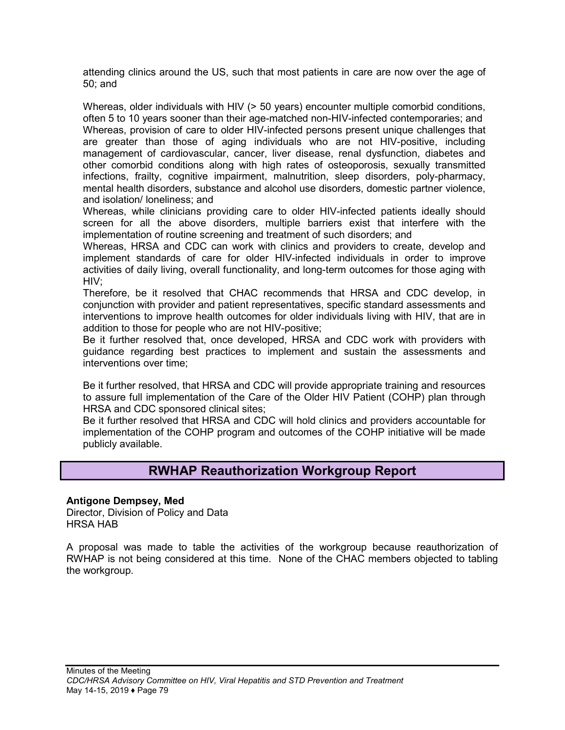attending clinics around the US, such that most patients in care are now over the age of 50; and

Whereas, older individuals with HIV (> 50 years) encounter multiple comorbid conditions, often 5 to 10 years sooner than their age-matched non-HIV-infected contemporaries; and Whereas, provision of care to older HIV-infected persons present unique challenges that are greater than those of aging individuals who are not HIV-positive, including management of cardiovascular, cancer, liver disease, renal dysfunction, diabetes and other comorbid conditions along with high rates of osteoporosis, sexually transmitted infections, frailty, cognitive impairment, malnutrition, sleep disorders, poly-pharmacy, mental health disorders, substance and alcohol use disorders, domestic partner violence, and isolation/ loneliness; and

Whereas, while clinicians providing care to older HIV-infected patients ideally should screen for all the above disorders, multiple barriers exist that interfere with the implementation of routine screening and treatment of such disorders; and

Whereas, HRSA and CDC can work with clinics and providers to create, develop and implement standards of care for older HIV-infected individuals in order to improve activities of daily living, overall functionality, and long-term outcomes for those aging with HIV;

Therefore, be it resolved that CHAC recommends that HRSA and CDC develop, in conjunction with provider and patient representatives, specific standard assessments and interventions to improve health outcomes for older individuals living with HIV, that are in addition to those for people who are not HIV-positive;

Be it further resolved that, once developed, HRSA and CDC work with providers with guidance regarding best practices to implement and sustain the assessments and interventions over time;

Be it further resolved, that HRSA and CDC will provide appropriate training and resources to assure full implementation of the Care of the Older HIV Patient (COHP) plan through HRSA and CDC sponsored clinical sites;

Be it further resolved that HRSA and CDC will hold clinics and providers accountable for implementation of the COHP program and outcomes of the COHP initiative will be made publicly available.

# **RWHAP Reauthorization Workgroup Report**

#### **Antigone Dempsey, Med**

Director, Division of Policy and Data HRSA HAB

A proposal was made to table the activities of the workgroup because reauthorization of RWHAP is not being considered at this time. None of the CHAC members objected to tabling the workgroup.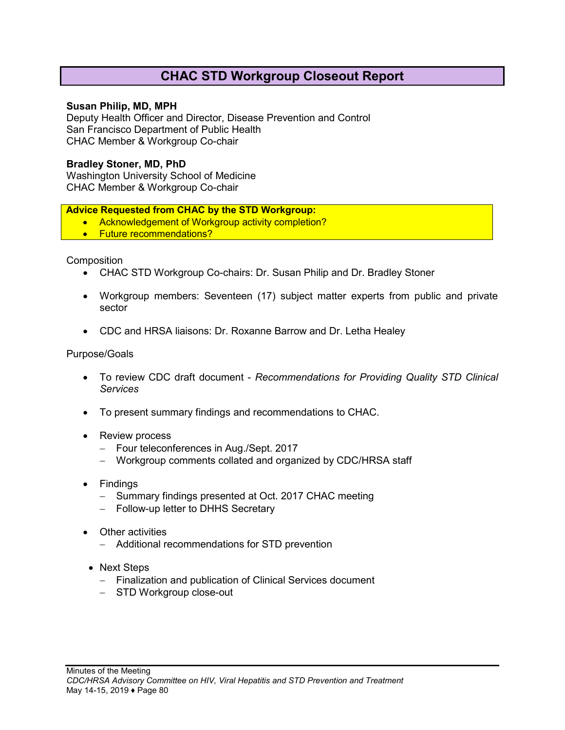# **CHAC STD Workgroup Closeout Report**

#### **Susan Philip, MD, MPH**

Deputy Health Officer and Director, Disease Prevention and Control San Francisco Department of Public Health CHAC Member & Workgroup Co-chair

#### **Bradley Stoner, MD, PhD**

Washington University School of Medicine CHAC Member & Workgroup Co-chair

#### **Advice Requested from CHAC by the STD Workgroup:**

- Acknowledgement of Workgroup activity completion?
- Future recommendations?

Composition

- CHAC STD Workgroup Co-chairs: Dr. Susan Philip and Dr. Bradley Stoner
- Workgroup members: Seventeen (17) subject matter experts from public and private sector
- CDC and HRSA liaisons: Dr. Roxanne Barrow and Dr. Letha Healey

#### Purpose/Goals

- To review CDC draft document *Recommendations for Providing Quality STD Clinical Services*
- To present summary findings and recommendations to CHAC.
- Review process
	- − Four teleconferences in Aug./Sept. 2017
	- − Workgroup comments collated and organized by CDC/HRSA staff
- Findings
	- − Summary findings presented at Oct. 2017 CHAC meeting
	- − Follow-up letter to DHHS Secretary
- Other activities
	- − Additional recommendations for STD prevention
- Next Steps
	- − Finalization and publication of Clinical Services document
	- − STD Workgroup close-out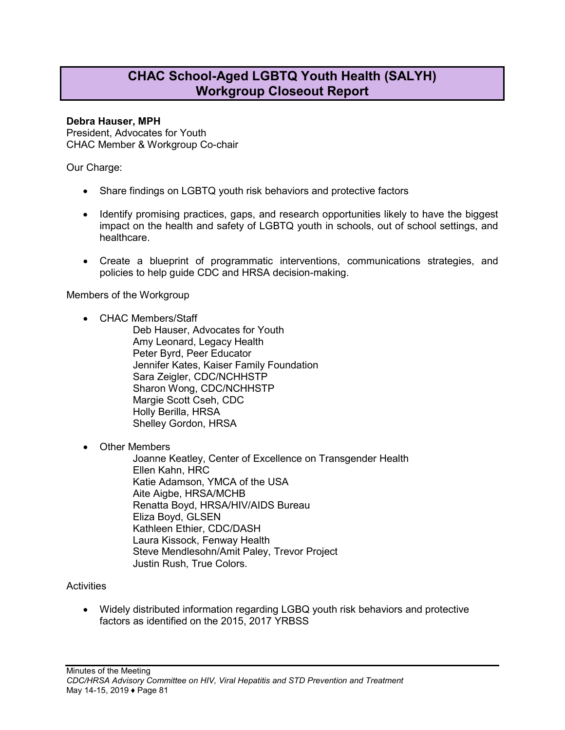# **CHAC School-Aged LGBTQ Youth Health (SALYH) Workgroup Closeout Report**

#### **Debra Hauser, MPH**

President, Advocates for Youth CHAC Member & Workgroup Co-chair

Our Charge:

- Share findings on LGBTQ youth risk behaviors and protective factors
- Identify promising practices, gaps, and research opportunities likely to have the biggest impact on the health and safety of LGBTQ youth in schools, out of school settings, and healthcare.
- Create a blueprint of programmatic interventions, communications strategies, and policies to help guide CDC and HRSA decision-making.

Members of the Workgroup

• CHAC Members/Staff

Deb Hauser, Advocates for Youth Amy Leonard, Legacy Health Peter Byrd, Peer Educator Jennifer Kates, Kaiser Family Foundation Sara Zeigler, CDC/NCHHSTP Sharon Wong, CDC/NCHHSTP Margie Scott Cseh, CDC Holly Berilla, HRSA Shelley Gordon, HRSA

• Other Members

Joanne Keatley, Center of Excellence on Transgender Health Ellen Kahn, HRC Katie Adamson, YMCA of the USA Aite Aigbe, HRSA/MCHB Renatta Boyd, HRSA/HIV/AIDS Bureau Eliza Boyd, GLSEN Kathleen Ethier, CDC/DASH Laura Kissock, Fenway Health Steve Mendlesohn/Amit Paley, Trevor Project Justin Rush, True Colors.

#### **Activities**

• Widely distributed information regarding LGBQ youth risk behaviors and protective factors as identified on the 2015, 2017 YRBSS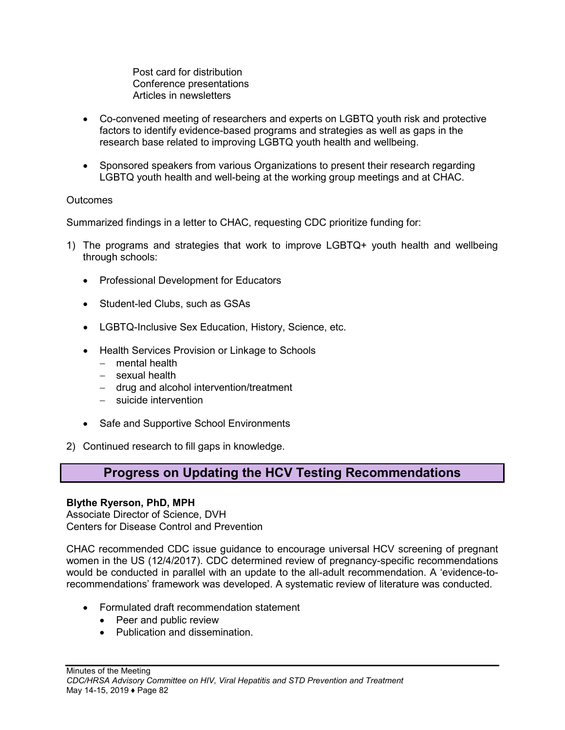Post card for distribution Conference presentations Articles in newsletters

- Co-convened meeting of researchers and experts on LGBTQ youth risk and protective factors to identify evidence-based programs and strategies as well as gaps in the research base related to improving LGBTQ youth health and wellbeing.
- Sponsored speakers from various Organizations to present their research regarding LGBTQ youth health and well-being at the working group meetings and at CHAC.

#### **Outcomes**

Summarized findings in a letter to CHAC, requesting CDC prioritize funding for:

- 1) The programs and strategies that work to improve LGBTQ+ youth health and wellbeing through schools:
	- Professional Development for Educators
	- Student-led Clubs, such as GSAs
	- LGBTQ-Inclusive Sex Education, History, Science, etc.
	- Health Services Provision or Linkage to Schools
		- − mental health
		- − sexual health
		- − drug and alcohol intervention/treatment
		- − suicide intervention
	- Safe and Supportive School Environments
- 2) Continued research to fill gaps in knowledge.

# **Progress on Updating the HCV Testing Recommendations**

#### **Blythe Ryerson, PhD, MPH**

Associate Director of Science, DVH Centers for Disease Control and Prevention

CHAC recommended CDC issue guidance to encourage universal HCV screening of pregnant women in the US (12/4/2017). CDC determined review of pregnancy-specific recommendations would be conducted in parallel with an update to the all-adult recommendation. A 'evidence-torecommendations' framework was developed. A systematic review of literature was conducted.

- Formulated draft recommendation statement
	- Peer and public review
	- Publication and dissemination.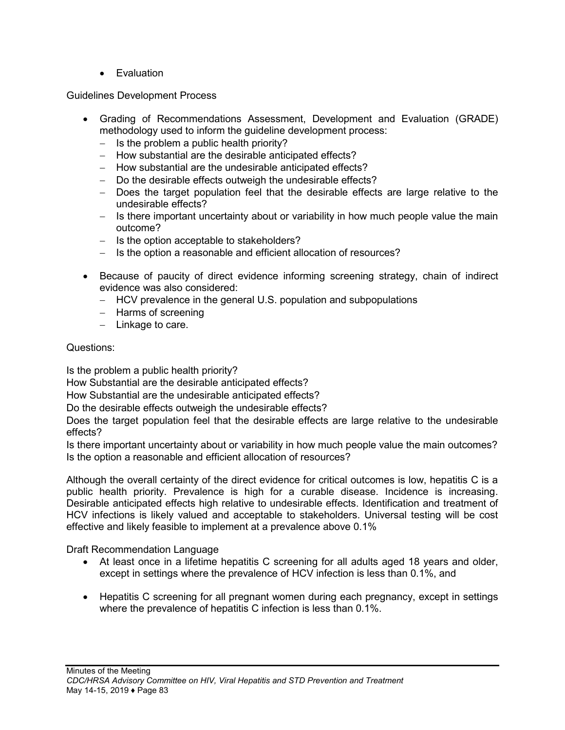• Evaluation

Guidelines Development Process

- Grading of Recommendations Assessment, Development and Evaluation (GRADE) methodology used to inform the guideline development process:
	- − Is the problem a public health priority?
	- − How substantial are the desirable anticipated effects?
	- − How substantial are the undesirable anticipated effects?
	- − Do the desirable effects outweigh the undesirable effects?
	- − Does the target population feel that the desirable effects are large relative to the undesirable effects?
	- − Is there important uncertainty about or variability in how much people value the main outcome?
	- − Is the option acceptable to stakeholders?
	- − Is the option a reasonable and efficient allocation of resources?
- Because of paucity of direct evidence informing screening strategy, chain of indirect evidence was also considered:
	- − HCV prevalence in the general U.S. population and subpopulations
	- − Harms of screening
	- − Linkage to care.

## Questions:

Is the problem a public health priority?

How Substantial are the desirable anticipated effects?

How Substantial are the undesirable anticipated effects?

Do the desirable effects outweigh the undesirable effects?

Does the target population feel that the desirable effects are large relative to the undesirable effects?

Is there important uncertainty about or variability in how much people value the main outcomes? Is the option a reasonable and efficient allocation of resources?

Although the overall certainty of the direct evidence for critical outcomes is low, hepatitis C is a public health priority. Prevalence is high for a curable disease. Incidence is increasing. Desirable anticipated effects high relative to undesirable effects. Identification and treatment of HCV infections is likely valued and acceptable to stakeholders. Universal testing will be cost effective and likely feasible to implement at a prevalence above 0.1%

Draft Recommendation Language

- At least once in a lifetime hepatitis C screening for all adults aged 18 years and older, except in settings where the prevalence of HCV infection is less than 0.1%, and
- Hepatitis C screening for all pregnant women during each pregnancy, except in settings where the prevalence of hepatitis C infection is less than 0.1%.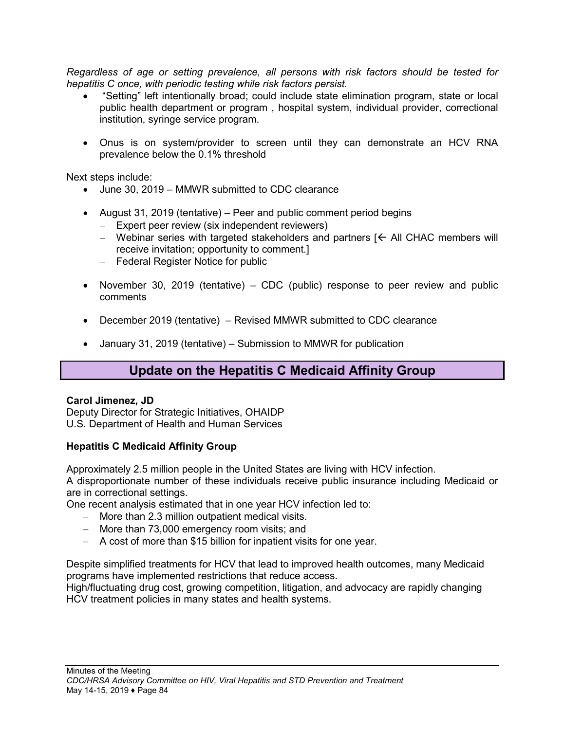*Regardless of age or setting prevalence, all persons with risk factors should be tested for hepatitis C once, with periodic testing while risk factors persist.*

- "Setting" left intentionally broad; could include state elimination program, state or local public health department or program , hospital system, individual provider, correctional institution, syringe service program.
- Onus is on system/provider to screen until they can demonstrate an HCV RNA prevalence below the 0.1% threshold

Next steps include:

- June 30, 2019 MMWR submitted to CDC clearance
- August 31, 2019 (tentative) Peer and public comment period begins
	- − Expert peer review (six independent reviewers)
	- − Webinar series with targeted stakeholders and partners  $K$  All CHAC members will receive invitation; opportunity to comment.]
	- − Federal Register Notice for public
- November 30, 2019 (tentative) CDC (public) response to peer review and public comments
- December 2019 (tentative) Revised MMWR submitted to CDC clearance
- January 31, 2019 (tentative) Submission to MMWR for publication

# **Update on the Hepatitis C Medicaid Affinity Group**

#### **Carol Jimenez, JD**

Deputy Director for Strategic Initiatives, OHAIDP U.S. Department of Health and Human Services

#### **Hepatitis C Medicaid Affinity Group**

Approximately 2.5 million people in the United States are living with HCV infection.

A disproportionate number of these individuals receive public insurance including Medicaid or are in correctional settings.

One recent analysis estimated that in one year HCV infection led to:

- − More than 2.3 million outpatient medical visits.
- − More than 73,000 emergency room visits; and
- − A cost of more than \$15 billion for inpatient visits for one year.

Despite simplified treatments for HCV that lead to improved health outcomes, many Medicaid programs have implemented restrictions that reduce access.

High/fluctuating drug cost, growing competition, litigation, and advocacy are rapidly changing HCV treatment policies in many states and health systems.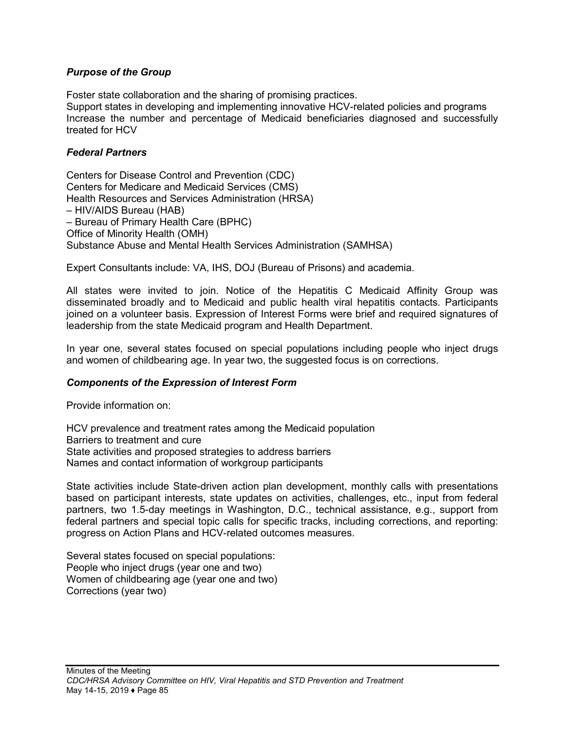#### *Purpose of the Group*

Foster state collaboration and the sharing of promising practices.

Support states in developing and implementing innovative HCV-related policies and programs Increase the number and percentage of Medicaid beneficiaries diagnosed and successfully treated for HCV

#### *Federal Partners*

Centers for Disease Control and Prevention (CDC) Centers for Medicare and Medicaid Services (CMS) Health Resources and Services Administration (HRSA) – HIV/AIDS Bureau (HAB) – Bureau of Primary Health Care (BPHC) Office of Minority Health (OMH) Substance Abuse and Mental Health Services Administration (SAMHSA)

Expert Consultants include: VA, IHS, DOJ (Bureau of Prisons) and academia.

All states were invited to join. Notice of the Hepatitis C Medicaid Affinity Group was disseminated broadly and to Medicaid and public health viral hepatitis contacts. Participants joined on a volunteer basis. Expression of Interest Forms were brief and required signatures of leadership from the state Medicaid program and Health Department.

In year one, several states focused on special populations including people who inject drugs and women of childbearing age. In year two, the suggested focus is on corrections.

#### *Components of the Expression of Interest Form*

Provide information on:

HCV prevalence and treatment rates among the Medicaid population Barriers to treatment and cure State activities and proposed strategies to address barriers Names and contact information of workgroup participants

State activities include State-driven action plan development, monthly calls with presentations based on participant interests, state updates on activities, challenges, etc., input from federal partners, two 1.5-day meetings in Washington, D.C., technical assistance, e.g., support from federal partners and special topic calls for specific tracks, including corrections, and reporting: progress on Action Plans and HCV-related outcomes measures.

Several states focused on special populations: People who inject drugs (year one and two) Women of childbearing age (year one and two) Corrections (year two)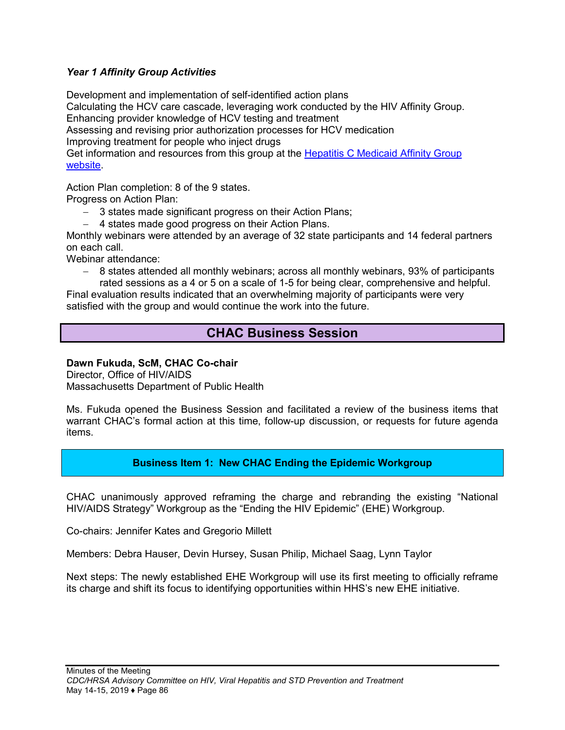#### *Year 1 Affinity Group Activities*

Development and implementation of self-identified action plans

Calculating the HCV care cascade, leveraging work conducted by the HIV Affinity Group. Enhancing provider knowledge of HCV testing and treatment

Assessing and revising prior authorization processes for HCV medication

Improving treatment for people who inject drugs

Get information and resources from this group at the [Hepatitis C Medicaid Affinity Group](https://www.hhs.gov/hepatitis/action-plan/federal-response/hepatitis-c-medicaid-affinity-group/index.html)  [website.](https://www.hhs.gov/hepatitis/action-plan/federal-response/hepatitis-c-medicaid-affinity-group/index.html)

Action Plan completion: 8 of the 9 states.

Progress on Action Plan:

- − 3 states made significant progress on their Action Plans;
- − 4 states made good progress on their Action Plans.

Monthly webinars were attended by an average of 32 state participants and 14 federal partners on each call.

Webinar attendance:

− 8 states attended all monthly webinars; across all monthly webinars, 93% of participants rated sessions as a 4 or 5 on a scale of 1-5 for being clear, comprehensive and helpful.

Final evaluation results indicated that an overwhelming majority of participants were very satisfied with the group and would continue the work into the future.

# **CHAC Business Session**

#### **Dawn Fukuda, ScM, CHAC Co-chair**

Director, Office of HIV/AIDS Massachusetts Department of Public Health

Ms. Fukuda opened the Business Session and facilitated a review of the business items that warrant CHAC's formal action at this time, follow-up discussion, or requests for future agenda items.

#### **Business Item 1: New CHAC Ending the Epidemic Workgroup**

CHAC unanimously approved reframing the charge and rebranding the existing "National HIV/AIDS Strategy" Workgroup as the "Ending the HIV Epidemic" (EHE) Workgroup.

Co-chairs: Jennifer Kates and Gregorio Millett

Members: Debra Hauser, Devin Hursey, Susan Philip, Michael Saag, Lynn Taylor

Next steps: The newly established EHE Workgroup will use its first meeting to officially reframe its charge and shift its focus to identifying opportunities within HHS's new EHE initiative.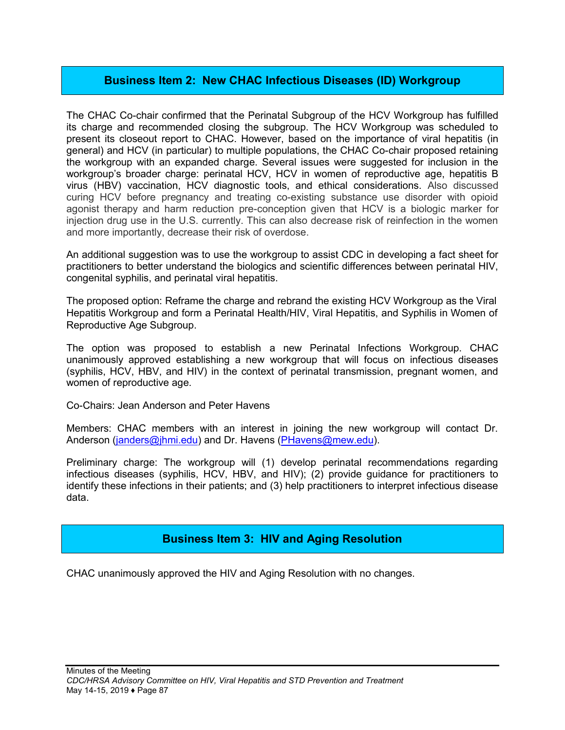## **Business Item 2: New CHAC Infectious Diseases (ID) Workgroup**

The CHAC Co-chair confirmed that the Perinatal Subgroup of the HCV Workgroup has fulfilled its charge and recommended closing the subgroup. The HCV Workgroup was scheduled to present its closeout report to CHAC. However, based on the importance of viral hepatitis (in general) and HCV (in particular) to multiple populations, the CHAC Co-chair proposed retaining the workgroup with an expanded charge. Several issues were suggested for inclusion in the workgroup's broader charge: perinatal HCV, HCV in women of reproductive age, hepatitis B virus (HBV) vaccination, HCV diagnostic tools, and ethical considerations. Also discussed curing HCV before pregnancy and treating co-existing substance use disorder with opioid agonist therapy and harm reduction pre-conception given that HCV is a biologic marker for injection drug use in the U.S. currently. This can also decrease risk of reinfection in the women and more importantly, decrease their risk of overdose.

An additional suggestion was to use the workgroup to assist CDC in developing a fact sheet for practitioners to better understand the biologics and scientific differences between perinatal HIV, congenital syphilis, and perinatal viral hepatitis.

The proposed option: Reframe the charge and rebrand the existing HCV Workgroup as the Viral Hepatitis Workgroup and form a Perinatal Health/HIV, Viral Hepatitis, and Syphilis in Women of Reproductive Age Subgroup.

The option was proposed to establish a new Perinatal Infections Workgroup. CHAC unanimously approved establishing a new workgroup that will focus on infectious diseases (syphilis, HCV, HBV, and HIV) in the context of perinatal transmission, pregnant women, and women of reproductive age.

Co-Chairs: Jean Anderson and Peter Havens

Members: CHAC members with an interest in joining the new workgroup will contact Dr. Anderson ([janders@jhmi.edu\)](mailto:janders@jhmi.edu) and Dr. Havens ([PHavens@mew.edu](mailto:PHavens@mew.edu)).

Preliminary charge: The workgroup will (1) develop perinatal recommendations regarding infectious diseases (syphilis, HCV, HBV, and HIV); (2) provide guidance for practitioners to identify these infections in their patients; and (3) help practitioners to interpret infectious disease data.

#### **Business Item 3: HIV and Aging Resolution**

CHAC unanimously approved the HIV and Aging Resolution with no changes.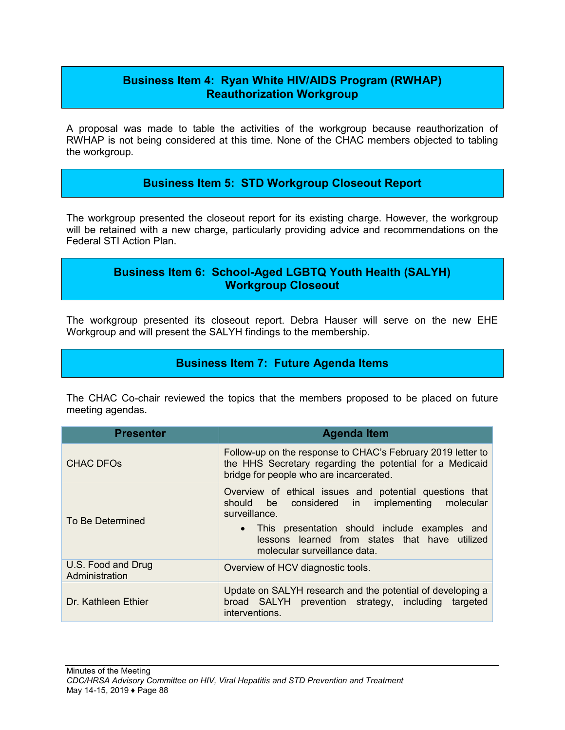# **Business Item 4: Ryan White HIV/AIDS Program (RWHAP) Reauthorization Workgroup**

A proposal was made to table the activities of the workgroup because reauthorization of RWHAP is not being considered at this time. None of the CHAC members objected to tabling the workgroup.

# **Business Item 5: STD Workgroup Closeout Report**

The workgroup presented the closeout report for its existing charge. However, the workgroup will be retained with a new charge, particularly providing advice and recommendations on the Federal STI Action Plan.

# **Business Item 6: School-Aged LGBTQ Youth Health (SALYH) Workgroup Closeout**

The workgroup presented its closeout report. Debra Hauser will serve on the new EHE Workgroup and will present the SALYH findings to the membership.

## **Business Item 7: Future Agenda Items**

The CHAC Co-chair reviewed the topics that the members proposed to be placed on future meeting agendas.

| <b>Presenter</b>                     | <b>Agenda Item</b>                                                                                                                                                                                                                                              |
|--------------------------------------|-----------------------------------------------------------------------------------------------------------------------------------------------------------------------------------------------------------------------------------------------------------------|
| CHAC DFO <sub>s</sub>                | Follow-up on the response to CHAC's February 2019 letter to<br>the HHS Secretary regarding the potential for a Medicaid<br>bridge for people who are incarcerated.                                                                                              |
| To Be Determined                     | Overview of ethical issues and potential questions that<br>should be considered in implementing molecular<br>surveillance.<br>• This presentation should include examples and<br>lessons learned from states that have utilized<br>molecular surveillance data. |
| U.S. Food and Drug<br>Administration | Overview of HCV diagnostic tools.                                                                                                                                                                                                                               |
| Dr. Kathleen Ethier                  | Update on SALYH research and the potential of developing a<br>broad SALYH prevention strategy, including targeted<br>interventions.                                                                                                                             |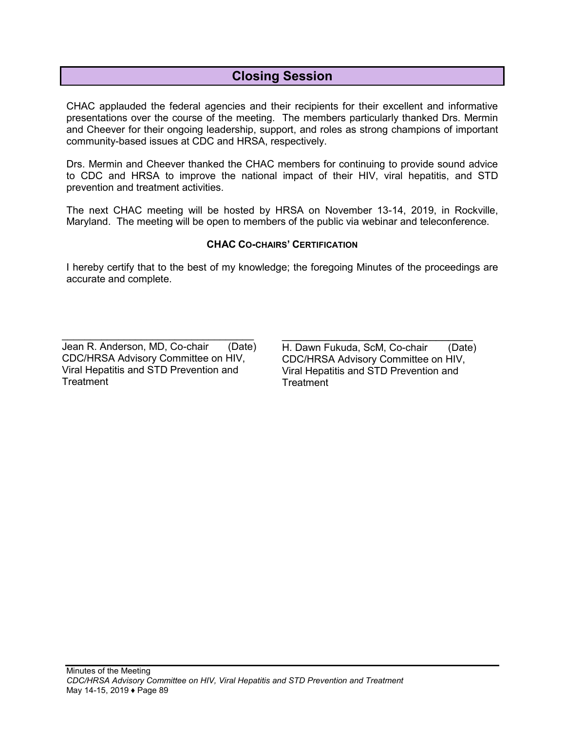# **Closing Session**

CHAC applauded the federal agencies and their recipients for their excellent and informative presentations over the course of the meeting. The members particularly thanked Drs. Mermin and Cheever for their ongoing leadership, support, and roles as strong champions of important community-based issues at CDC and HRSA, respectively.

Drs. Mermin and Cheever thanked the CHAC members for continuing to provide sound advice to CDC and HRSA to improve the national impact of their HIV, viral hepatitis, and STD prevention and treatment activities.

The next CHAC meeting will be hosted by HRSA on November 13-14, 2019, in Rockville, Maryland. The meeting will be open to members of the public via webinar and teleconference.

#### **CHAC CO-CHAIRS' CERTIFICATION**

I hereby certify that to the best of my knowledge; the foregoing Minutes of the proceedings are accurate and complete.

\_\_\_\_\_\_\_\_\_\_\_\_\_\_\_\_\_\_\_\_\_\_\_\_\_\_\_\_\_\_\_\_\_\_ Jean R. Anderson, MD, Co-chair CDC/HRSA Advisory Committee on HIV, Viral Hepatitis and STD Prevention and **Treatment** (Date)

 $\overline{\phantom{a}}$  , where  $\overline{\phantom{a}}$  , where  $\overline{\phantom{a}}$  ,  $\overline{\phantom{a}}$  ,  $\overline{\phantom{a}}$  ,  $\overline{\phantom{a}}$  ,  $\overline{\phantom{a}}$  ,  $\overline{\phantom{a}}$  ,  $\overline{\phantom{a}}$  ,  $\overline{\phantom{a}}$  ,  $\overline{\phantom{a}}$  ,  $\overline{\phantom{a}}$  ,  $\overline{\phantom{a}}$  ,  $\overline{\phantom{a}}$  ,  $\overline{\phantom{a}}$  , H. Dawn Fukuda, ScM, Co-chair CDC/HRSA Advisory Committee on HIV, Viral Hepatitis and STD Prevention and **Treatment** (Date)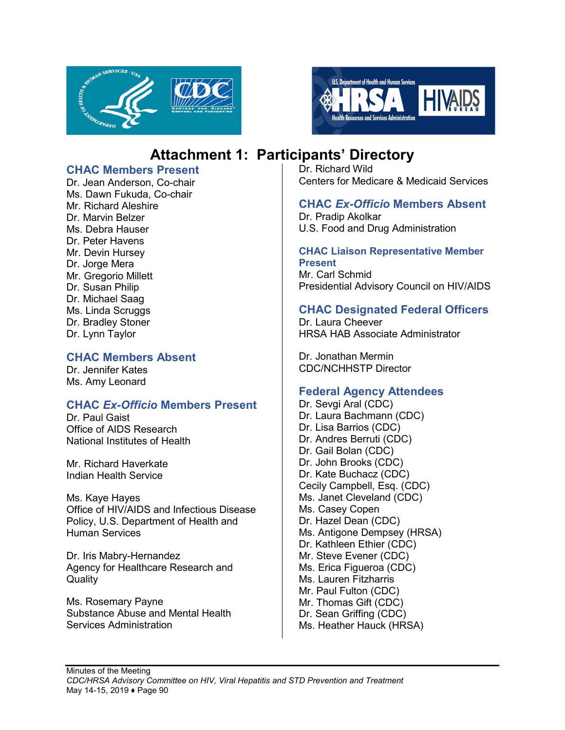



# **Attachment 1: Participants' Directory**

### **CHAC Members Present**

Dr. Jean Anderson, Co-chair Ms. Dawn Fukuda, Co-chair Mr. Richard Aleshire Dr. Marvin Belzer Ms. Debra Hauser Dr. Peter Havens Mr. Devin Hursey Dr. Jorge Mera Mr. Gregorio Millett Dr. Susan Philip Dr. Michael Saag Ms. Linda Scruggs Dr. Bradley Stoner Dr. Lynn Taylor

## **CHAC Members Absent**

Dr. Jennifer Kates Ms. Amy Leonard

# **CHAC** *Ex-Officio* **Members Present**

Dr. Paul Gaist Office of AIDS Research National Institutes of Health

Mr. Richard Haverkate Indian Health Service

Ms. Kaye Hayes Office of HIV/AIDS and Infectious Disease Policy, U.S. Department of Health and Human Services

Dr. Iris Mabry-Hernandez Agency for Healthcare Research and **Quality** 

Ms. Rosemary Payne Substance Abuse and Mental Health Services Administration

Dr. Richard Wild Centers for Medicare & Medicaid Services

# **CHAC** *Ex-Officio* **Members Absent**

Dr. Pradip Akolkar U.S. Food and Drug Administration

#### **CHAC Liaison Representative Member Present**

Mr. Carl Schmid Presidential Advisory Council on HIV/AIDS

## **CHAC Designated Federal Officers**

Dr. Laura Cheever HRSA HAB Associate Administrator

Dr. Jonathan Mermin CDC/NCHHSTP Director

# **Federal Agency Attendees**

Dr. Sevgi Aral (CDC) Dr. Laura Bachmann (CDC) Dr. Lisa Barrios (CDC) Dr. Andres Berruti (CDC) Dr. Gail Bolan (CDC) Dr. John Brooks (CDC) Dr. Kate Buchacz (CDC) Cecily Campbell, Esq. (CDC) Ms. Janet Cleveland (CDC) Ms. Casey Copen Dr. Hazel Dean (CDC) Ms. Antigone Dempsey (HRSA) Dr. Kathleen Ethier (CDC) Mr. Steve Evener (CDC) Ms. Erica Figueroa (CDC) Ms. Lauren Fitzharris Mr. Paul Fulton (CDC) Mr. Thomas Gift (CDC) Dr. Sean Griffing (CDC) Ms. Heather Hauck (HRSA)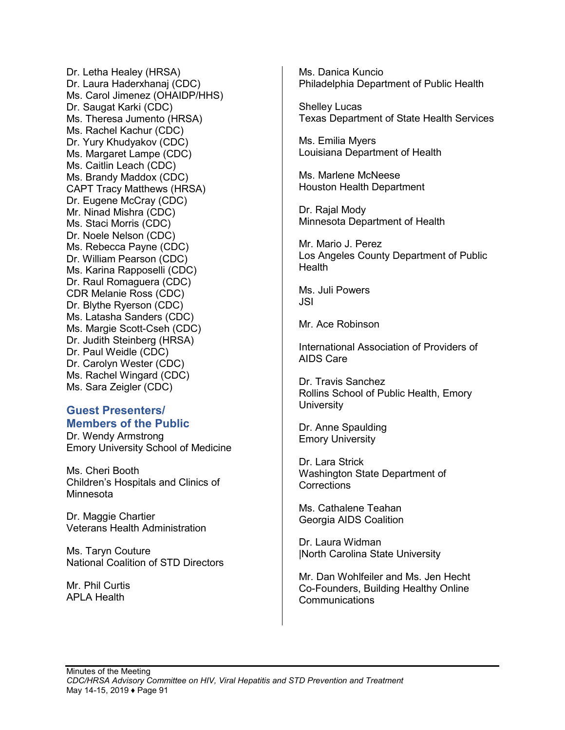Dr. Letha Healey (HRSA) Dr. Laura Haderxhanaj (CDC) Ms. Carol Jimenez (OHAIDP/HHS) Dr. Saugat Karki (CDC) Ms. Theresa Jumento (HRSA) Ms. Rachel Kachur (CDC) Dr. Yury Khudyakov (CDC) Ms. Margaret Lampe (CDC) Ms. Caitlin Leach (CDC) Ms. Brandy Maddox (CDC) CAPT Tracy Matthews (HRSA) Dr. Eugene McCray (CDC) Mr. Ninad Mishra (CDC) Ms. Staci Morris (CDC) Dr. Noele Nelson (CDC) Ms. Rebecca Payne (CDC) Dr. William Pearson (CDC) Ms. Karina Rapposelli (CDC) Dr. Raul Romaguera (CDC) CDR Melanie Ross (CDC) Dr. Blythe Ryerson (CDC) Ms. Latasha Sanders (CDC) Ms. Margie Scott-Cseh (CDC) Dr. Judith Steinberg (HRSA) Dr. Paul Weidle (CDC) Dr. Carolyn Wester (CDC) Ms. Rachel Wingard (CDC) Ms. Sara Zeigler (CDC)

#### **Guest Presenters/ Members of the Public**

Dr. Wendy Armstrong Emory University School of Medicine

Ms. Cheri Booth Children's Hospitals and Clinics of Minnesota

Dr. Maggie Chartier Veterans Health Administration

Ms. Taryn Couture National Coalition of STD Directors

Mr. Phil Curtis APLA Health

Ms. Danica Kuncio Philadelphia Department of Public Health

Shelley Lucas Texas Department of State Health Services

Ms. Emilia Myers Louisiana Department of Health

Ms. Marlene McNeese Houston Health Department

Dr. Rajal Mody Minnesota Department of Health

Mr. Mario J. Perez Los Angeles County Department of Public Health

Ms. Juli Powers JSI

Mr. Ace Robinson

International Association of Providers of AIDS Care

Dr. Travis Sanchez Rollins School of Public Health, Emory **University** 

Dr. Anne Spaulding Emory University

Dr. Lara Strick Washington State Department of **Corrections** 

Ms. Cathalene Teahan Georgia AIDS Coalition

Dr. Laura Widman |North Carolina State University

Mr. Dan Wohlfeiler and Ms. Jen Hecht Co-Founders, Building Healthy Online Communications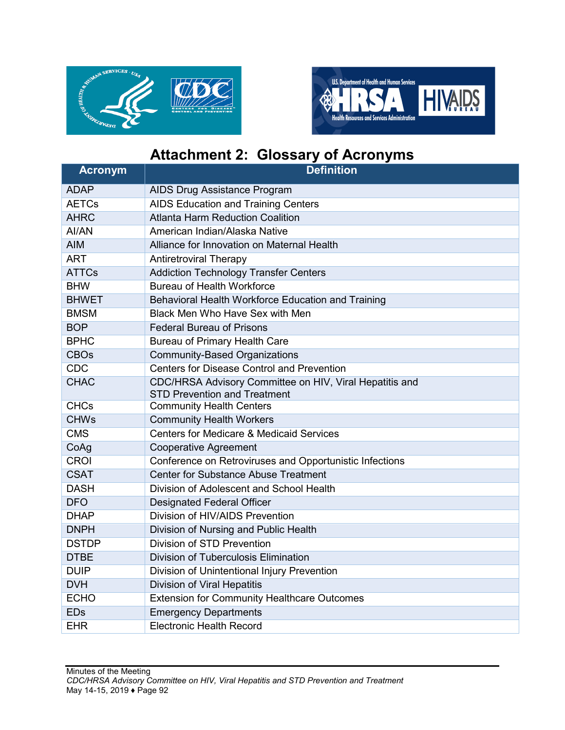



# **Attachment 2: Glossary of Acronyms**

| <b>Acronym</b> | <b>Definition</b>                                                                              |
|----------------|------------------------------------------------------------------------------------------------|
| <b>ADAP</b>    | AIDS Drug Assistance Program                                                                   |
| <b>AETCs</b>   | <b>AIDS Education and Training Centers</b>                                                     |
| <b>AHRC</b>    | <b>Atlanta Harm Reduction Coalition</b>                                                        |
| AI/AN          | American Indian/Alaska Native                                                                  |
| <b>AIM</b>     | Alliance for Innovation on Maternal Health                                                     |
| <b>ART</b>     | <b>Antiretroviral Therapy</b>                                                                  |
| <b>ATTCs</b>   | <b>Addiction Technology Transfer Centers</b>                                                   |
| <b>BHW</b>     | <b>Bureau of Health Workforce</b>                                                              |
| <b>BHWET</b>   | Behavioral Health Workforce Education and Training                                             |
| <b>BMSM</b>    | Black Men Who Have Sex with Men                                                                |
| <b>BOP</b>     | <b>Federal Bureau of Prisons</b>                                                               |
| <b>BPHC</b>    | Bureau of Primary Health Care                                                                  |
| <b>CBOs</b>    | <b>Community-Based Organizations</b>                                                           |
| <b>CDC</b>     | <b>Centers for Disease Control and Prevention</b>                                              |
| <b>CHAC</b>    | CDC/HRSA Advisory Committee on HIV, Viral Hepatitis and<br><b>STD Prevention and Treatment</b> |
| <b>CHCs</b>    | <b>Community Health Centers</b>                                                                |
| <b>CHWs</b>    | <b>Community Health Workers</b>                                                                |
| <b>CMS</b>     | <b>Centers for Medicare &amp; Medicaid Services</b>                                            |
| CoAg           | <b>Cooperative Agreement</b>                                                                   |
| <b>CROI</b>    | Conference on Retroviruses and Opportunistic Infections                                        |
| <b>CSAT</b>    | <b>Center for Substance Abuse Treatment</b>                                                    |
| <b>DASH</b>    | Division of Adolescent and School Health                                                       |
| <b>DFO</b>     | <b>Designated Federal Officer</b>                                                              |
| <b>DHAP</b>    | Division of HIV/AIDS Prevention                                                                |
| <b>DNPH</b>    | Division of Nursing and Public Health                                                          |
| <b>DSTDP</b>   | Division of STD Prevention                                                                     |
| <b>DTBE</b>    | Division of Tuberculosis Elimination                                                           |
| <b>DUIP</b>    | Division of Unintentional Injury Prevention                                                    |
| <b>DVH</b>     | Division of Viral Hepatitis                                                                    |
| <b>ECHO</b>    | <b>Extension for Community Healthcare Outcomes</b>                                             |
| <b>EDs</b>     | <b>Emergency Departments</b>                                                                   |
| <b>EHR</b>     | <b>Electronic Health Record</b>                                                                |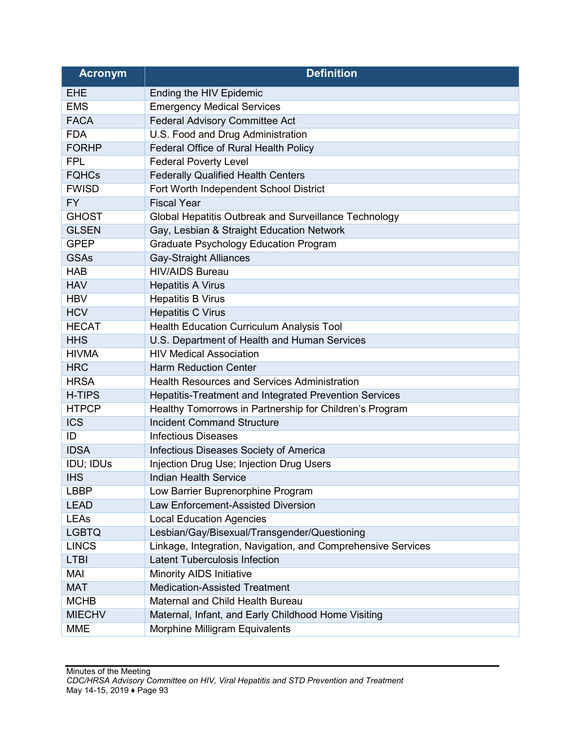| <b>Acronym</b> | <b>Definition</b>                                            |
|----------------|--------------------------------------------------------------|
| <b>EHE</b>     | Ending the HIV Epidemic                                      |
| <b>EMS</b>     | <b>Emergency Medical Services</b>                            |
| <b>FACA</b>    | <b>Federal Advisory Committee Act</b>                        |
| <b>FDA</b>     | U.S. Food and Drug Administration                            |
| <b>FORHP</b>   | Federal Office of Rural Health Policy                        |
| <b>FPL</b>     | <b>Federal Poverty Level</b>                                 |
| <b>FQHCs</b>   | <b>Federally Qualified Health Centers</b>                    |
| <b>FWISD</b>   | Fort Worth Independent School District                       |
| <b>FY</b>      | <b>Fiscal Year</b>                                           |
| <b>GHOST</b>   | Global Hepatitis Outbreak and Surveillance Technology        |
| <b>GLSEN</b>   | Gay, Lesbian & Straight Education Network                    |
| <b>GPEP</b>    | <b>Graduate Psychology Education Program</b>                 |
| <b>GSAs</b>    | <b>Gay-Straight Alliances</b>                                |
| <b>HAB</b>     | <b>HIV/AIDS Bureau</b>                                       |
| <b>HAV</b>     | <b>Hepatitis A Virus</b>                                     |
| <b>HBV</b>     | <b>Hepatitis B Virus</b>                                     |
| <b>HCV</b>     | <b>Hepatitis C Virus</b>                                     |
| <b>HECAT</b>   | Health Education Curriculum Analysis Tool                    |
| <b>HHS</b>     | U.S. Department of Health and Human Services                 |
| <b>HIVMA</b>   | <b>HIV Medical Association</b>                               |
| <b>HRC</b>     | <b>Harm Reduction Center</b>                                 |
| <b>HRSA</b>    | <b>Health Resources and Services Administration</b>          |
| <b>H-TIPS</b>  | Hepatitis-Treatment and Integrated Prevention Services       |
| <b>HTPCP</b>   | Healthy Tomorrows in Partnership for Children's Program      |
| <b>ICS</b>     | <b>Incident Command Structure</b>                            |
| ID             | <b>Infectious Diseases</b>                                   |
| <b>IDSA</b>    | Infectious Diseases Society of America                       |
| IDU; IDUs      | Injection Drug Use; Injection Drug Users                     |
| <b>IHS</b>     | <b>Indian Health Service</b>                                 |
| LBBP           | Low Barrier Buprenorphine Program                            |
| <b>LEAD</b>    | Law Enforcement-Assisted Diversion                           |
| <b>LEAs</b>    | <b>Local Education Agencies</b>                              |
| <b>LGBTQ</b>   | Lesbian/Gay/Bisexual/Transgender/Questioning                 |
| <b>LINCS</b>   | Linkage, Integration, Navigation, and Comprehensive Services |
| <b>LTBI</b>    | <b>Latent Tuberculosis Infection</b>                         |
| <b>MAI</b>     | Minority AIDS Initiative                                     |
| <b>MAT</b>     | <b>Medication-Assisted Treatment</b>                         |
| <b>MCHB</b>    | Maternal and Child Health Bureau                             |
| <b>MIECHV</b>  | Maternal, Infant, and Early Childhood Home Visiting          |
| <b>MME</b>     | Morphine Milligram Equivalents                               |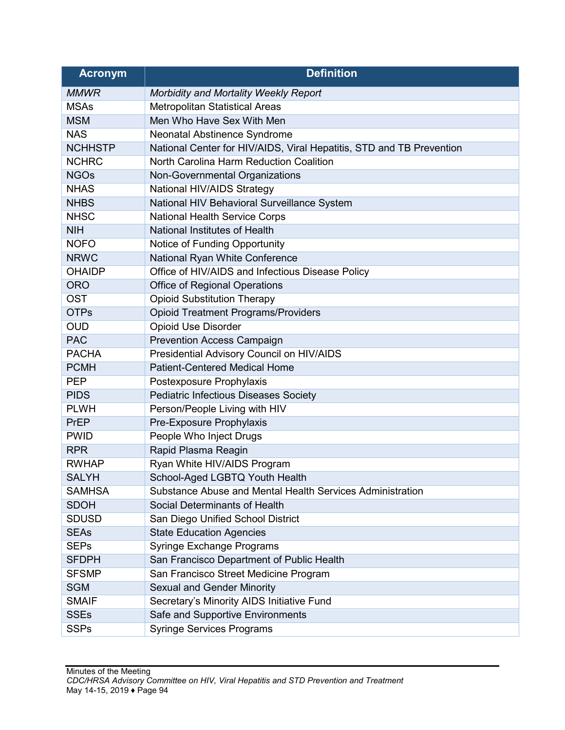| <b>Acronym</b> | <b>Definition</b>                                                    |
|----------------|----------------------------------------------------------------------|
| <b>MMWR</b>    | Morbidity and Mortality Weekly Report                                |
| <b>MSAs</b>    | Metropolitan Statistical Areas                                       |
| <b>MSM</b>     | Men Who Have Sex With Men                                            |
| <b>NAS</b>     | Neonatal Abstinence Syndrome                                         |
| <b>NCHHSTP</b> | National Center for HIV/AIDS, Viral Hepatitis, STD and TB Prevention |
| <b>NCHRC</b>   | North Carolina Harm Reduction Coalition                              |
| <b>NGOs</b>    | Non-Governmental Organizations                                       |
| <b>NHAS</b>    | National HIV/AIDS Strategy                                           |
| <b>NHBS</b>    | National HIV Behavioral Surveillance System                          |
| <b>NHSC</b>    | <b>National Health Service Corps</b>                                 |
| <b>NIH</b>     | National Institutes of Health                                        |
| <b>NOFO</b>    | Notice of Funding Opportunity                                        |
| <b>NRWC</b>    | National Ryan White Conference                                       |
| <b>OHAIDP</b>  | Office of HIV/AIDS and Infectious Disease Policy                     |
| <b>ORO</b>     | <b>Office of Regional Operations</b>                                 |
| <b>OST</b>     | <b>Opioid Substitution Therapy</b>                                   |
| <b>OTPs</b>    | <b>Opioid Treatment Programs/Providers</b>                           |
| <b>OUD</b>     | <b>Opioid Use Disorder</b>                                           |
| <b>PAC</b>     | <b>Prevention Access Campaign</b>                                    |
| <b>PACHA</b>   | Presidential Advisory Council on HIV/AIDS                            |
| <b>PCMH</b>    | <b>Patient-Centered Medical Home</b>                                 |
| <b>PEP</b>     | Postexposure Prophylaxis                                             |
| <b>PIDS</b>    | <b>Pediatric Infectious Diseases Society</b>                         |
| <b>PLWH</b>    | Person/People Living with HIV                                        |
| PrEP           | Pre-Exposure Prophylaxis                                             |
| <b>PWID</b>    | People Who Inject Drugs                                              |
| <b>RPR</b>     | Rapid Plasma Reagin                                                  |
| <b>RWHAP</b>   | Ryan White HIV/AIDS Program                                          |
| <b>SALYH</b>   | School-Aged LGBTQ Youth Health                                       |
| <b>SAMHSA</b>  | Substance Abuse and Mental Health Services Administration            |
| <b>SDOH</b>    | Social Determinants of Health                                        |
| <b>SDUSD</b>   | San Diego Unified School District                                    |
| <b>SEAs</b>    | <b>State Education Agencies</b>                                      |
| <b>SEPs</b>    | <b>Syringe Exchange Programs</b>                                     |
| <b>SFDPH</b>   | San Francisco Department of Public Health                            |
| <b>SFSMP</b>   | San Francisco Street Medicine Program                                |
| <b>SGM</b>     | <b>Sexual and Gender Minority</b>                                    |
| <b>SMAIF</b>   | Secretary's Minority AIDS Initiative Fund                            |
| <b>SSEs</b>    | Safe and Supportive Environments                                     |
| <b>SSPs</b>    | <b>Syringe Services Programs</b>                                     |